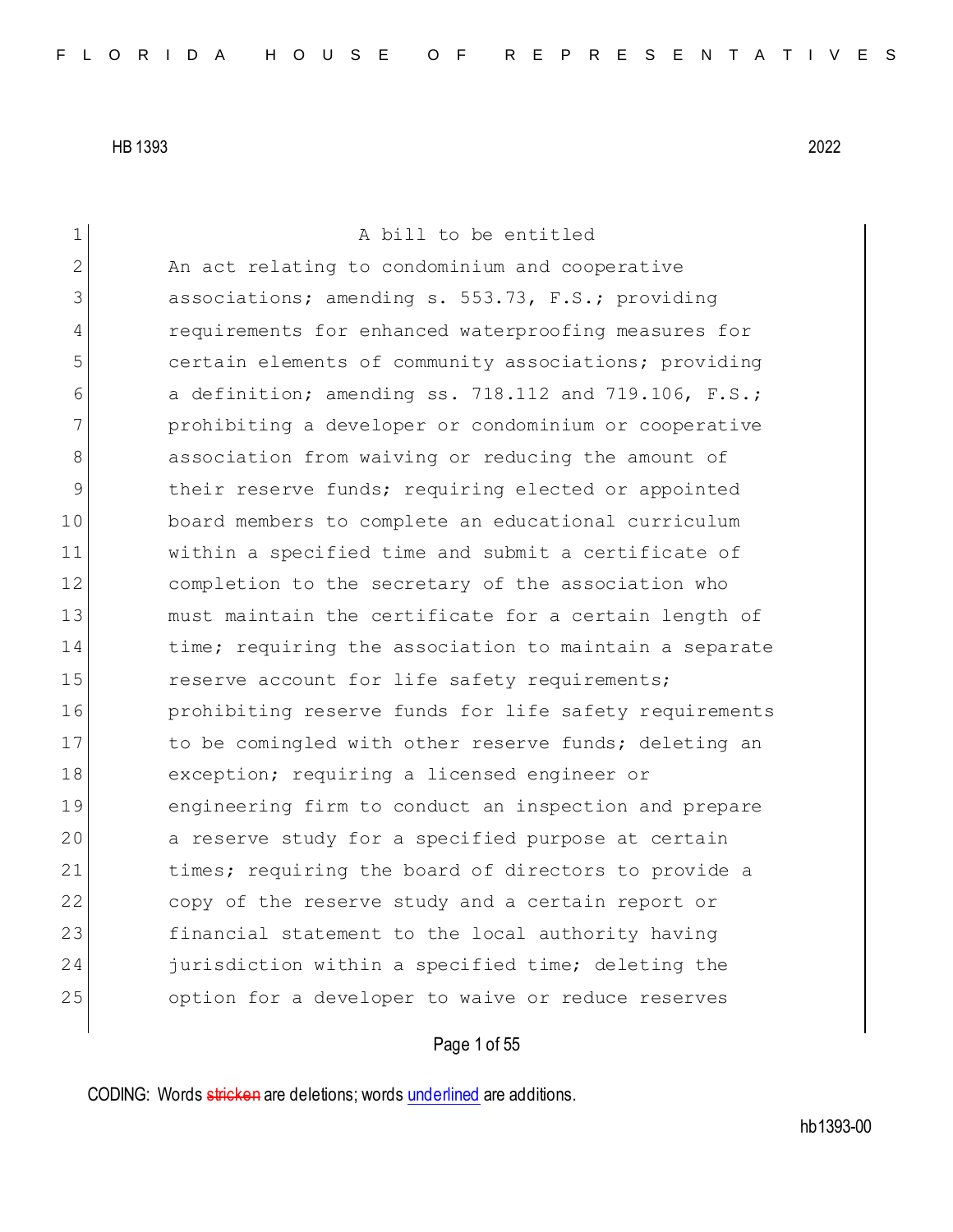1 A bill to be entitled 2 An act relating to condominium and cooperative 3 associations; amending s. 553.73, F.S.; providing 4 requirements for enhanced waterproofing measures for 5 certain elements of community associations; providing 6 a definition; amending ss. 718.112 and 719.106,  $F.S.;$ 7 prohibiting a developer or condominium or cooperative 8 8 association from waiving or reducing the amount of 9 block their reserve funds; requiring elected or appointed 10 board members to complete an educational curriculum 11 within a specified time and submit a certificate of 12 completion to the secretary of the association who 13 must maintain the certificate for a certain length of 14 time; requiring the association to maintain a separate 15 reserve account for life safety requirements; 16 **prohibiting reserve funds for life safety requirements** 17 17 to be comingled with other reserve funds; deleting an 18 exception; requiring a licensed engineer or 19 engineering firm to conduct an inspection and prepare 20 a reserve study for a specified purpose at certain 21 times; requiring the board of directors to provide a 22 copy of the reserve study and a certain report or 23 financial statement to the local authority having 24 jurisdiction within a specified time; deleting the 25 option for a developer to waive or reduce reserves

# Page 1 of 55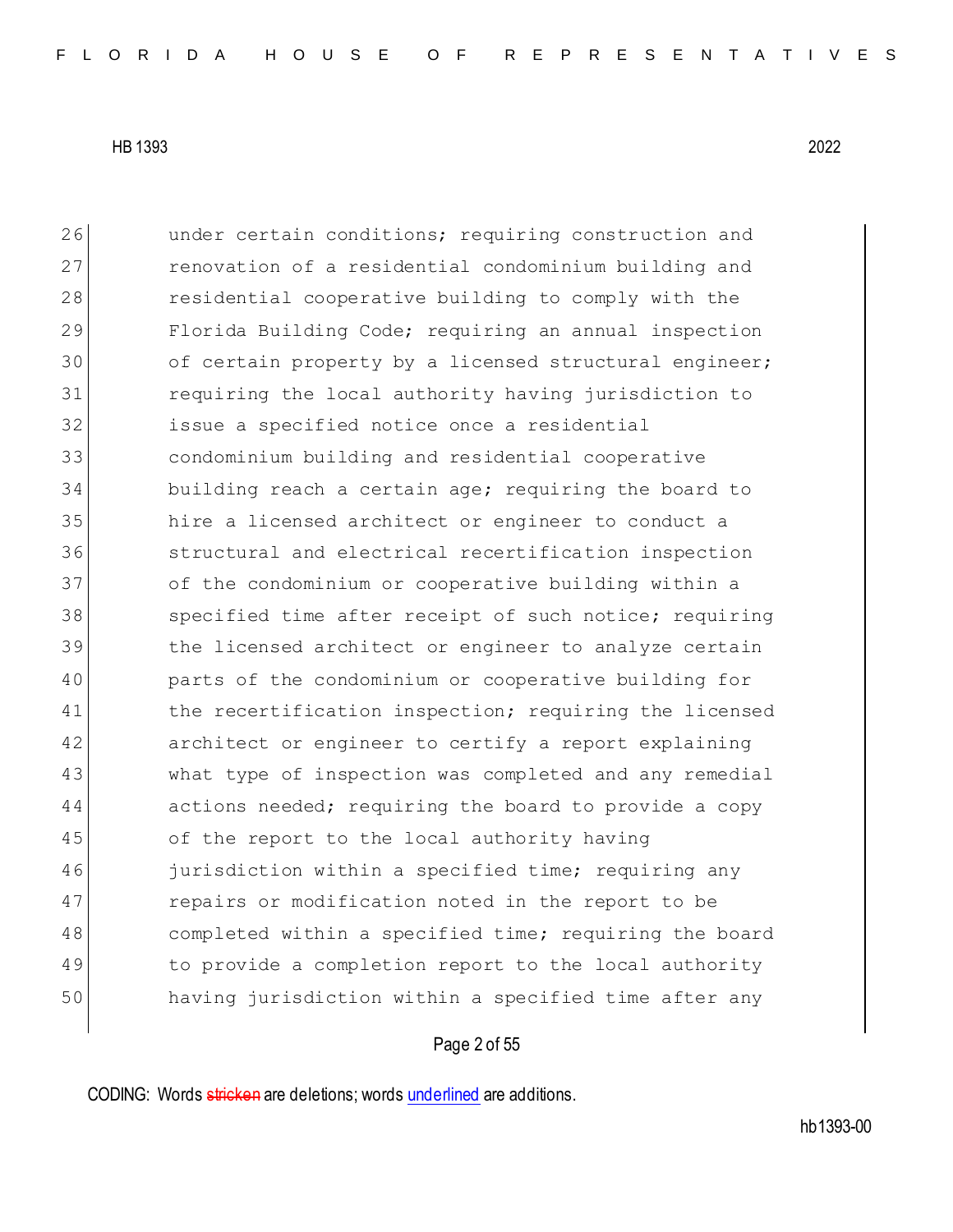26 and under certain conditions; requiring construction and 27 renovation of a residential condominium building and 28 residential cooperative building to comply with the 29 Florida Building Code; requiring an annual inspection 30 of certain property by a licensed structural engineer; 31 requiring the local authority having jurisdiction to 32 issue a specified notice once a residential 33 condominium building and residential cooperative 34 building reach a certain age; requiring the board to 35 hire a licensed architect or engineer to conduct a 36 structural and electrical recertification inspection 37 of the condominium or cooperative building within a 38 specified time after receipt of such notice; requiring 39 block the licensed architect or engineer to analyze certain 40 parts of the condominium or cooperative building for 41 the recertification inspection; requiring the licensed 42 architect or engineer to certify a report explaining 43 what type of inspection was completed and any remedial 44 actions needed; requiring the board to provide a copy 45 of the report to the local authority having 46 jurisdiction within a specified time; requiring any 47 repairs or modification noted in the report to be 48 completed within a specified time; requiring the board 49 to provide a completion report to the local authority 50 having jurisdiction within a specified time after any

## Page 2 of 55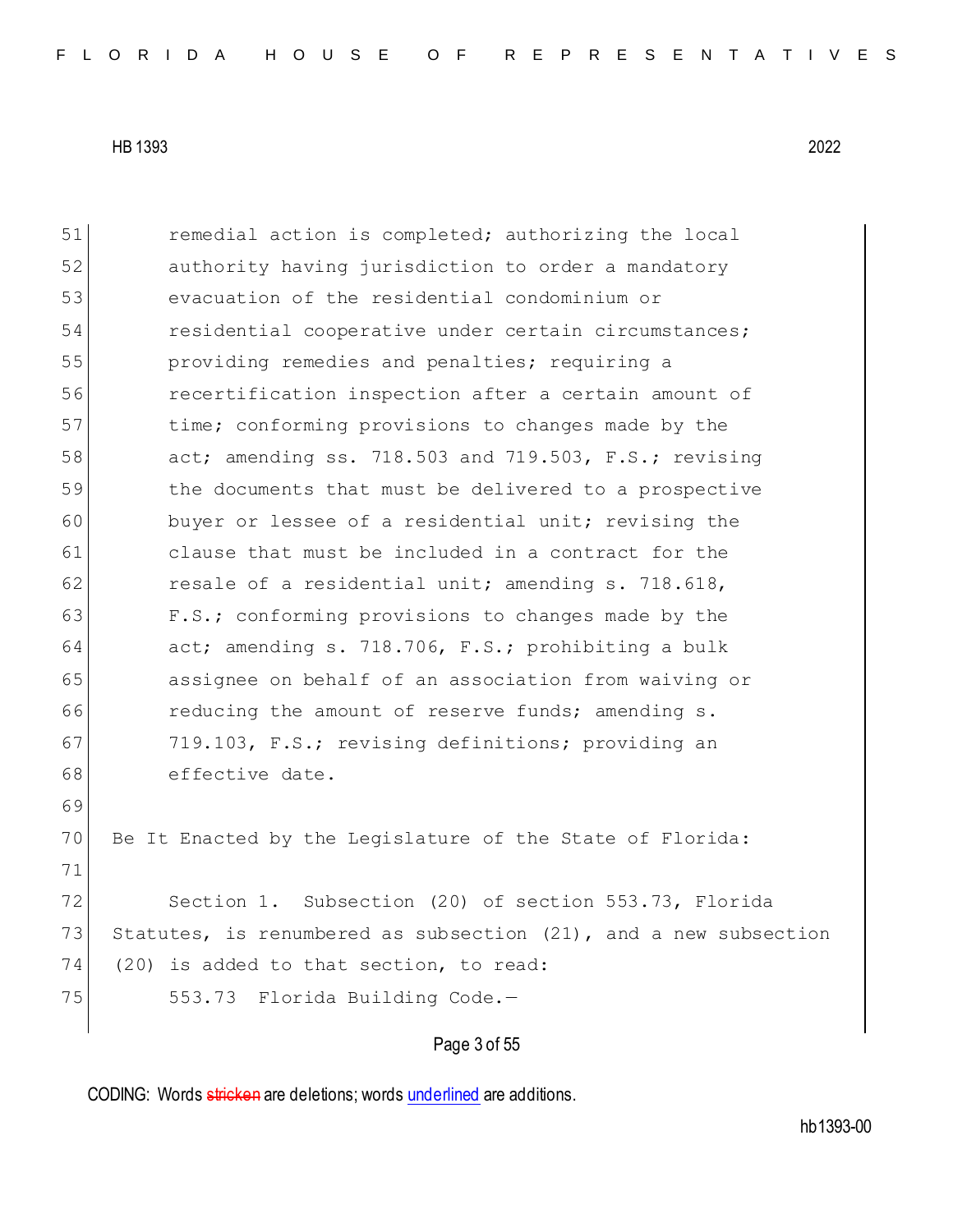51 **remedial action is completed;** authorizing the local 52 **b** authority having jurisdiction to order a mandatory 53 evacuation of the residential condominium or 54 residential cooperative under certain circumstances; 55 **providing remedies and penalties;** requiring a 56 recertification inspection after a certain amount of 57 time; conforming provisions to changes made by the 58 act; amending ss. 718.503 and 719.503, F.S.; revising 59 the documents that must be delivered to a prospective 60 buyer or lessee of a residential unit; revising the 61 clause that must be included in a contract for the 62 resale of a residential unit; amending  $s. 718.618$ , 63 F.S.; conforming provisions to changes made by the 64 act; amending s. 718.706, F.S.; prohibiting a bulk 65 assignee on behalf of an association from waiving or 66 **reducing the amount of reserve funds; amending s.** 67 719.103, F.S.; revising definitions; providing an 68 effective date. 69 70 Be It Enacted by the Legislature of the State of Florida: 71 72 Section 1. Subsection (20) of section 553.73, Florida 73 Statutes, is renumbered as subsection (21), and a new subsection 74 (20) is added to that section, to read: 75 553.73 Florida Building Code.-

### Page 3 of 55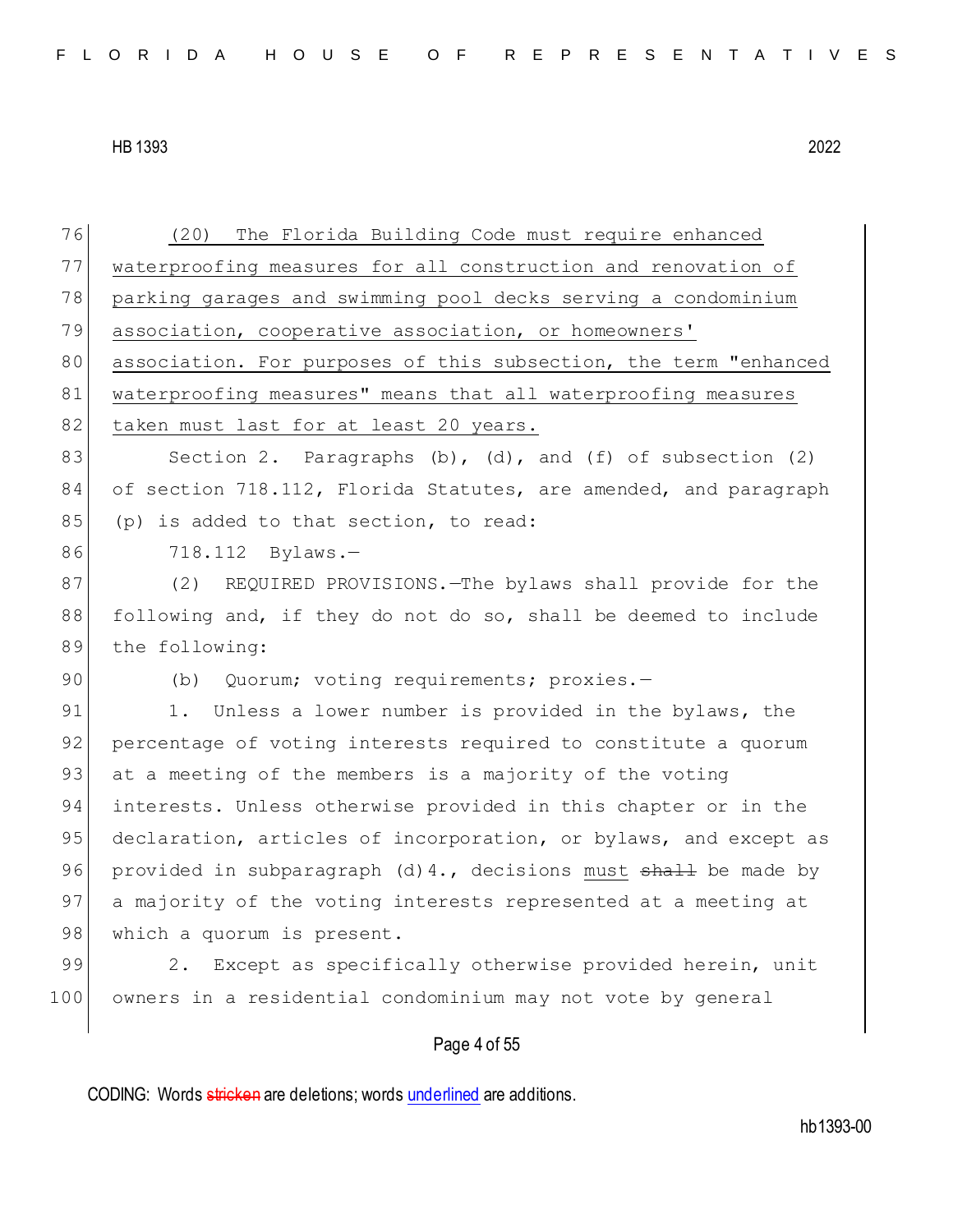76 (20) The Florida Building Code must require enhanced 77 waterproofing measures for all construction and renovation of 78 parking garages and swimming pool decks serving a condominium 79 association, cooperative association, or homeowners' 80 association. For purposes of this subsection, the term "enhanced 81 waterproofing measures" means that all waterproofing measures 82 taken must last for at least 20 years. 83 Section 2. Paragraphs  $(b)$ ,  $(d)$ , and  $(f)$  of subsection  $(2)$ 84 of section 718.112, Florida Statutes, are amended, and paragraph 85 (p) is added to that section, to read: 86 718.112 Bylaws.-87 (2) REQUIRED PROVISIONS.—The bylaws shall provide for the 88 following and, if they do not do so, shall be deemed to include 89 the following: 90 (b) Quorum; voting requirements; proxies.-91 1. Unless a lower number is provided in the bylaws, the 92 percentage of voting interests required to constitute a quorum 93 at a meeting of the members is a majority of the voting 94 interests. Unless otherwise provided in this chapter or in the 95 declaration, articles of incorporation, or bylaws, and except as 96 provided in subparagraph (d) 4., decisions must shall be made by 97 a majority of the voting interests represented at a meeting at 98 which a quorum is present. 99 2. Except as specifically otherwise provided herein, unit 100 owners in a residential condominium may not vote by general

# Page 4 of 55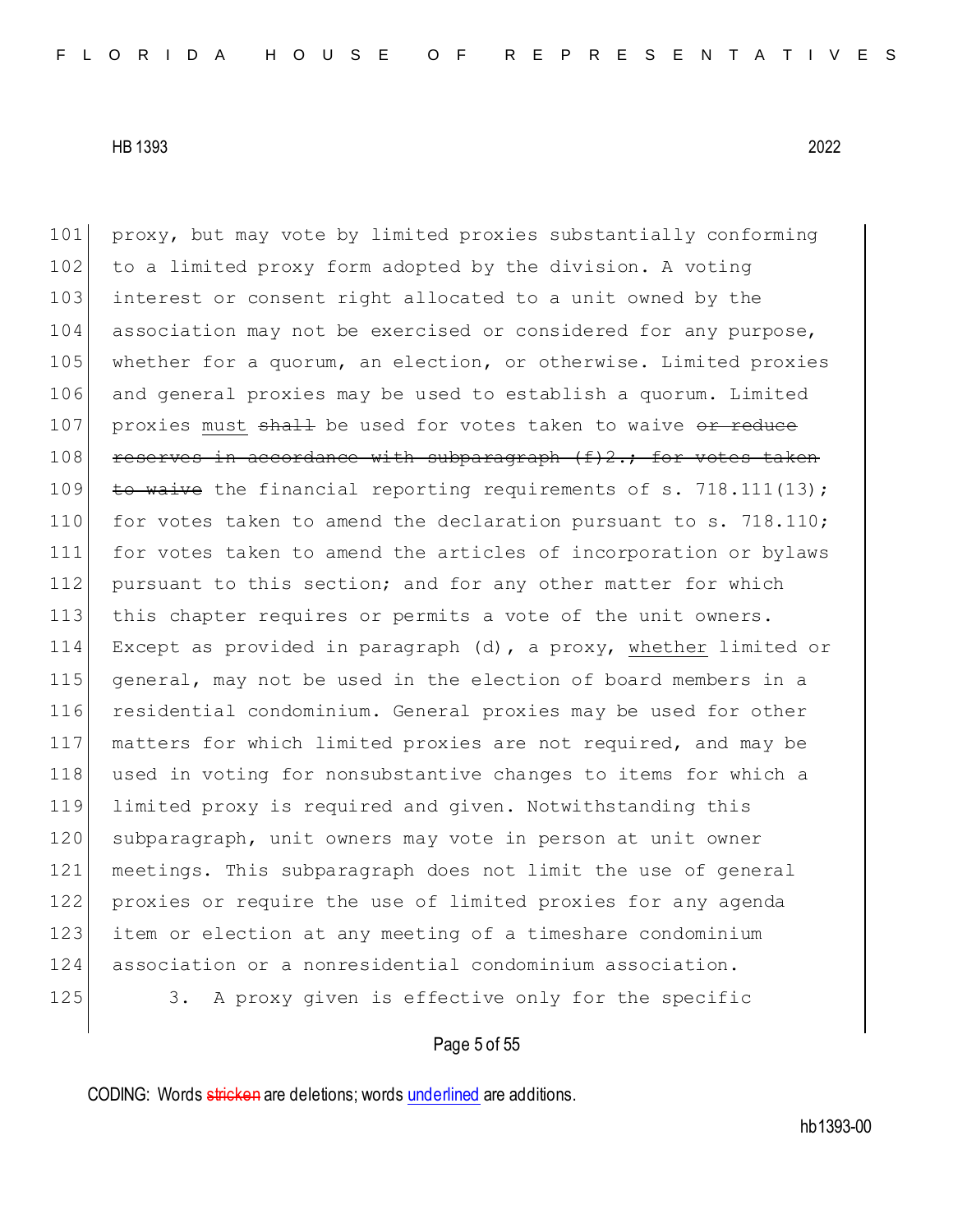101 proxy, but may vote by limited proxies substantially conforming 102 to a limited proxy form adopted by the division. A voting 103 interest or consent right allocated to a unit owned by the 104 association may not be exercised or considered for any purpose, 105 whether for a quorum, an election, or otherwise. Limited proxies 106 and general proxies may be used to establish a quorum. Limited 107 proxies must shall be used for votes taken to waive or reduce  $108$  reserves in accordance with subparagraph (f)2.; for votes taken 109 to waive the financial reporting requirements of s. 718.111(13); 110 for votes taken to amend the declaration pursuant to s. 718.110; 111 for votes taken to amend the articles of incorporation or bylaws 112 pursuant to this section; and for any other matter for which 113 this chapter requires or permits a vote of the unit owners. 114 Except as provided in paragraph (d), a proxy, whether limited or 115 general, may not be used in the election of board members in a 116 residential condominium. General proxies may be used for other 117 matters for which limited proxies are not required, and may be 118 used in voting for nonsubstantive changes to items for which a 119 limited proxy is required and given. Notwithstanding this 120 subparagraph, unit owners may vote in person at unit owner 121 meetings. This subparagraph does not limit the use of general 122 proxies or require the use of limited proxies for any agenda 123 item or election at any meeting of a timeshare condominium 124 association or a nonresidential condominium association. 125 3. A proxy given is effective only for the specific

## Page 5 of 55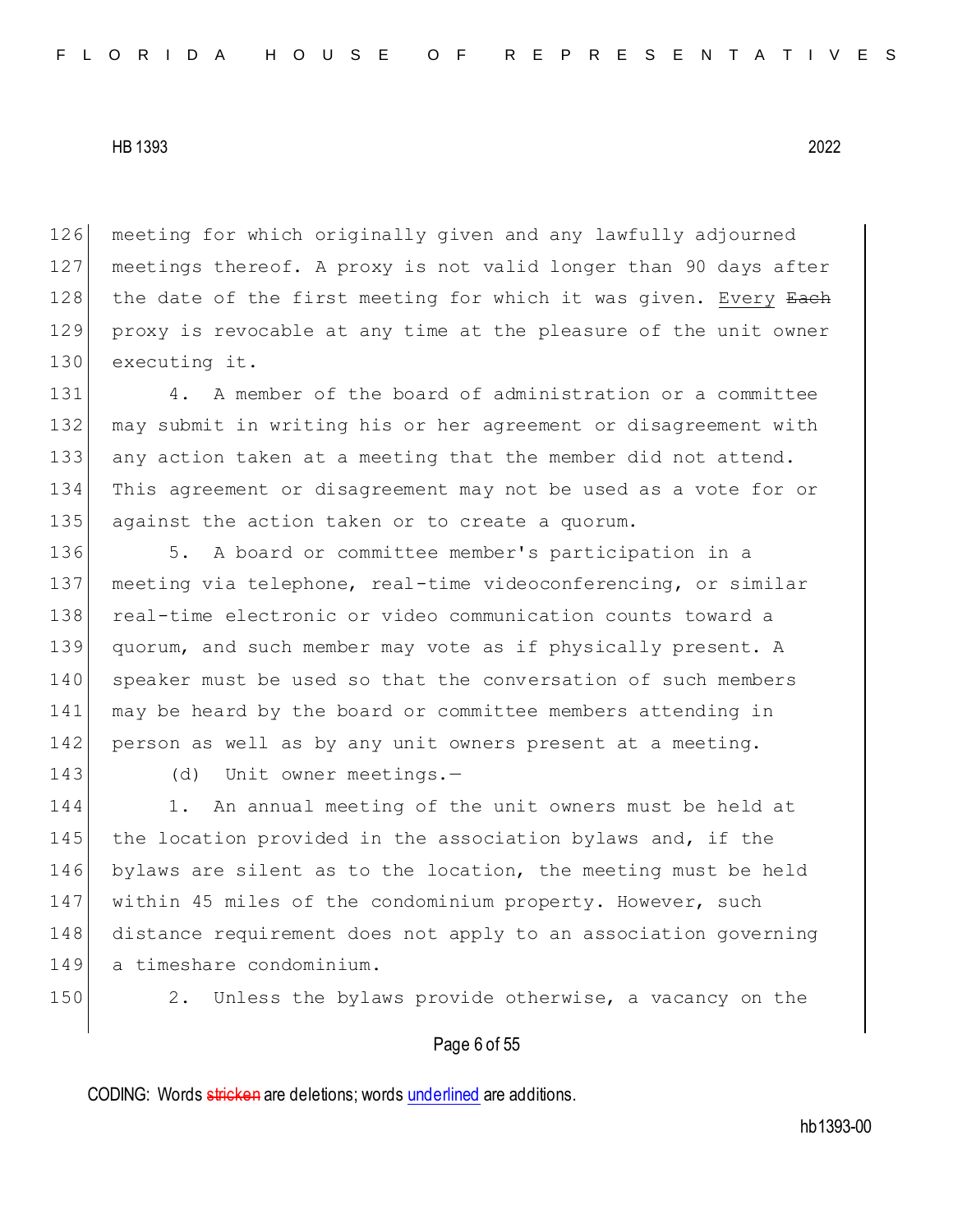126 meeting for which originally given and any lawfully adjourned 127 meetings thereof. A proxy is not valid longer than 90 days after 128 the date of the first meeting for which it was given. Every Each 129 proxy is revocable at any time at the pleasure of the unit owner 130 executing it.

131 4. A member of the board of administration or a committee 132 may submit in writing his or her agreement or disagreement with 133 any action taken at a meeting that the member did not attend. 134 This agreement or disagreement may not be used as a vote for or 135 against the action taken or to create a quorum.

136 5. A board or committee member's participation in a 137 meeting via telephone, real-time videoconferencing, or similar 138 real-time electronic or video communication counts toward a 139 quorum, and such member may vote as if physically present. A 140 speaker must be used so that the conversation of such members 141 may be heard by the board or committee members attending in 142 person as well as by any unit owners present at a meeting.

143 (d) Unit owner meetings.-

144 1. An annual meeting of the unit owners must be held at 145 the location provided in the association bylaws and, if the 146 bylaws are silent as to the location, the meeting must be held 147 within 45 miles of the condominium property. However, such 148 distance requirement does not apply to an association governing 149 a timeshare condominium.

150 2. Unless the bylaws provide otherwise, a vacancy on the

## Page 6 of 55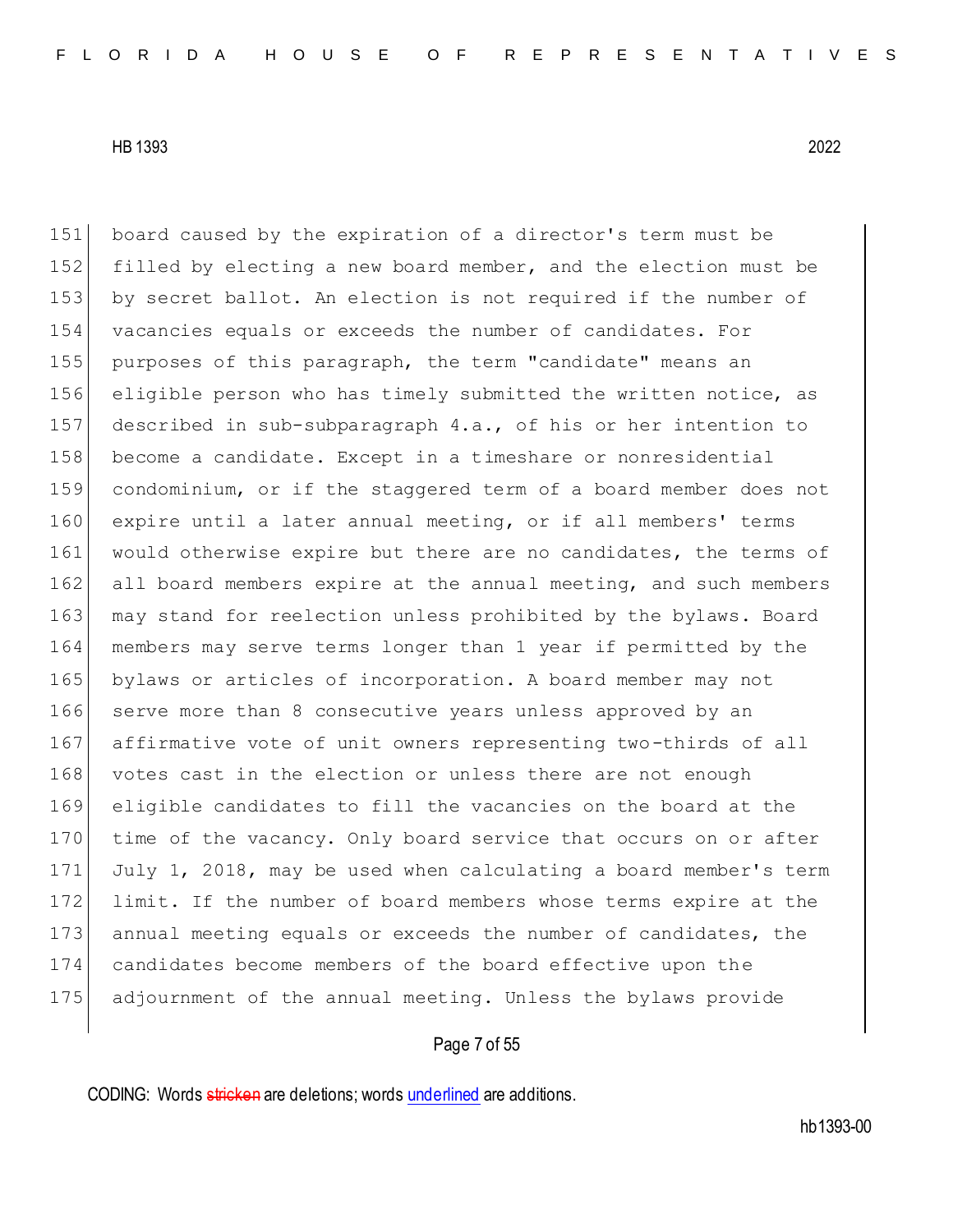board caused by the expiration of a director's term must be filled by electing a new board member, and the election must be by secret ballot. An election is not required if the number of vacancies equals or exceeds the number of candidates. For purposes of this paragraph, the term "candidate" means an eligible person who has timely submitted the written notice, as described in sub-subparagraph 4.a., of his or her intention to become a candidate. Except in a timeshare or nonresidential condominium, or if the staggered term of a board member does not expire until a later annual meeting, or if all members' terms 161 would otherwise expire but there are no candidates, the terms of 162 all board members expire at the annual meeting, and such members 163 may stand for reelection unless prohibited by the bylaws. Board members may serve terms longer than 1 year if permitted by the bylaws or articles of incorporation. A board member may not 166 serve more than 8 consecutive years unless approved by an affirmative vote of unit owners representing two-thirds of all 168 votes cast in the election or unless there are not enough eligible candidates to fill the vacancies on the board at the 170 time of the vacancy. Only board service that occurs on or after July 1, 2018, may be used when calculating a board member's term 172 limit. If the number of board members whose terms expire at the 173 annual meeting equals or exceeds the number of candidates, the candidates become members of the board effective upon the adjournment of the annual meeting. Unless the bylaws provide

## Page 7 of 55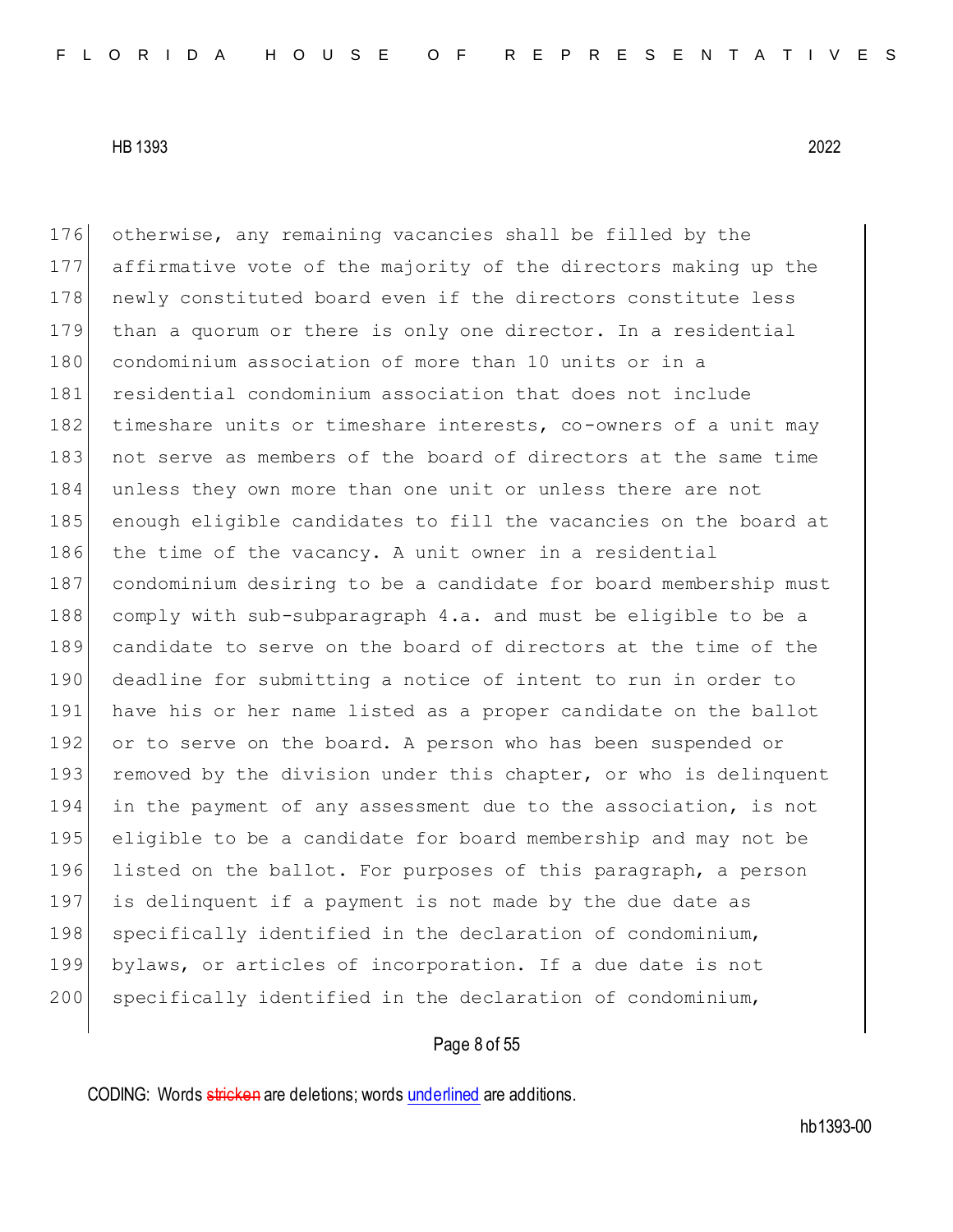otherwise, any remaining vacancies shall be filled by the affirmative vote of the majority of the directors making up the 178 newly constituted board even if the directors constitute less than a quorum or there is only one director. In a residential condominium association of more than 10 units or in a residential condominium association that does not include 182 timeshare units or timeshare interests, co-owners of a unit may 183 not serve as members of the board of directors at the same time 184 unless they own more than one unit or unless there are not enough eligible candidates to fill the vacancies on the board at the time of the vacancy. A unit owner in a residential condominium desiring to be a candidate for board membership must comply with sub-subparagraph 4.a. and must be eligible to be a candidate to serve on the board of directors at the time of the deadline for submitting a notice of intent to run in order to have his or her name listed as a proper candidate on the ballot 192 or to serve on the board. A person who has been suspended or 193 removed by the division under this chapter, or who is delinquent in the payment of any assessment due to the association, is not eligible to be a candidate for board membership and may not be listed on the ballot. For purposes of this paragraph, a person is delinquent if a payment is not made by the due date as 198 specifically identified in the declaration of condominium, bylaws, or articles of incorporation. If a due date is not 200 specifically identified in the declaration of condominium,

# Page 8 of 55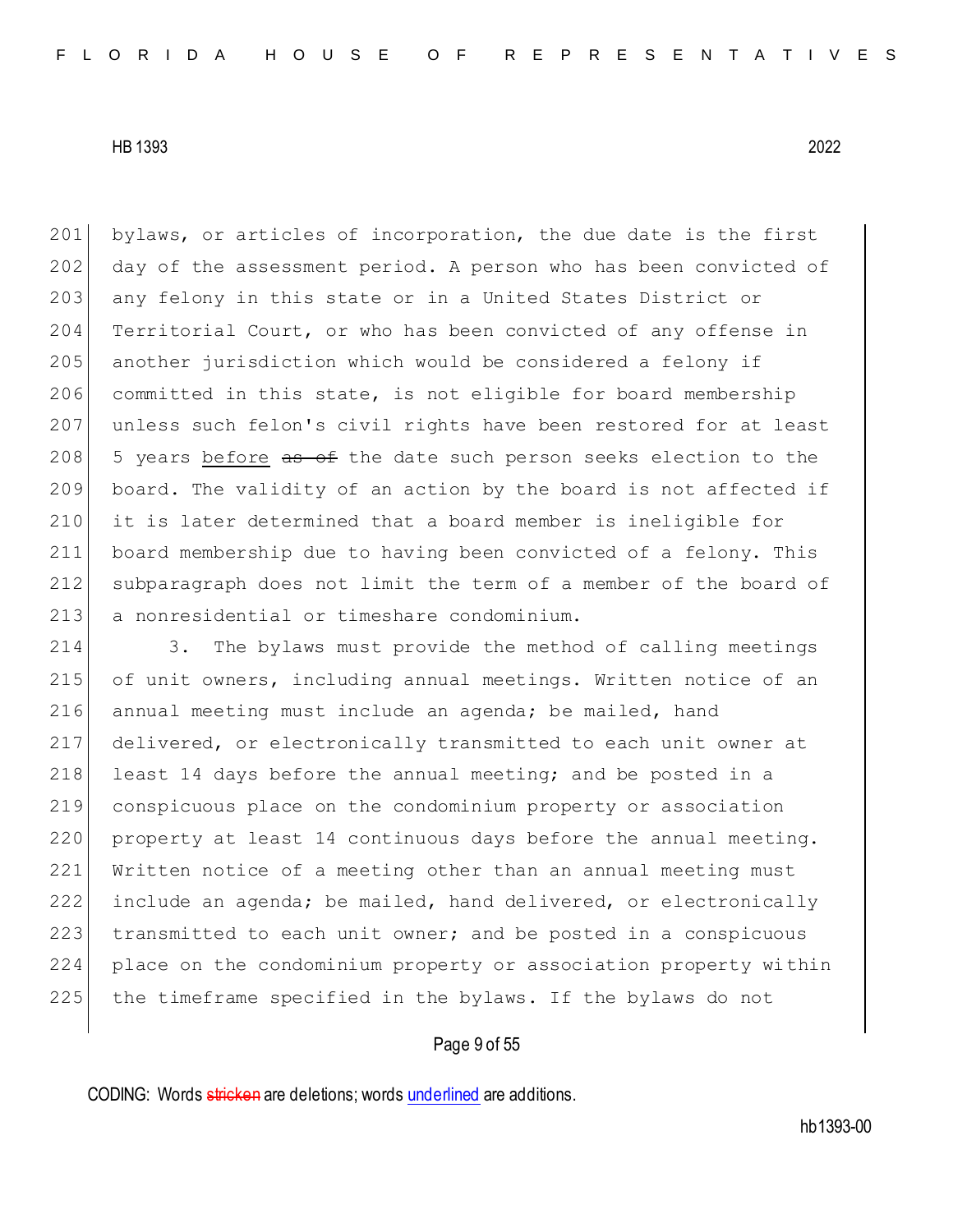201 bylaws, or articles of incorporation, the due date is the first 202 day of the assessment period. A person who has been convicted of 203 any felony in this state or in a United States District or Territorial Court, or who has been convicted of any offense in another jurisdiction which would be considered a felony if committed in this state, is not eligible for board membership unless such felon's civil rights have been restored for at least  $|$  5 years before as of the date such person seeks election to the board. The validity of an action by the board is not affected if it is later determined that a board member is ineligible for board membership due to having been convicted of a felony. This subparagraph does not limit the term of a member of the board of 213 a nonresidential or timeshare condominium.

 3. The bylaws must provide the method of calling meetings of unit owners, including annual meetings. Written notice of an 216 annual meeting must include an agenda; be mailed, hand delivered, or electronically transmitted to each unit owner at 218 least 14 days before the annual meeting; and be posted in a conspicuous place on the condominium property or association 220 property at least 14 continuous days before the annual meeting. Written notice of a meeting other than an annual meeting must include an agenda; be mailed, hand delivered, or electronically 223 transmitted to each unit owner; and be posted in a conspicuous place on the condominium property or association property within the timeframe specified in the bylaws. If the bylaws do not

# Page 9 of 55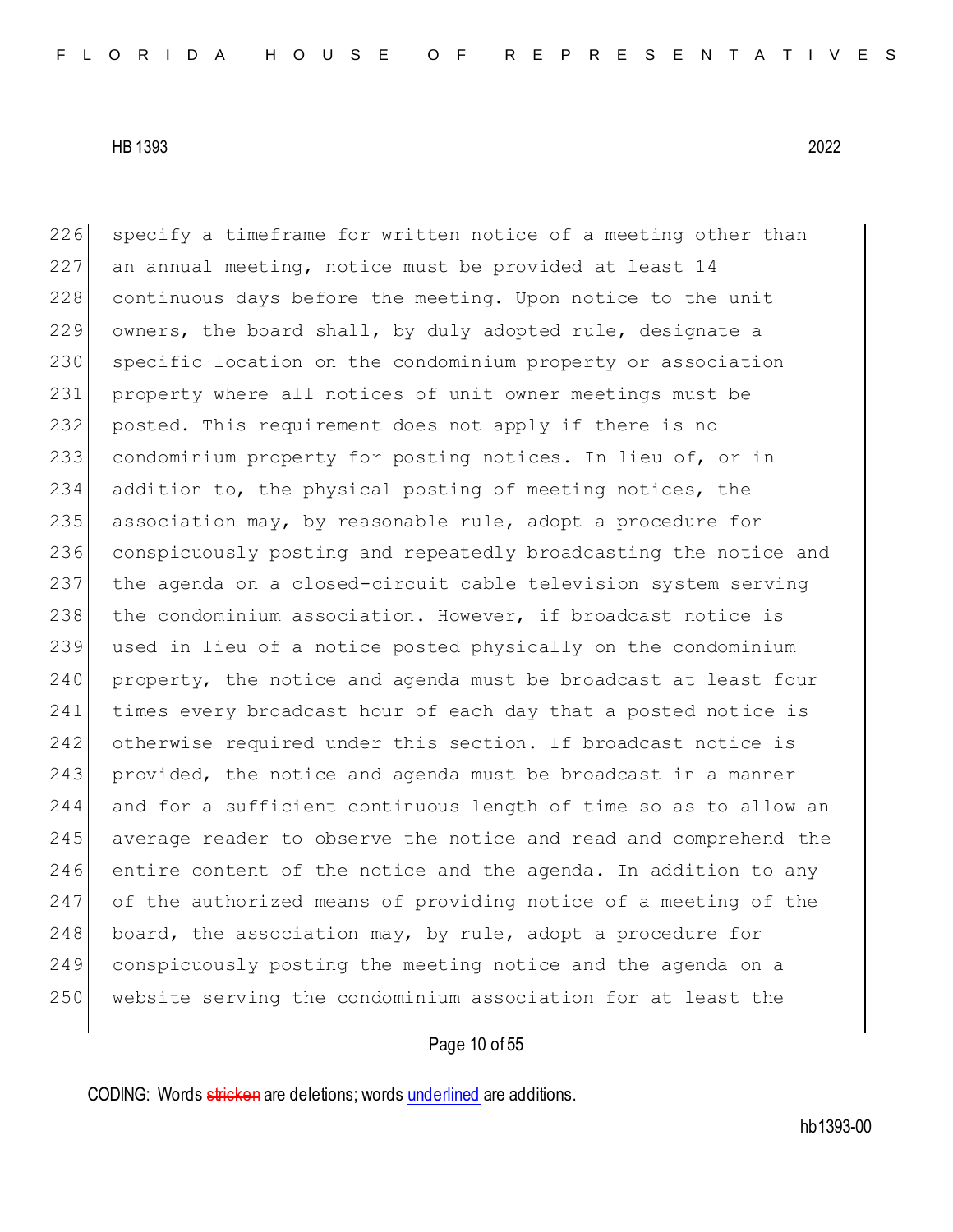226 specify a timeframe for written notice of a meeting other than an annual meeting, notice must be provided at least 14 228 continuous days before the meeting. Upon notice to the unit owners, the board shall, by duly adopted rule, designate a specific location on the condominium property or association property where all notices of unit owner meetings must be posted. This requirement does not apply if there is no condominium property for posting notices. In lieu of, or in addition to, the physical posting of meeting notices, the 235 association may, by reasonable rule, adopt a procedure for conspicuously posting and repeatedly broadcasting the notice and the agenda on a closed-circuit cable television system serving 238 the condominium association. However, if broadcast notice is used in lieu of a notice posted physically on the condominium 240 property, the notice and agenda must be broadcast at least four 241 times every broadcast hour of each day that a posted notice is 242 otherwise required under this section. If broadcast notice is 243 provided, the notice and agenda must be broadcast in a manner and for a sufficient continuous length of time so as to allow an 245 average reader to observe the notice and read and comprehend the entire content of the notice and the agenda. In addition to any of the authorized means of providing notice of a meeting of the board, the association may, by rule, adopt a procedure for conspicuously posting the meeting notice and the agenda on a website serving the condominium association for at least the

# Page 10 of 55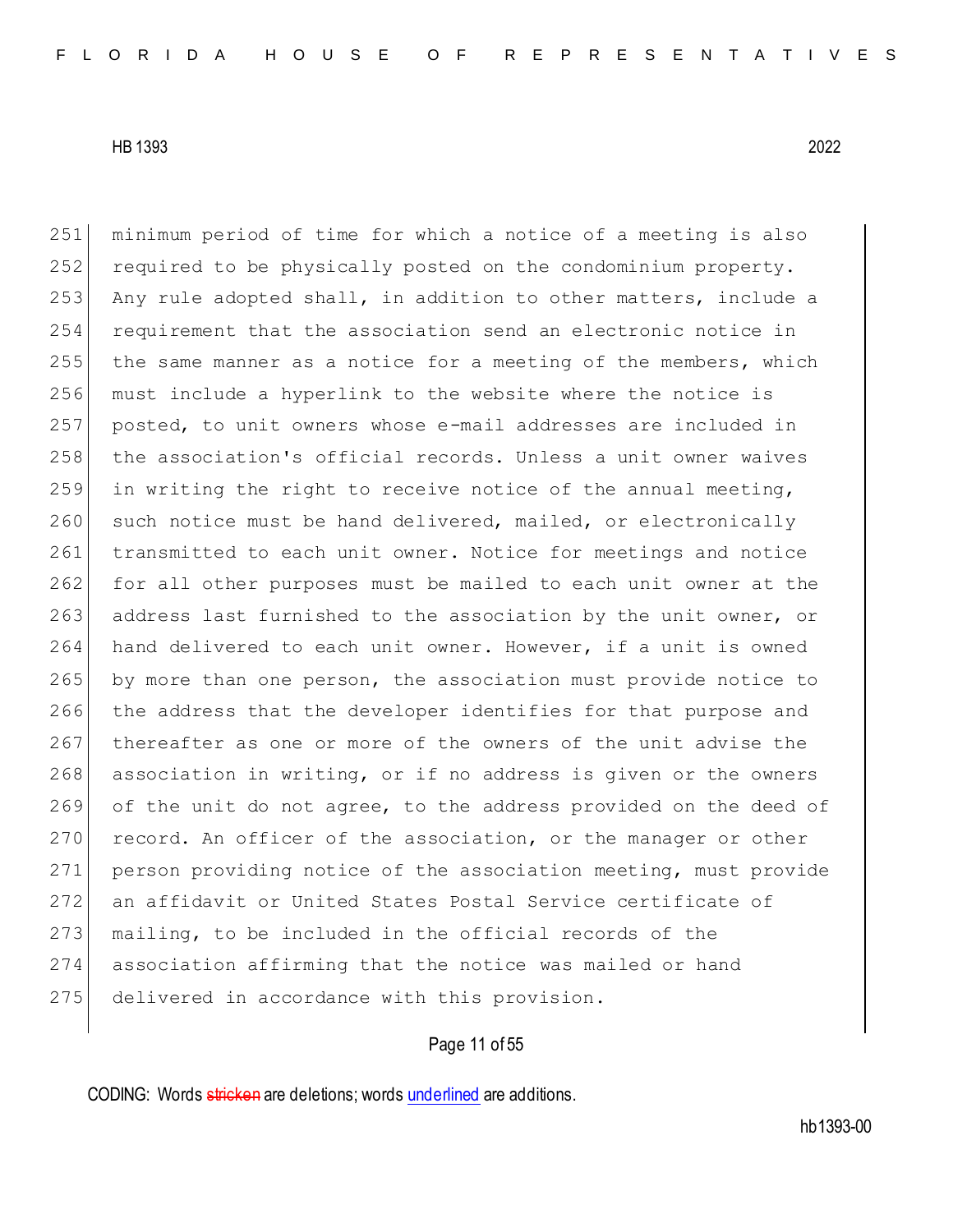251 minimum period of time for which a notice of a meeting is also 252 required to be physically posted on the condominium property. 253 Any rule adopted shall, in addition to other matters, include a 254 requirement that the association send an electronic notice in 255 the same manner as a notice for a meeting of the members, which 256 must include a hyperlink to the website where the notice is 257 posted, to unit owners whose e-mail addresses are included in 258 the association's official records. Unless a unit owner waives 259 in writing the right to receive notice of the annual meeting, 260 such notice must be hand delivered, mailed, or electronically 261 transmitted to each unit owner. Notice for meetings and notice 262 for all other purposes must be mailed to each unit owner at the 263 address last furnished to the association by the unit owner, or 264 hand delivered to each unit owner. However, if a unit is owned 265 by more than one person, the association must provide notice to 266 the address that the developer identifies for that purpose and 267 thereafter as one or more of the owners of the unit advise the 268 association in writing, or if no address is given or the owners 269 of the unit do not agree, to the address provided on the deed of 270 record. An officer of the association, or the manager or other 271 person providing notice of the association meeting, must provide 272 an affidavit or United States Postal Service certificate of 273 mailing, to be included in the official records of the 274 association affirming that the notice was mailed or hand 275 delivered in accordance with this provision.

# Page 11 of 55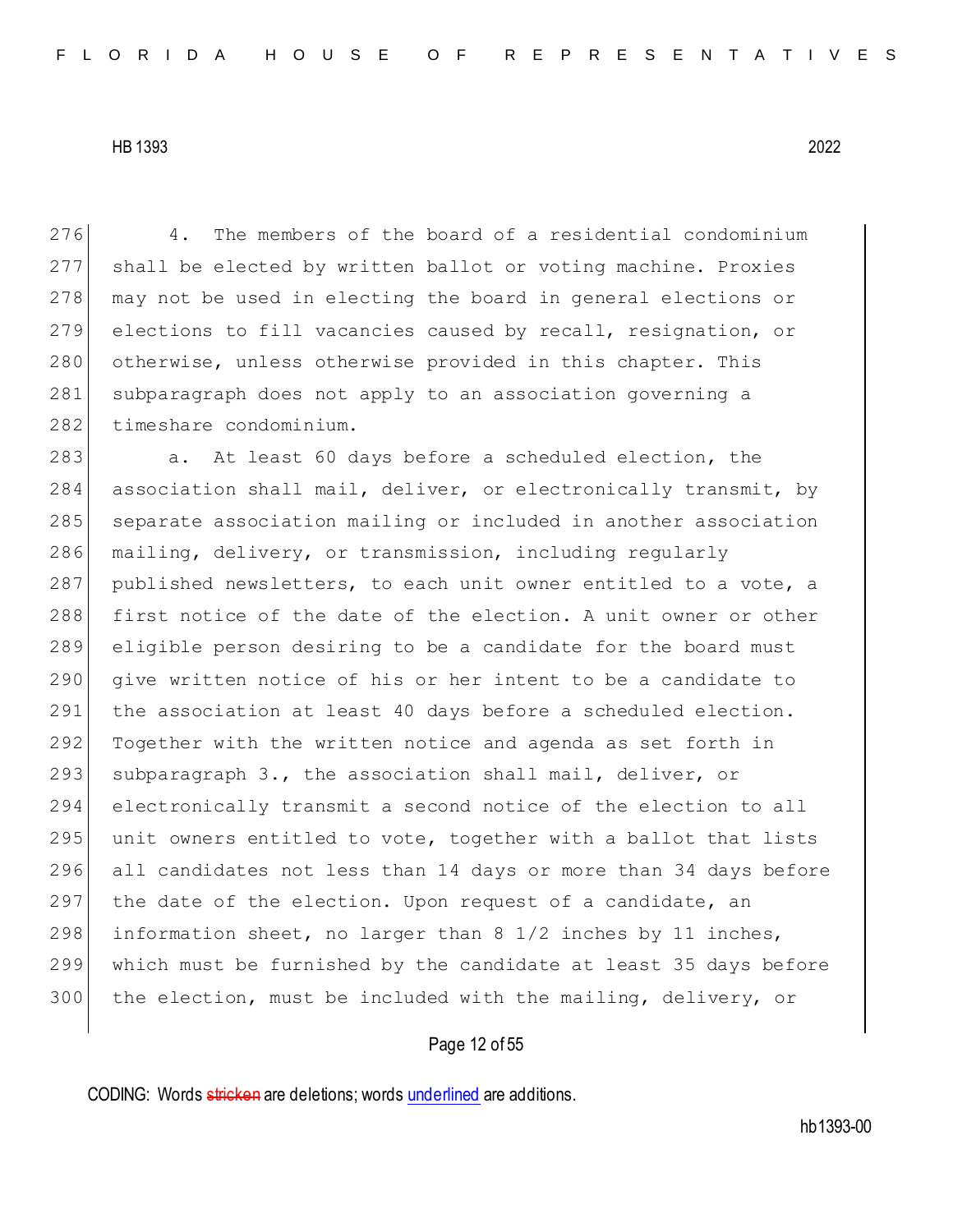276 4. The members of the board of a residential condominium 277 shall be elected by written ballot or voting machine. Proxies 278 may not be used in electing the board in general elections or 279 elections to fill vacancies caused by recall, resignation, or 280 otherwise, unless otherwise provided in this chapter. This 281 subparagraph does not apply to an association governing a 282 timeshare condominium.

283 a. At least 60 days before a scheduled election, the 284 association shall mail, deliver, or electronically transmit, by 285 separate association mailing or included in another association 286 mailing, delivery, or transmission, including regularly 287 published newsletters, to each unit owner entitled to a vote, a 288 first notice of the date of the election. A unit owner or other 289 eligible person desiring to be a candidate for the board must 290 give written notice of his or her intent to be a candidate to 291 the association at least 40 days before a scheduled election. 292 Together with the written notice and agenda as set forth in 293 subparagraph 3., the association shall mail, deliver, or 294 electronically transmit a second notice of the election to all 295 unit owners entitled to vote, together with a ballot that lists 296 all candidates not less than 14 days or more than 34 days before 297 the date of the election. Upon request of a candidate, an 298 information sheet, no larger than 8 1/2 inches by 11 inches, 299 which must be furnished by the candidate at least 35 days before 300 the election, must be included with the mailing, delivery, or

# Page 12 of 55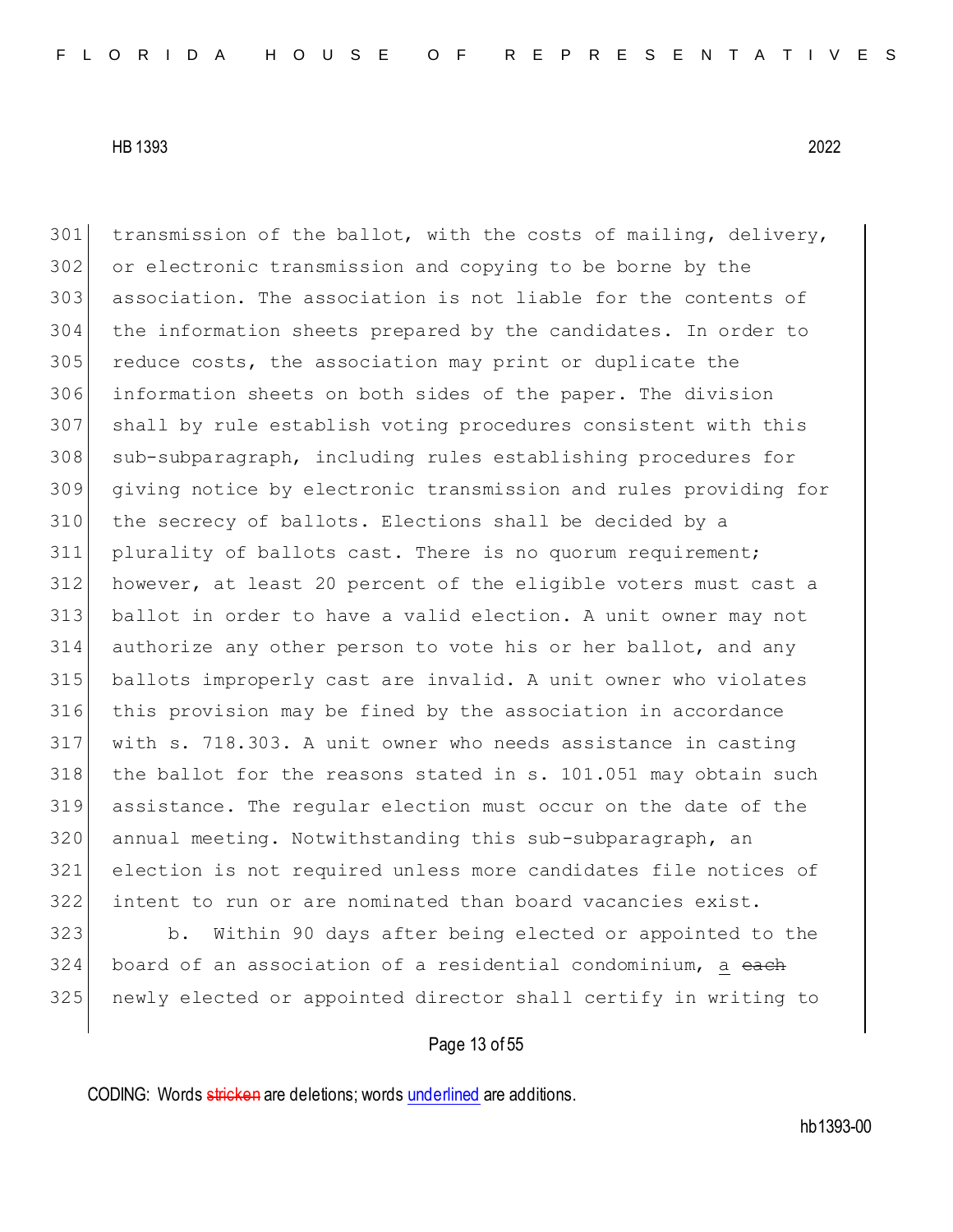transmission of the ballot, with the costs of mailing, delivery, or electronic transmission and copying to be borne by the association. The association is not liable for the contents of the information sheets prepared by the candidates. In order to reduce costs, the association may print or duplicate the information sheets on both sides of the paper. The division shall by rule establish voting procedures consistent with this sub-subparagraph, including rules establishing procedures for giving notice by electronic transmission and rules providing for the secrecy of ballots. Elections shall be decided by a plurality of ballots cast. There is no quorum requirement; however, at least 20 percent of the eligible voters must cast a ballot in order to have a valid election. A unit owner may not authorize any other person to vote his or her ballot, and any ballots improperly cast are invalid. A unit owner who violates this provision may be fined by the association in accordance with s. 718.303. A unit owner who needs assistance in casting the ballot for the reasons stated in s. 101.051 may obtain such assistance. The regular election must occur on the date of the 320 annual meeting. Notwithstanding this sub-subparagraph, an election is not required unless more candidates file notices of intent to run or are nominated than board vacancies exist.

 b. Within 90 days after being elected or appointed to the 324 board of an association of a residential condominium, a each newly elected or appointed director shall certify in writing to

# Page 13 of 55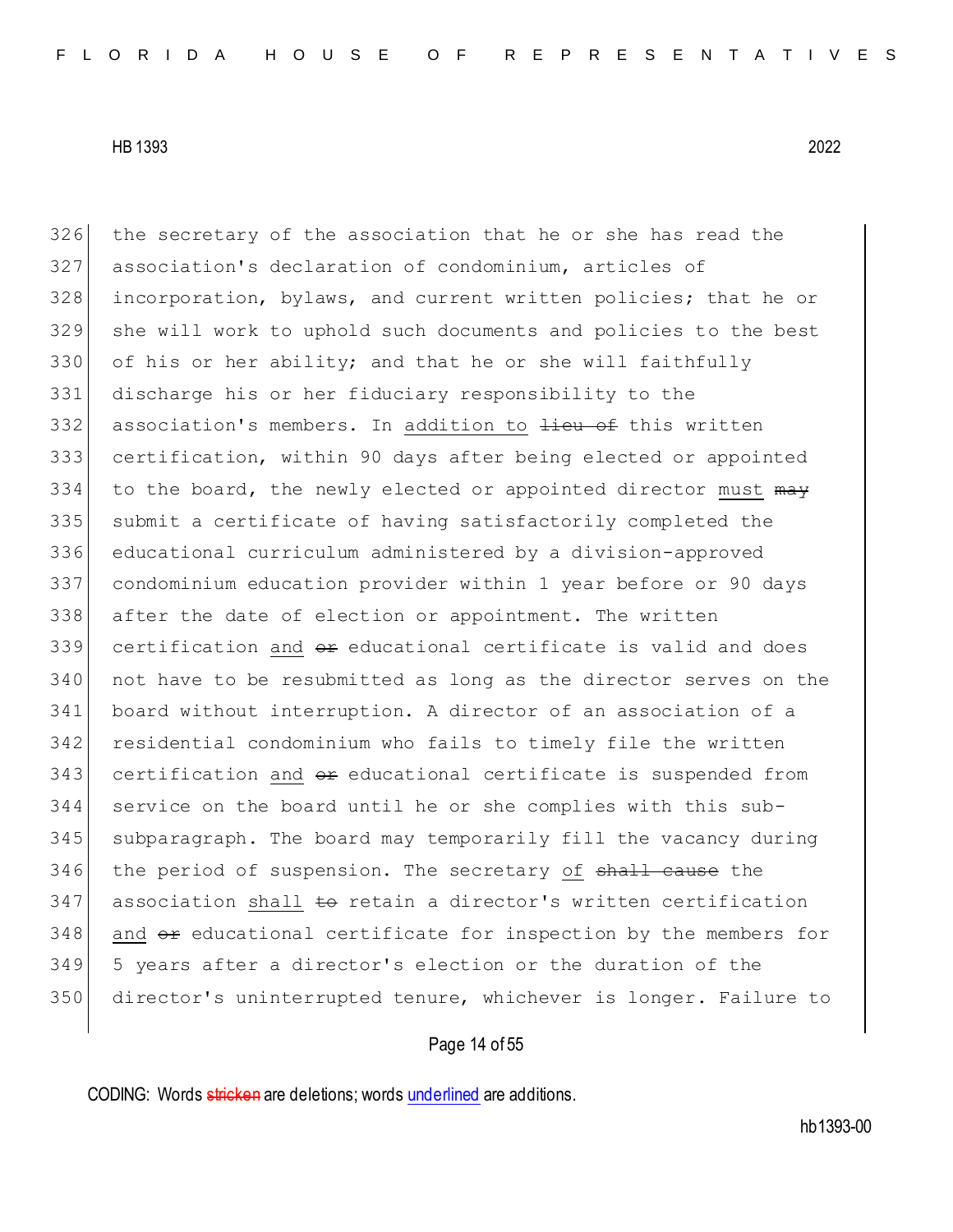the secretary of the association that he or she has read the association's declaration of condominium, articles of 328 incorporation, bylaws, and current written policies; that he or she will work to uphold such documents and policies to the best 330 of his or her ability; and that he or she will faithfully discharge his or her fiduciary responsibility to the 332 association's members. In addition to lieu of this written certification, within 90 days after being elected or appointed 334 to the board, the newly elected or appointed director must  $m\rightarrow$  submit a certificate of having satisfactorily completed the educational curriculum administered by a division-approved condominium education provider within 1 year before or 90 days after the date of election or appointment. The written certification and  $e^{i\phi}$  educational certificate is valid and does not have to be resubmitted as long as the director serves on the board without interruption. A director of an association of a residential condominium who fails to timely file the written certification and  $\theta$  educational certificate is suspended from service on the board until he or she complies with this sub-345 subparagraph. The board may temporarily fill the vacancy during 346 the period of suspension. The secretary of <del>shall cause</del> the association shall  $\pm\Theta$  retain a director's written certification and  $\theta$  educational certificate for inspection by the members for 5 years after a director's election or the duration of the director's uninterrupted tenure, whichever is longer. Failure to

# Page 14 of 55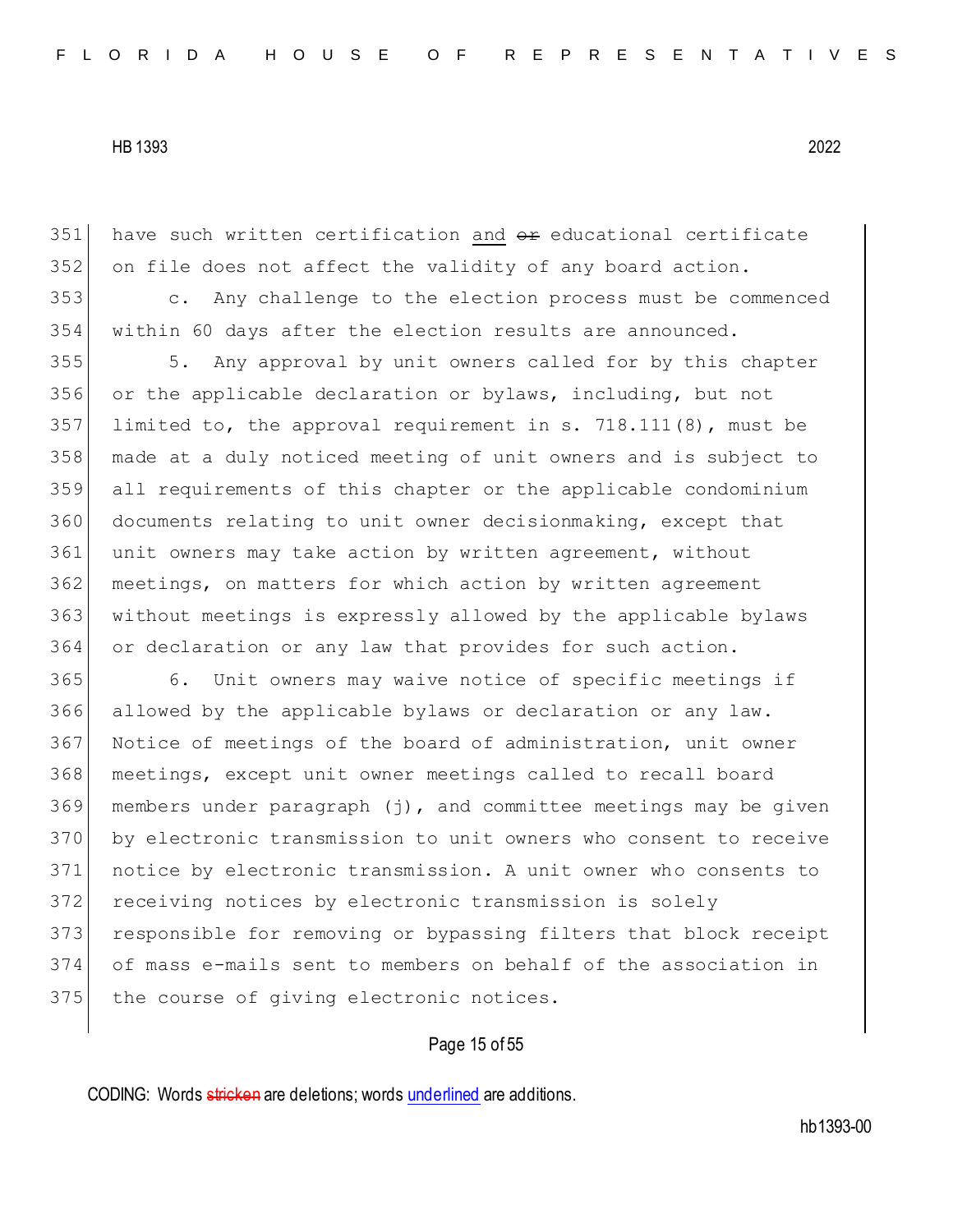have such written certification and  $\theta$  reducational certificate on file does not affect the validity of any board action.

 c. Any challenge to the election process must be commenced within 60 days after the election results are announced.

 5. Any approval by unit owners called for by this chapter or the applicable declaration or bylaws, including, but not limited to, the approval requirement in s. 718.111(8), must be made at a duly noticed meeting of unit owners and is subject to all requirements of this chapter or the applicable condominium documents relating to unit owner decisionmaking, except that unit owners may take action by written agreement, without meetings, on matters for which action by written agreement without meetings is expressly allowed by the applicable bylaws or declaration or any law that provides for such action.

365 6. Unit owners may waive notice of specific meetings if allowed by the applicable bylaws or declaration or any law. 367 Notice of meetings of the board of administration, unit owner meetings, except unit owner meetings called to recall board members under paragraph (j), and committee meetings may be given by electronic transmission to unit owners who consent to receive notice by electronic transmission. A unit owner who consents to receiving notices by electronic transmission is solely 373 responsible for removing or bypassing filters that block receipt of mass e-mails sent to members on behalf of the association in 375 the course of giving electronic notices.

### Page 15 of 55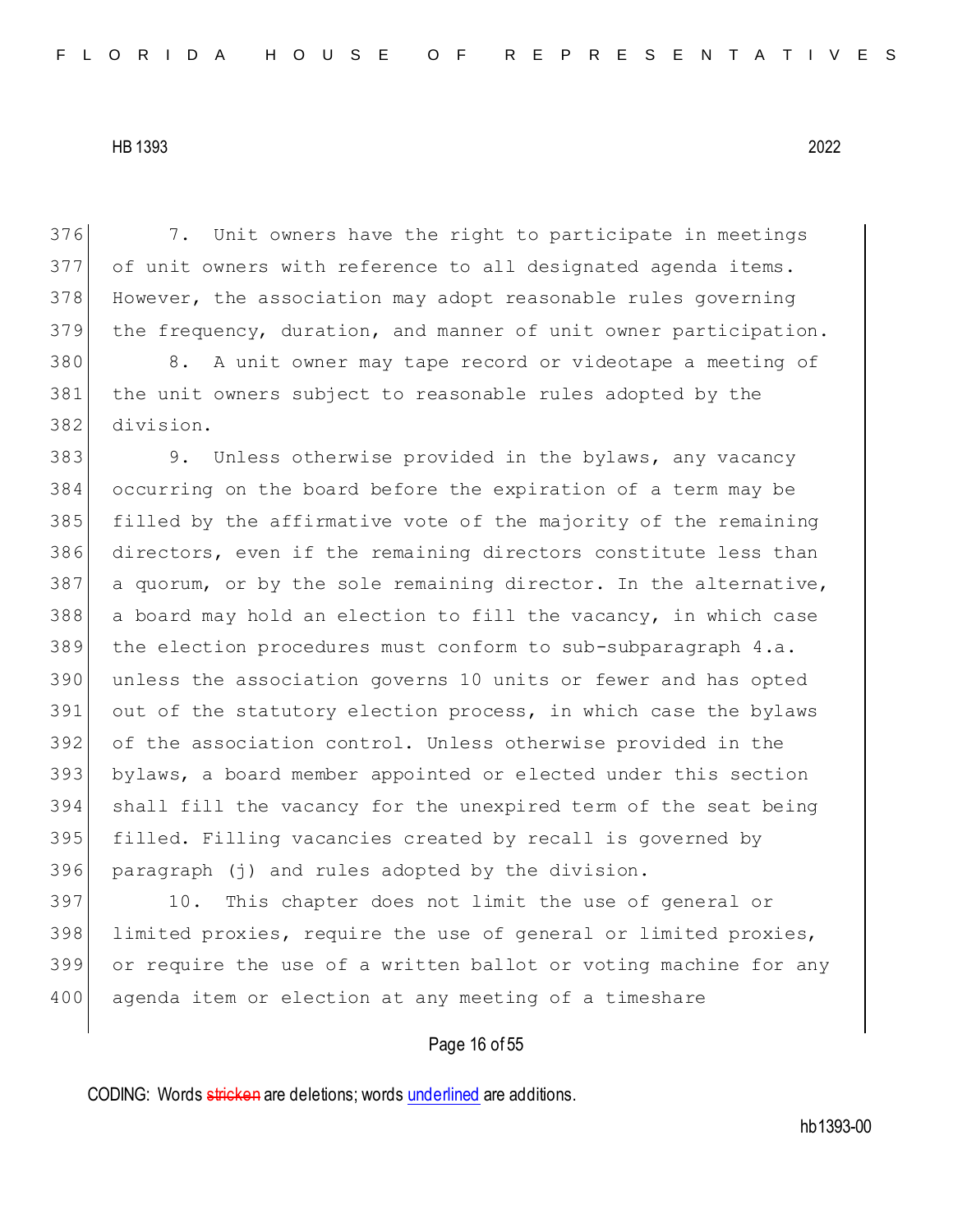376 7. Unit owners have the right to participate in meetings 377 of unit owners with reference to all designated agenda items. 378 However, the association may adopt reasonable rules governing 379 the frequency, duration, and manner of unit owner participation.

380 8. A unit owner may tape record or videotape a meeting of 381 the unit owners subject to reasonable rules adopted by the 382 division.

383 9. Unless otherwise provided in the bylaws, any vacancy occurring on the board before the expiration of a term may be filled by the affirmative vote of the majority of the remaining directors, even if the remaining directors constitute less than a quorum, or by the sole remaining director. In the alternative, a board may hold an election to fill the vacancy, in which case the election procedures must conform to sub-subparagraph 4.a. unless the association governs 10 units or fewer and has opted 391 out of the statutory election process, in which case the bylaws of the association control. Unless otherwise provided in the bylaws, a board member appointed or elected under this section shall fill the vacancy for the unexpired term of the seat being filled. Filling vacancies created by recall is governed by paragraph (j) and rules adopted by the division.

397 10. This chapter does not limit the use of general or 398 limited proxies, require the use of general or limited proxies, 399 or require the use of a written ballot or voting machine for any 400 agenda item or election at any meeting of a timeshare

# Page 16 of 55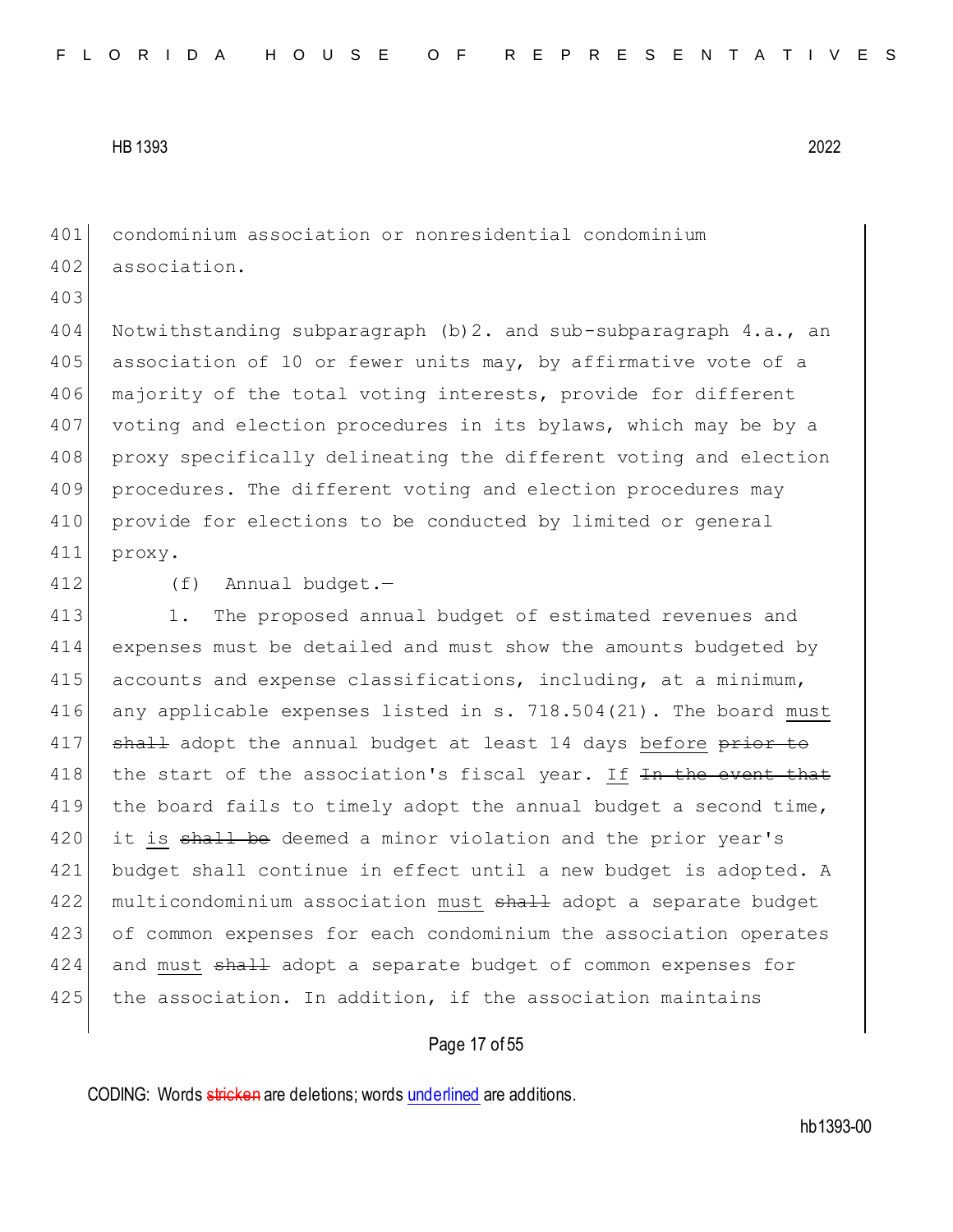401 condominium association or nonresidential condominium 402 association.

403

404 Notwithstanding subparagraph (b)2. and sub-subparagraph 4.a., an 405 association of 10 or fewer units may, by affirmative vote of a 406 majority of the total voting interests, provide for different 407 voting and election procedures in its bylaws, which may be by a 408 proxy specifically delineating the different voting and election 409 procedures. The different voting and election procedures may 410 provide for elections to be conducted by limited or general 411 proxy.

412 (f) Annual budget.-

413 1. The proposed annual budget of estimated revenues and 414 expenses must be detailed and must show the amounts budgeted by 415 accounts and expense classifications, including, at a minimum, 416 any applicable expenses listed in s. 718.504(21). The board must 417 shall adopt the annual budget at least 14 days before prior to 418 the start of the association's fiscal year. If <del>In the event that</del> 419 the board fails to timely adopt the annual budget a second time, 420 it is shall be deemed a minor violation and the prior year's 421 budget shall continue in effect until a new budget is adopted. A 422 | multicondominium association must <del>shall</del> adopt a separate budget 423 of common expenses for each condominium the association operates 424 and must shall adopt a separate budget of common expenses for 425 the association. In addition, if the association maintains

# Page 17 of 55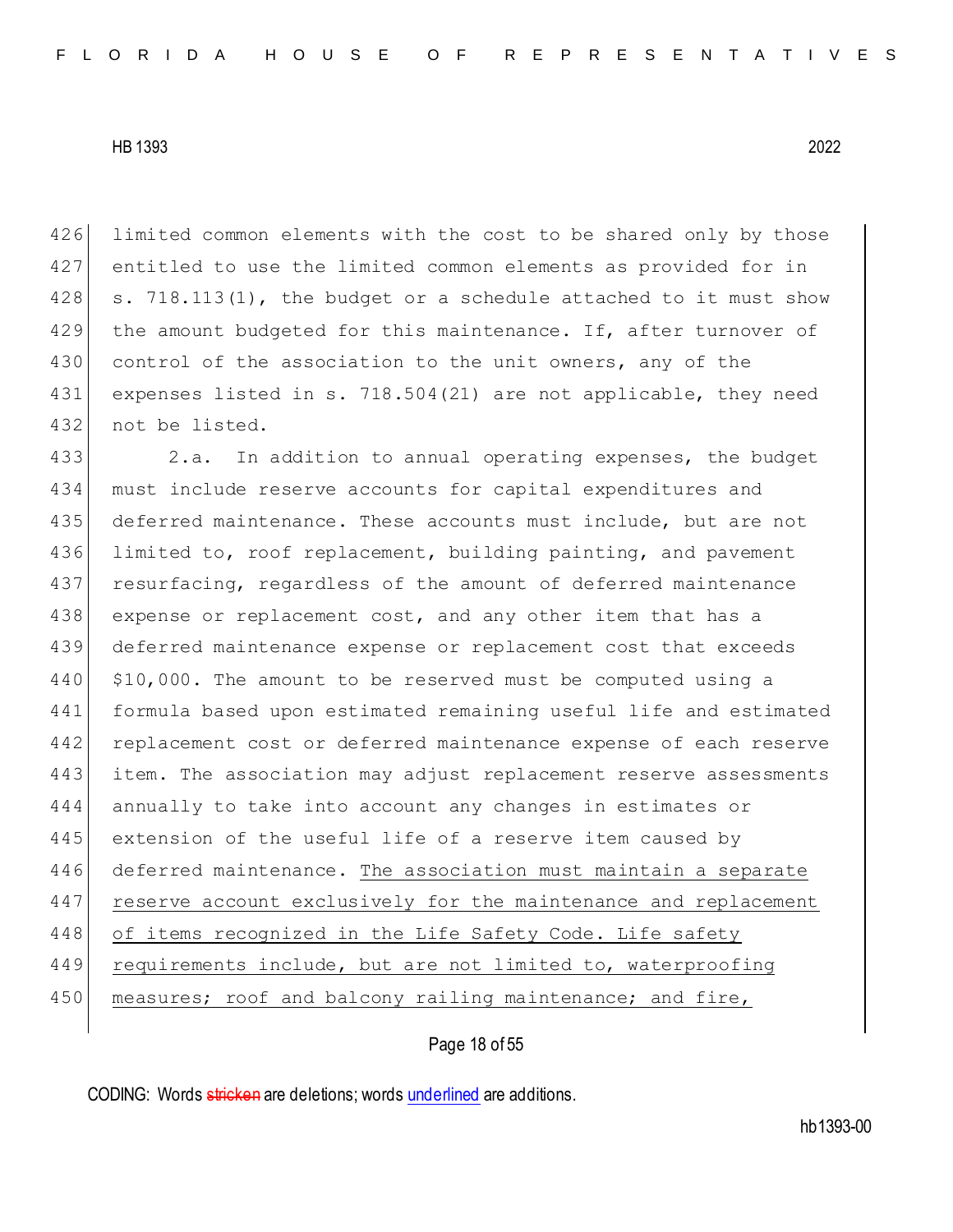426 limited common elements with the cost to be shared only by those 427 entitled to use the limited common elements as provided for in  $428$  s. 718.113(1), the budget or a schedule attached to it must show 429 the amount budgeted for this maintenance. If, after turnover of 430 control of the association to the unit owners, any of the 431 expenses listed in s. 718.504(21) are not applicable, they need 432 not be listed.

433 2.a. In addition to annual operating expenses, the budget 434 must include reserve accounts for capital expenditures and 435 deferred maintenance. These accounts must include, but are not 436 limited to, roof replacement, building painting, and pavement 437 resurfacing, regardless of the amount of deferred maintenance 438 expense or replacement cost, and any other item that has a 439 deferred maintenance expense or replacement cost that exceeds 440 | \$10,000. The amount to be reserved must be computed using a 441 formula based upon estimated remaining useful life and estimated 442 replacement cost or deferred maintenance expense of each reserve 443 item. The association may adjust replacement reserve assessments 444 annually to take into account any changes in estimates or 445 extension of the useful life of a reserve item caused by 446 deferred maintenance. The association must maintain a separate 447 reserve account exclusively for the maintenance and replacement 448 of items recognized in the Life Safety Code. Life safety 449 requirements include, but are not limited to, waterproofing 450 measures; roof and balcony railing maintenance; and fire,

# Page 18 of 55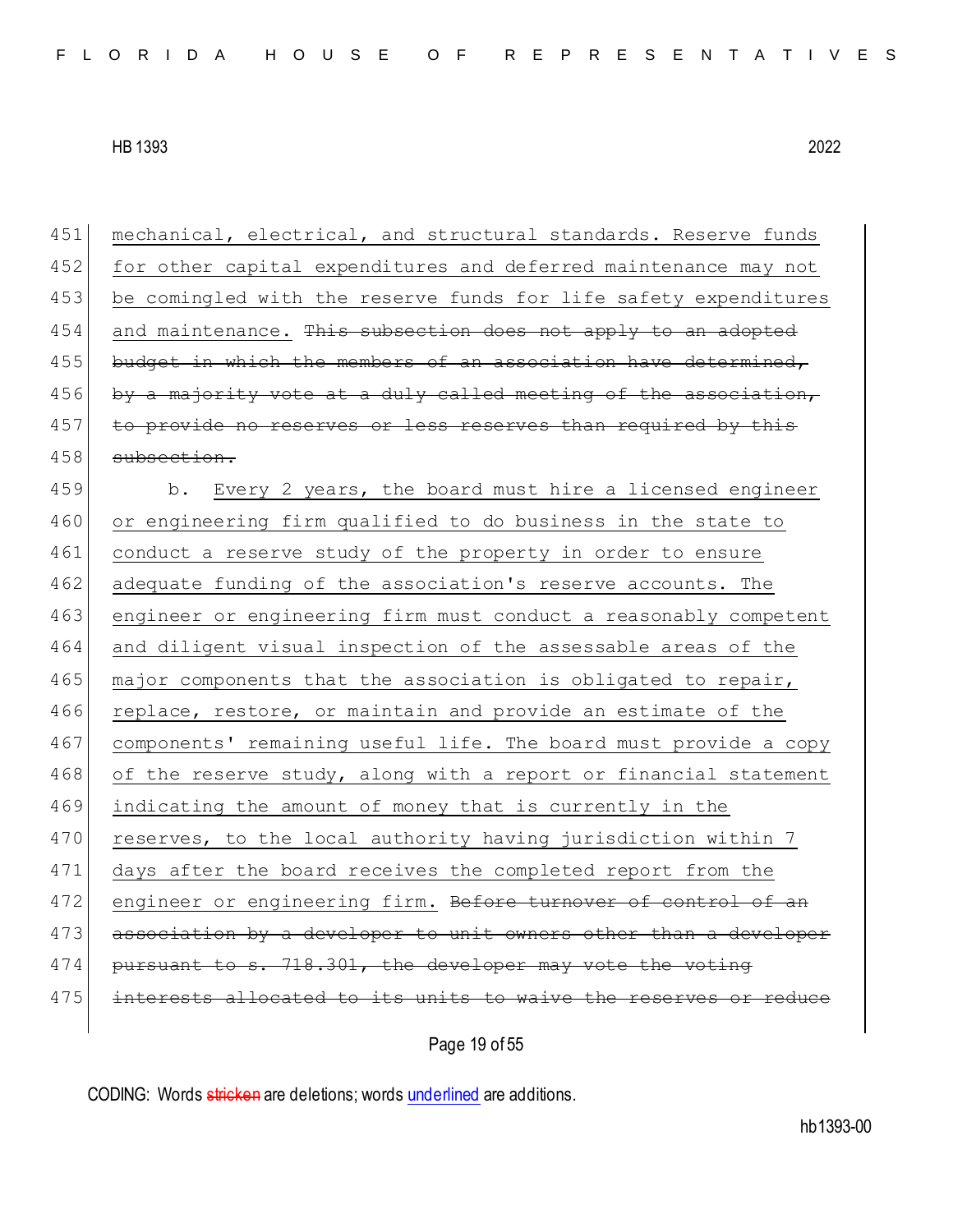451 mechanical, electrical, and structural standards. Reserve funds 452 for other capital expenditures and deferred maintenance may not 453 be comingled with the reserve funds for life safety expenditures  $454$  and maintenance. This subsection does not apply to an adopted 455 budget in which the members of an association have determined, 456 by a majority vote at a duly called meeting of the association, 457 to provide no reserves or less reserves than required by this 458 subsection. 459 b. Every 2 years, the board must hire a licensed engineer 460 or engineering firm qualified to do business in the state to 461 conduct a reserve study of the property in order to ensure 462 adequate funding of the association's reserve accounts. The 463 engineer or engineering firm must conduct a reasonably competent 464 and diligent visual inspection of the assessable areas of the 465 major components that the association is obligated to repair, 466 replace, restore, or maintain and provide an estimate of the 467 components' remaining useful life. The board must provide a copy 468 of the reserve study, along with a report or financial statement 469 indicating the amount of money that is currently in the 470 reserves, to the local authority having jurisdiction within 7 471 days after the board receives the completed report from the 472 engineer or engineering firm. Before turnover of control of an 473 association by a developer to unit owners other than a developer  $474$  pursuant to s. 718.301, the developer may vote the voting 475 interests allocated to its units to waive the reserves or reduce

Page 19 of 55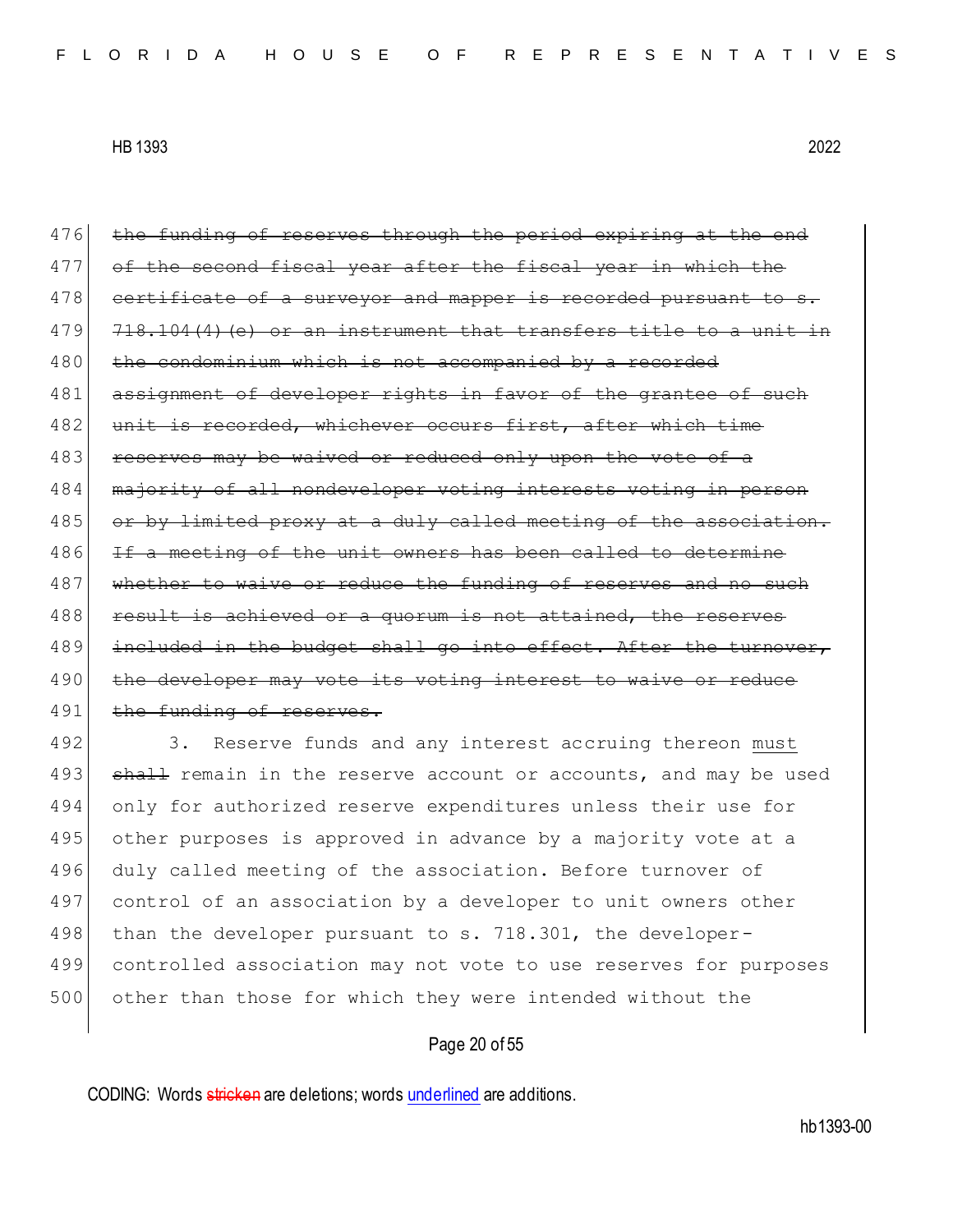476 the funding of reserves through the period expiring at the end 477 of the second fiscal year after the fiscal year in which the 478 certificate of a surveyor and mapper is recorded pursuant to  $479$   $718.104(4)$  (e) or an instrument that transfers title to a unit 480 the condominium which is not accompanied by a recorded 481 assignment of developer rights in favor of the grantee of such 482 unit is recorded, whichever occurs first, after which time 483 reserves may be waived or reduced only upon the vote of a 484 majority of all nondeveloper voting interests voting in person 485 or by limited proxy at a duly called meeting of the association. 486 If a meeting of the unit owners has been called to determine 487 whether to waive or reduce the funding of reserves and no such 488 result is achieved or a quorum is not attained, the reserves 489 included in the budget shall go into effect. After the turnover, 490 the developer may vote its voting interest to waive or reduce 491 the funding of reserves.

492 3. Reserve funds and any interest accruing thereon must 493 shall remain in the reserve account or accounts, and may be used 494 only for authorized reserve expenditures unless their use for 495 other purposes is approved in advance by a majority vote at a 496 duly called meeting of the association. Before turnover of 497 control of an association by a developer to unit owners other 498 than the developer pursuant to s. 718.301, the developer-499 controlled association may not vote to use reserves for purposes 500 other than those for which they were intended without the

## Page 20 of 55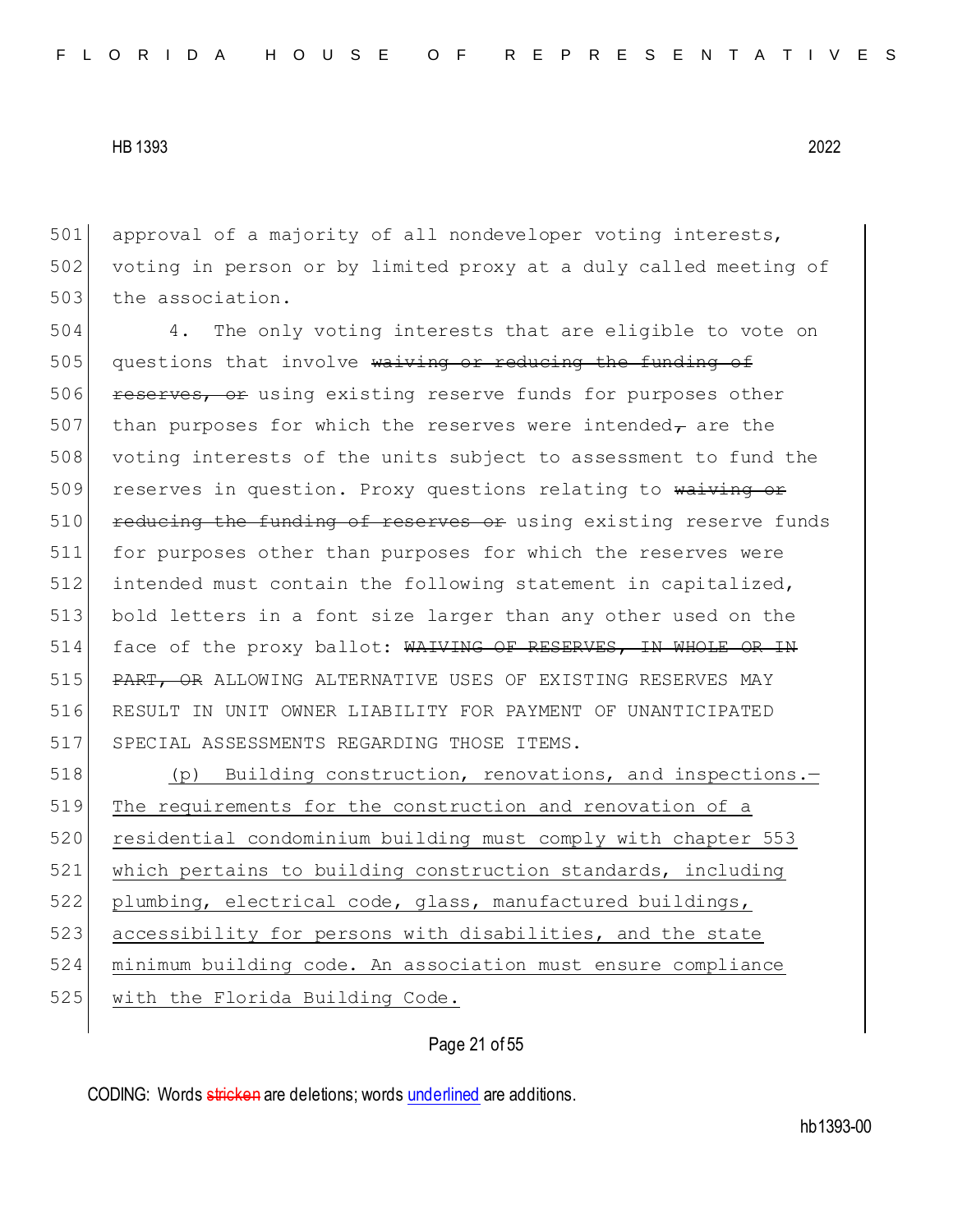501 approval of a majority of all nondeveloper voting interests, 502 voting in person or by limited proxy at a duly called meeting of 503 the association.

504 4. The only voting interests that are eligible to vote on 505 questions that involve waiving or reducing the funding of 506 reserves, or using existing reserve funds for purposes other 507 than purposes for which the reserves were intended $<sub>\tau</sub>$  are the</sub> 508 voting interests of the units subject to assessment to fund the 509 reserves in question. Proxy questions relating to waiving or 510 reducing the funding of reserves or using existing reserve funds 511 for purposes other than purposes for which the reserves were 512 intended must contain the following statement in capitalized, 513 bold letters in a font size larger than any other used on the 514 face of the proxy ballot: WAIVING OF RESERVES, IN WHOLE OR IN 515 PART, OR ALLOWING ALTERNATIVE USES OF EXISTING RESERVES MAY 516 RESULT IN UNIT OWNER LIABILITY FOR PAYMENT OF UNANTICIPATED 517 SPECIAL ASSESSMENTS REGARDING THOSE ITEMS.

 (p) Building construction, renovations, and inspections.— 519 The requirements for the construction and renovation of a residential condominium building must comply with chapter 553 which pertains to building construction standards, including plumbing, electrical code, glass, manufactured buildings, 523 accessibility for persons with disabilities, and the state minimum building code. An association must ensure compliance 525 with the Florida Building Code.

Page 21 of 55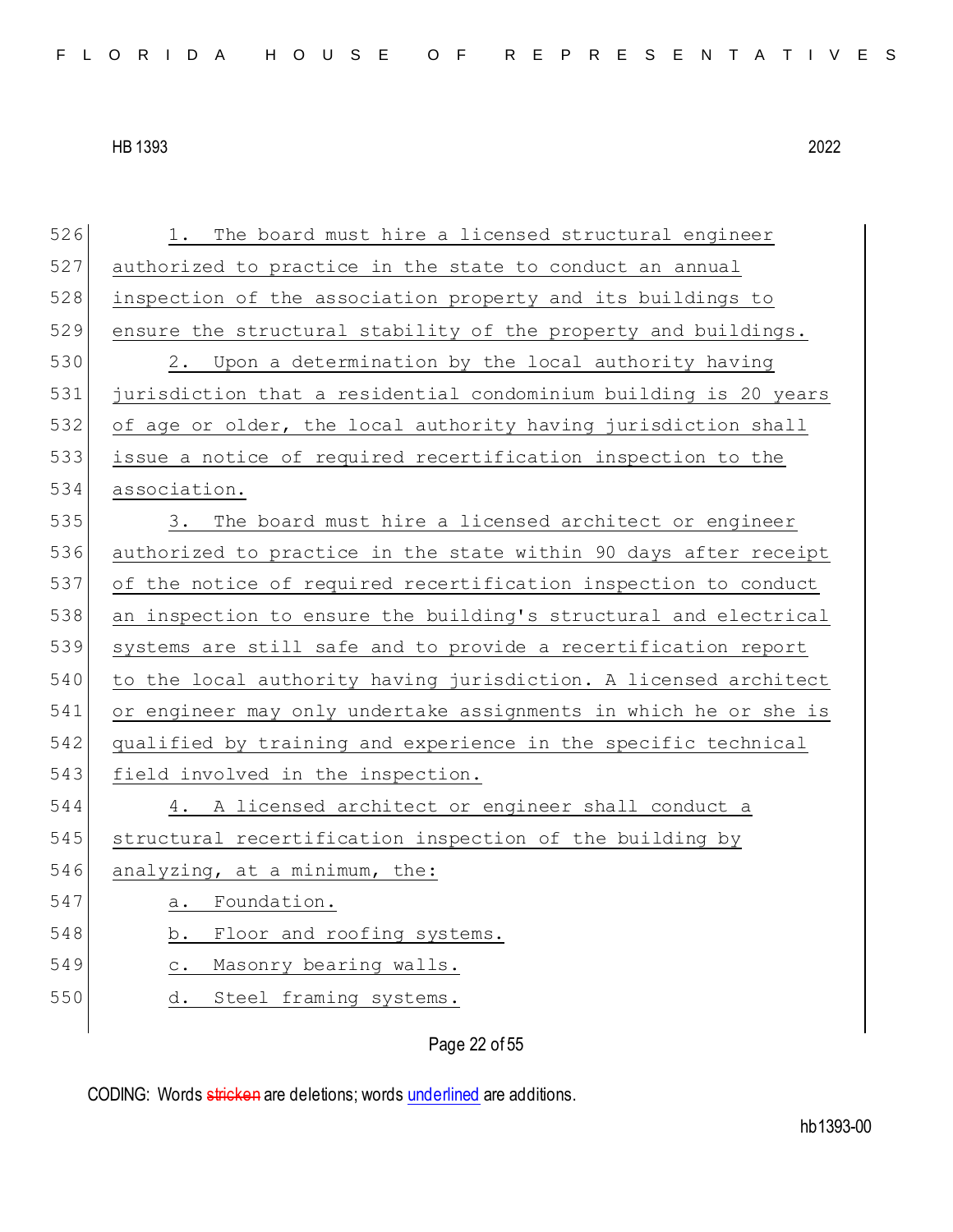526 1. The board must hire a licensed structural engineer 527 authorized to practice in the state to conduct an annual 528 inspection of the association property and its buildings to 529 ensure the structural stability of the property and buildings. 530 2. Upon a determination by the local authority having 531 jurisdiction that a residential condominium building is 20 years 532 of age or older, the local authority having jurisdiction shall 533 issue a notice of required recertification inspection to the 534 association. 535 3. The board must hire a licensed architect or engineer 536 authorized to practice in the state within 90 days after receipt 537 of the notice of required recertification inspection to conduct 538 an inspection to ensure the building's structural and electrical 539 systems are still safe and to provide a recertification report 540 to the local authority having jurisdiction. A licensed architect 541 or engineer may only undertake assignments in which he or she is 542 qualified by training and experience in the specific technical 543 field involved in the inspection. 544 4. A licensed architect or engineer shall conduct a 545 structural recertification inspection of the building by 546 analyzing, at a minimum, the: 547 a. Foundation. 548 b. Floor and roofing systems. 549 c. Masonry bearing walls. 550 d. Steel framing systems.

Page 22 of 55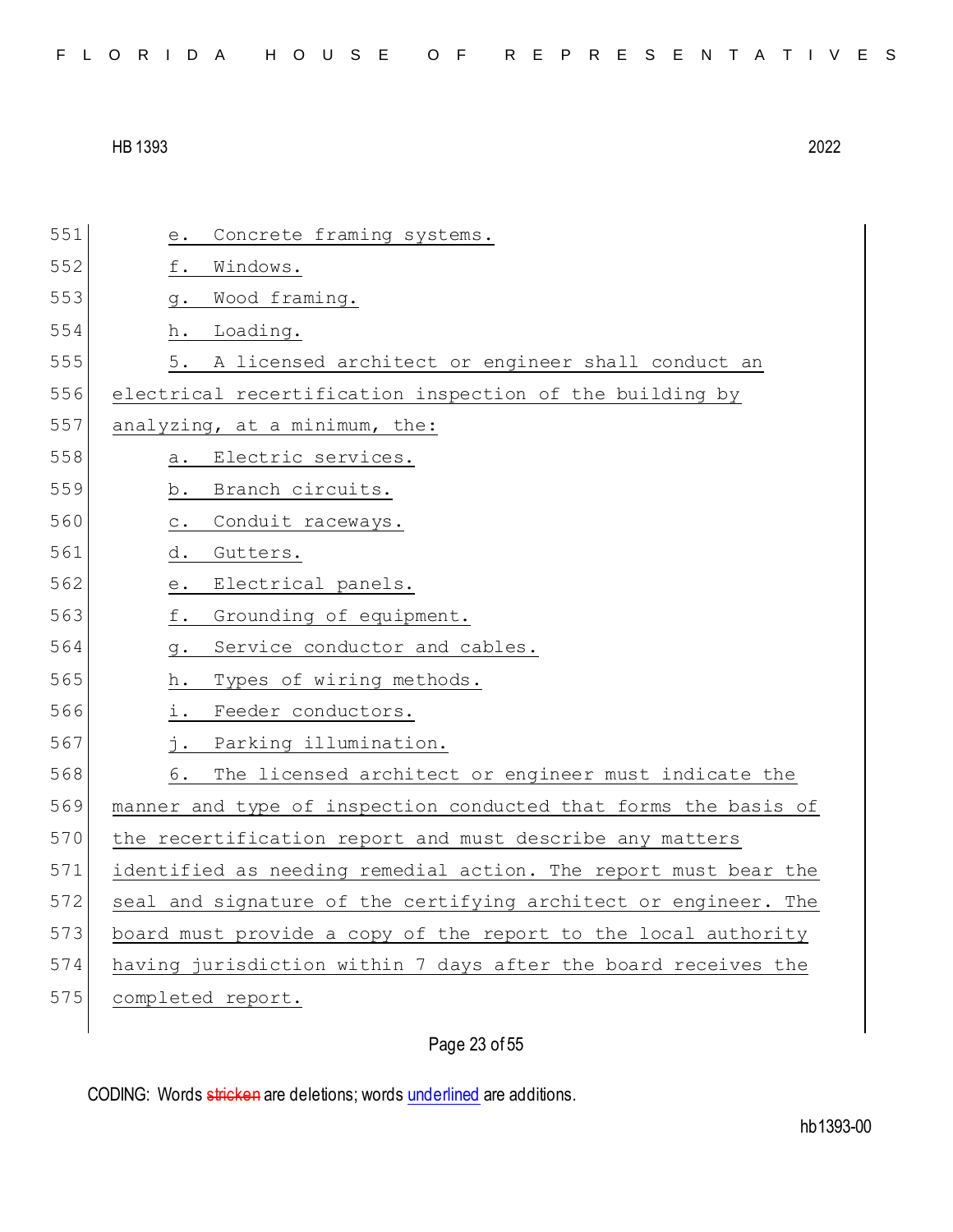551 e. Concrete framing systems. 552 f. Windows. 553 g. Wood framing. 554 h. Loading. 555 5. A licensed architect or engineer shall conduct an 556 electrical recertification inspection of the building by 557 analyzing, at a minimum, the: 558 a. Electric services. 559 b. Branch circuits. 560 c. Conduit raceways. 561 d. Gutters. 562 e. Electrical panels. 563 f. Grounding of equipment. 564 g. Service conductor and cables. 565 h. Types of wiring methods. 566 i. Feeder conductors. 567 j. Parking illumination. 568 6. The licensed architect or engineer must indicate the 569 manner and type of inspection conducted that forms the basis of 570 the recertification report and must describe any matters 571 identified as needing remedial action. The report must bear the 572 seal and signature of the certifying architect or engineer. The 573 board must provide a copy of the report to the local authority 574 having jurisdiction within 7 days after the board receives the 575 completed report.

Page 23 of 55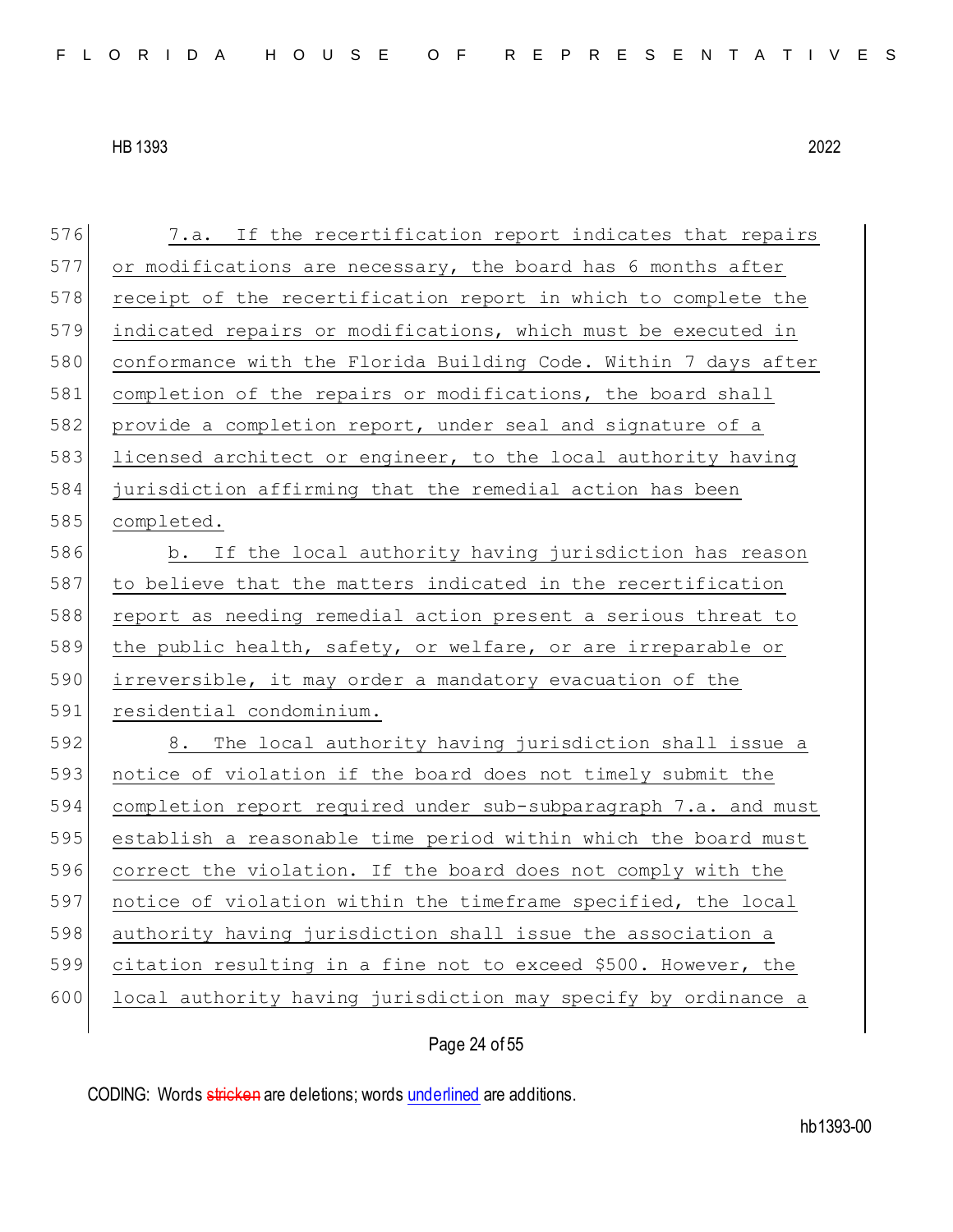| 576 | 7.a. If the recertification report indicates that repairs       |
|-----|-----------------------------------------------------------------|
| 577 | or modifications are necessary, the board has 6 months after    |
| 578 | receipt of the recertification report in which to complete the  |
| 579 | indicated repairs or modifications, which must be executed in   |
| 580 | conformance with the Florida Building Code. Within 7 days after |
| 581 | completion of the repairs or modifications, the board shall     |
| 582 | provide a completion report, under seal and signature of a      |
| 583 | licensed architect or engineer, to the local authority having   |
| 584 | jurisdiction affirming that the remedial action has been        |
| 585 | completed.                                                      |
| 586 | b. If the local authority having jurisdiction has reason        |
| 587 | to believe that the matters indicated in the recertification    |
| 588 | report as needing remedial action present a serious threat to   |
| 589 | the public health, safety, or welfare, or are irreparable or    |
| 590 | irreversible, it may order a mandatory evacuation of the        |
| 591 | residential condominium.                                        |
| 592 | 8. The local authority having jurisdiction shall issue a        |
| 593 | notice of violation if the board does not timely submit the     |
| 594 | completion report required under sub-subparagraph 7.a. and must |
| 595 | establish a reasonable time period within which the board must  |
| 596 | correct the violation. If the board does not comply with the    |
| 597 | notice of violation within the timeframe specified, the local   |
| 598 | authority having jurisdiction shall issue the association a     |
| 599 | citation resulting in a fine not to exceed \$500. However, the  |
| 600 | local authority having jurisdiction may specify by ordinance a  |
|     |                                                                 |

# Page 24 of 55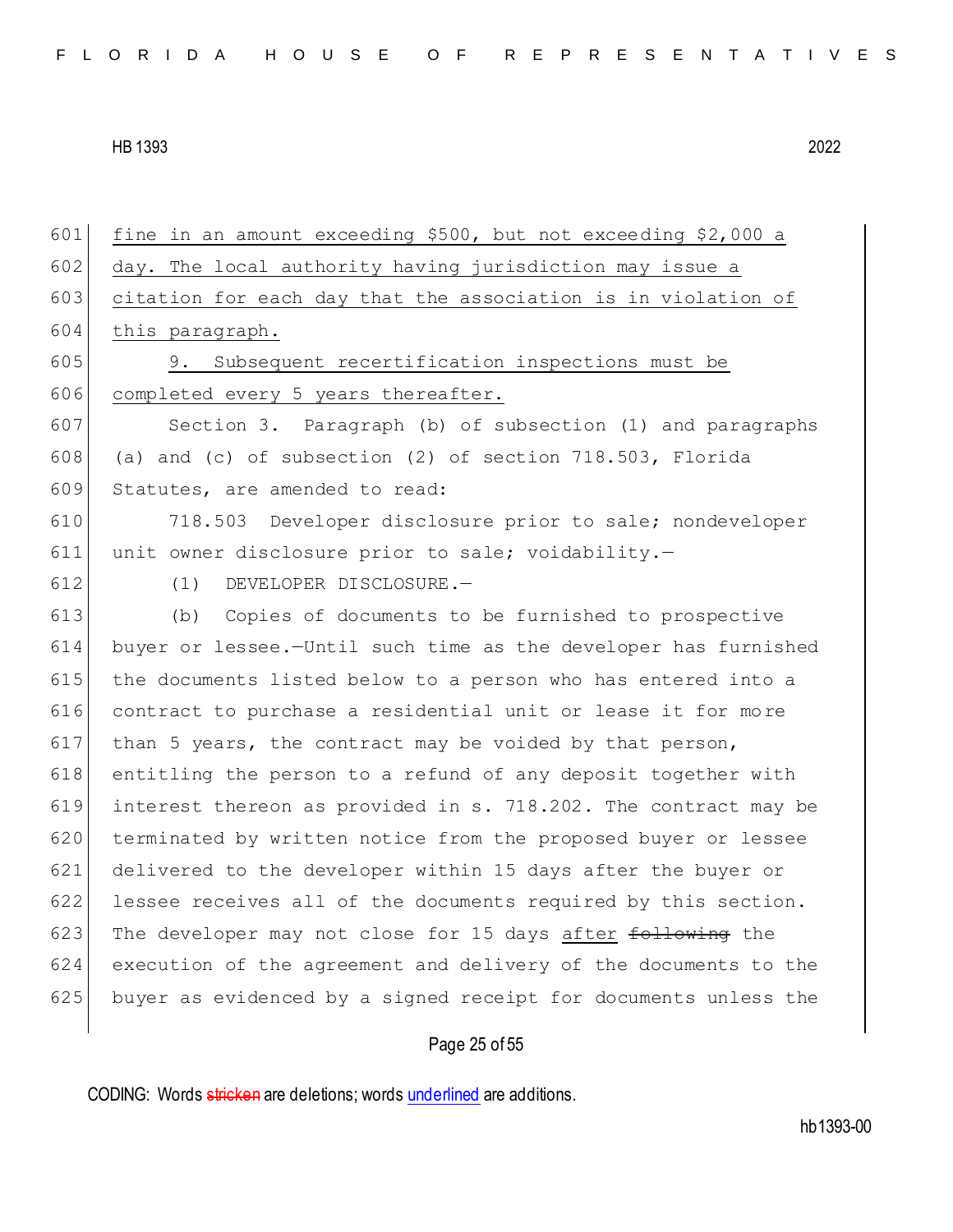fine in an amount exceeding \$500, but not exceeding \$2,000 a 602 day. The local authority having jurisdiction may issue a 603 citation for each day that the association is in violation of this paragraph. 9. Subsequent recertification inspections must be 606 completed every 5 years thereafter. Section 3. Paragraph (b) of subsection (1) and paragraphs 608 (a) and (c) of subsection  $(2)$  of section 718.503, Florida 609 Statutes, are amended to read: 718.503 Developer disclosure prior to sale; nondeveloper unit owner disclosure prior to sale; voidability.— (1) DEVELOPER DISCLOSURE.— (b) Copies of documents to be furnished to prospective buyer or lessee.—Until such time as the developer has furnished the documents listed below to a person who has entered into a contract to purchase a residential unit or lease it for more 617 than 5 years, the contract may be voided by that person, 618 entitling the person to a refund of any deposit together with interest thereon as provided in s. 718.202. The contract may be 620 terminated by written notice from the proposed buyer or lessee delivered to the developer within 15 days after the buyer or lessee receives all of the documents required by this section. 623 The developer may not close for 15 days after following the execution of the agreement and delivery of the documents to the buyer as evidenced by a signed receipt for documents unless the

# Page 25 of 55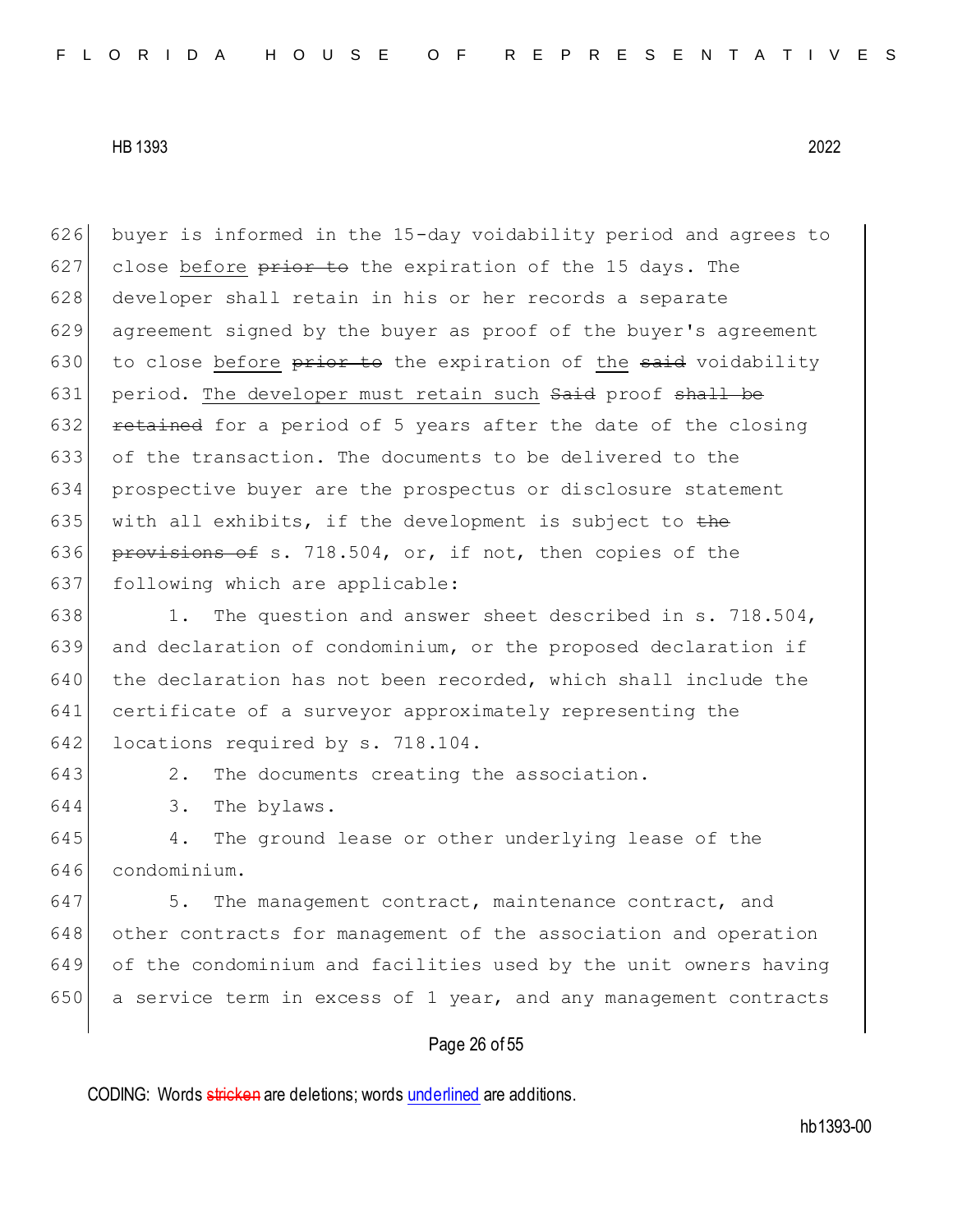626 buyer is informed in the 15-day voidability period and agrees to 627 close before  $\frac{p}{p}$  and the expiration of the 15 days. The 628 developer shall retain in his or her records a separate 629 agreement signed by the buyer as proof of the buyer's agreement 630 to close before  $\frac{1}{x}$  be the expiration of the said voidability 631 period. The developer must retain such Said proof shall be 632 **retained** for a period of 5 years after the date of the closing 633 of the transaction. The documents to be delivered to the 634 prospective buyer are the prospectus or disclosure statement 635 with all exhibits, if the development is subject to  $\pm$ he 636 provisions of s. 718.504, or, if not, then copies of the 637 following which are applicable: 638 1. The question and answer sheet described in s. 718.504, 639 and declaration of condominium, or the proposed declaration if  $640$  the declaration has not been recorded, which shall include the 641 certificate of a surveyor approximately representing the 642 locations required by s. 718.104. 643 2. The documents creating the association. 644 3. The bylaws. 645 4. The ground lease or other underlying lease of the 646 condominium. 647 5. The management contract, maintenance contract, and 648 other contracts for management of the association and operation

649 of the condominium and facilities used by the unit owners having 650 a service term in excess of 1 year, and any management contracts

# Page 26 of 55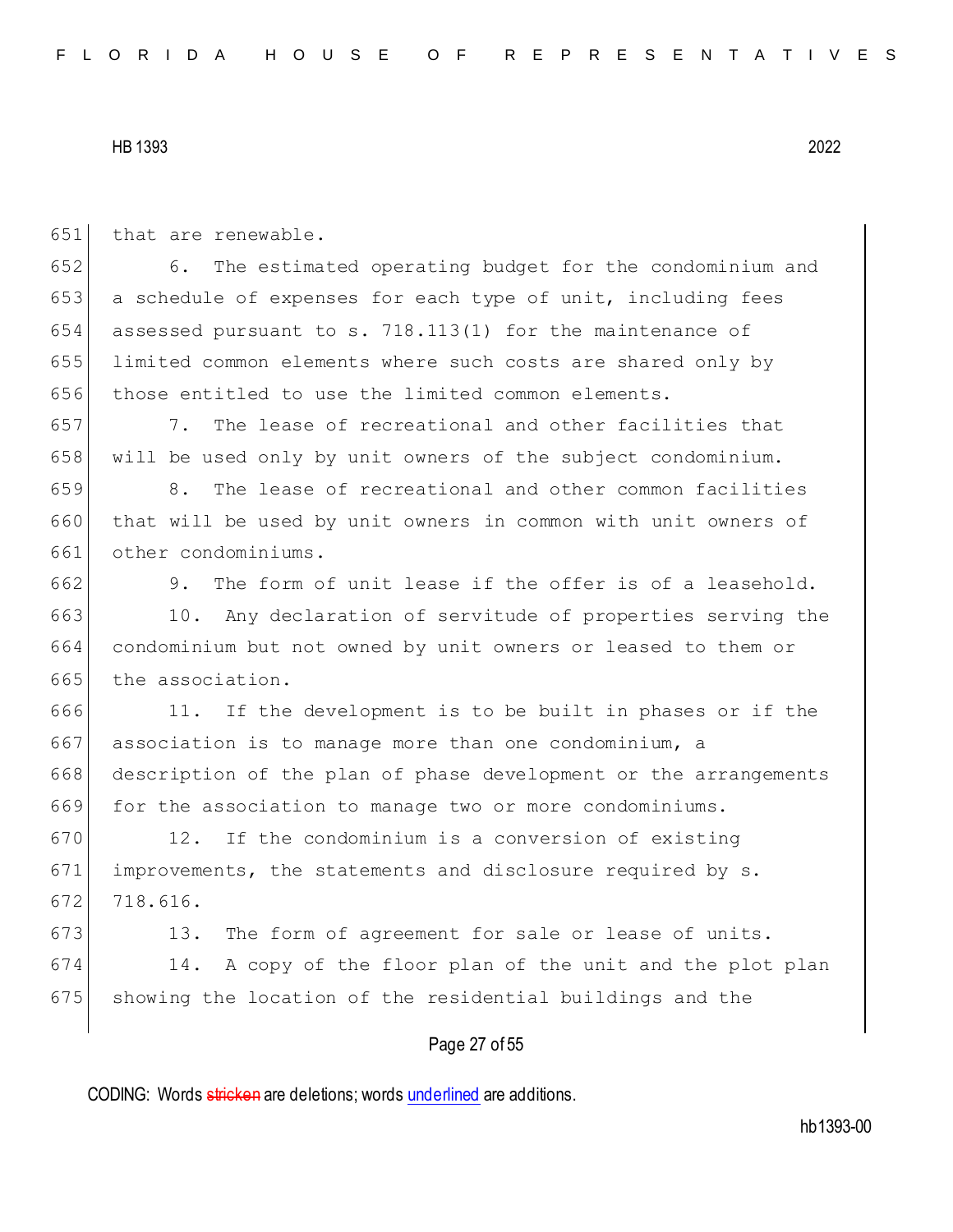| 651 | that are renewable.                                              |
|-----|------------------------------------------------------------------|
| 652 | 6.<br>The estimated operating budget for the condominium and     |
| 653 | a schedule of expenses for each type of unit, including fees     |
| 654 | assessed pursuant to s. 718.113(1) for the maintenance of        |
| 655 | limited common elements where such costs are shared only by      |
| 656 | those entitled to use the limited common elements.               |
| 657 | The lease of recreational and other facilities that<br>7.        |
| 658 | will be used only by unit owners of the subject condominium.     |
| 659 | 8.<br>The lease of recreational and other common facilities      |
| 660 | that will be used by unit owners in common with unit owners of   |
| 661 | other condominiums.                                              |
| 662 | 9.<br>The form of unit lease if the offer is of a leasehold.     |
| 663 | 10. Any declaration of servitude of properties serving the       |
| 664 | condominium but not owned by unit owners or leased to them or    |
| 665 | the association.                                                 |
| 666 | If the development is to be built in phases or if the<br>11.     |
| 667 | association is to manage more than one condominium, a            |
| 668 | description of the plan of phase development or the arrangements |
| 669 | for the association to manage two or more condominiums.          |
| 670 | If the condominium is a conversion of existing<br>12.            |
| 671 | improvements, the statements and disclosure required by s.       |
| 672 | 718.616.                                                         |
| 673 | The form of agreement for sale or lease of units.<br>13.         |
| 674 | A copy of the floor plan of the unit and the plot plan<br>14.    |
| 675 | showing the location of the residential buildings and the        |
|     | Page 27 of 55                                                    |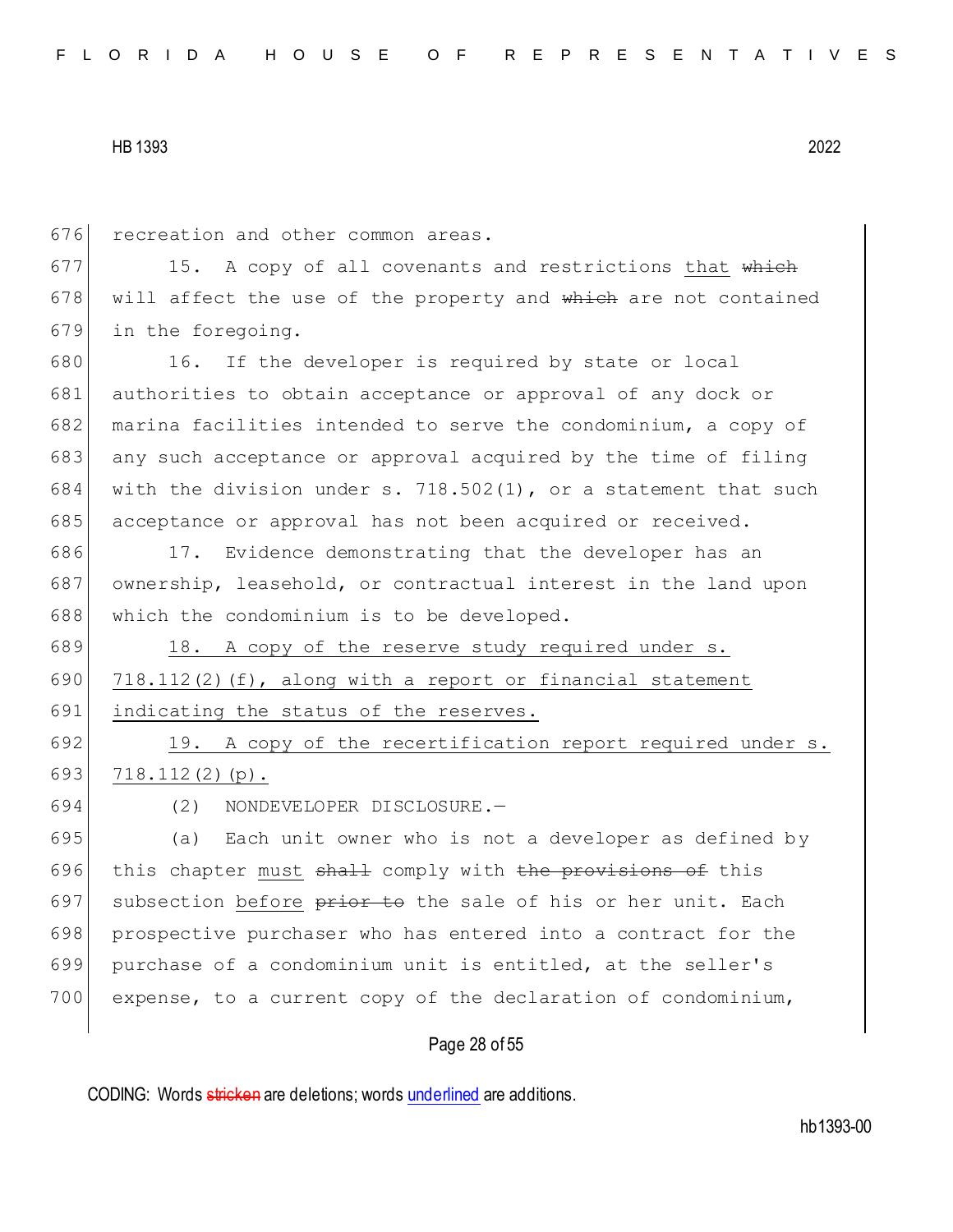676 recreation and other common areas.

 $677$  15. A copy of all covenants and restrictions that which 678 will affect the use of the property and  $\frac{1}{2}$  which are not contained 679 in the foregoing.

680 16. If the developer is required by state or local 681 authorities to obtain acceptance or approval of any dock or 682 marina facilities intended to serve the condominium, a copy of 683 any such acceptance or approval acquired by the time of filing 684 with the division under s. 718.502(1), or a statement that such 685 acceptance or approval has not been acquired or received.

686 17. Evidence demonstrating that the developer has an 687 ownership, leasehold, or contractual interest in the land upon 688 which the condominium is to be developed.

689 18. A copy of the reserve study required under s. 690  $\mid$  718.112(2)(f), along with a report or financial statement 691 indicating the status of the reserves.

692 19. A copy of the recertification report required under s. 693 718.112(2)(p).

694 (2) NONDEVELOPER DISCLOSURE.—

695 (a) Each unit owner who is not a developer as defined by 696 this chapter must shall comply with the provisions of this 697 subsection before prior to the sale of his or her unit. Each 698 prospective purchaser who has entered into a contract for the 699 purchase of a condominium unit is entitled, at the seller's 700 expense, to a current copy of the declaration of condominium,

## Page 28 of 55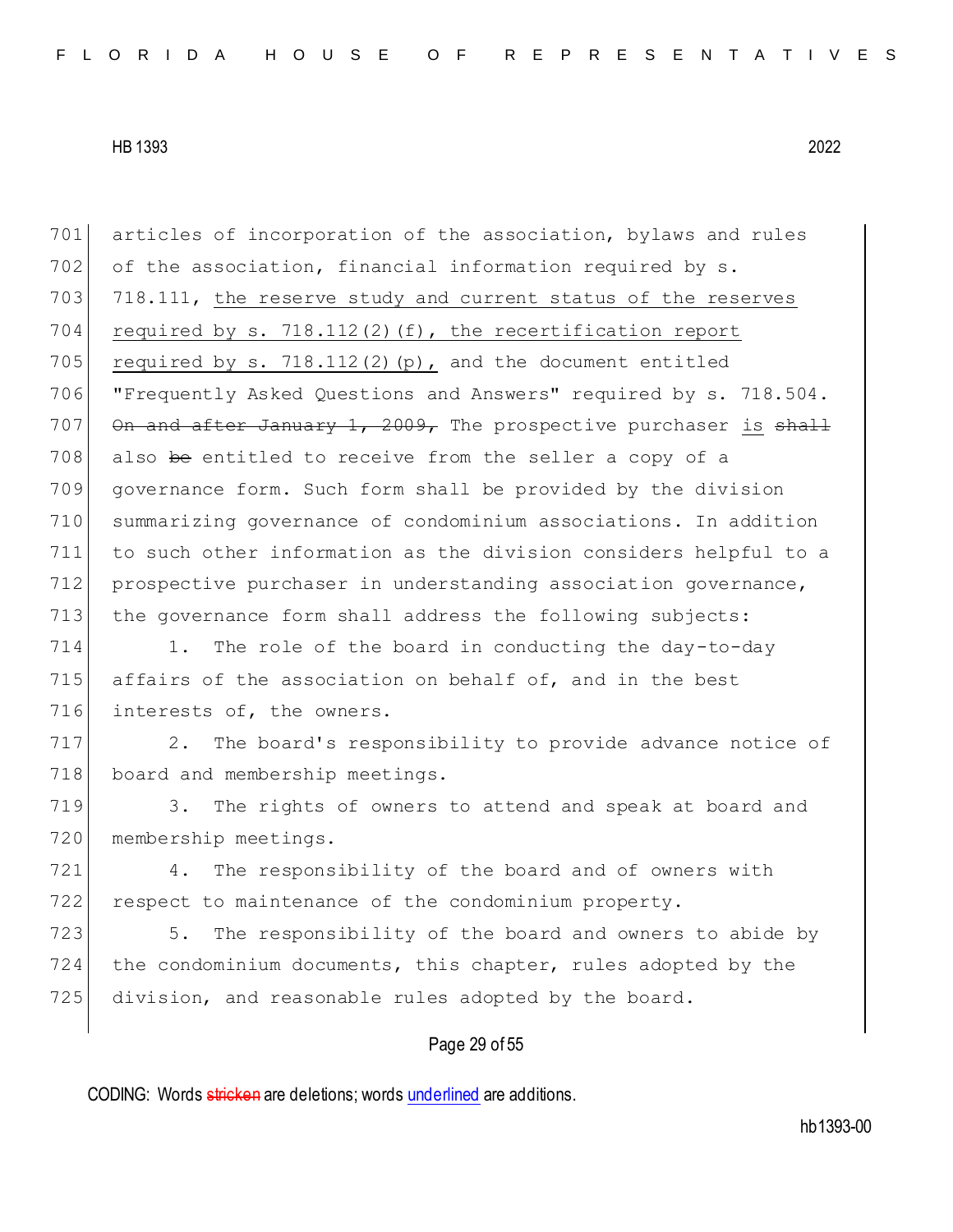701 articles of incorporation of the association, bylaws and rules 702 of the association, financial information required by  $s$ . 703 718.111, the reserve study and current status of the reserves 704 required by s. 718.112(2)(f), the recertification report 705 required by s. 718.112(2)(p), and the document entitled 706 "Frequently Asked Questions and Answers" required by s. 718.504. 707 On and after January 1, 2009, The prospective purchaser is  $shall$ 708 also be entitled to receive from the seller a copy of a 709 governance form. Such form shall be provided by the division 710 summarizing governance of condominium associations. In addition 711 to such other information as the division considers helpful to a 712 prospective purchaser in understanding association governance, 713 the governance form shall address the following subjects: 714 1. The role of the board in conducting the day-to-day 715 affairs of the association on behalf of, and in the best 716 interests of, the owners. 717 2. The board's responsibility to provide advance notice of 718 board and membership meetings. 719 3. The rights of owners to attend and speak at board and 720 membership meetings. 721 4. The responsibility of the board and of owners with 722 respect to maintenance of the condominium property. 723 5. The responsibility of the board and owners to abide by 724 the condominium documents, this chapter, rules adopted by the 725 division, and reasonable rules adopted by the board.

# Page 29 of 55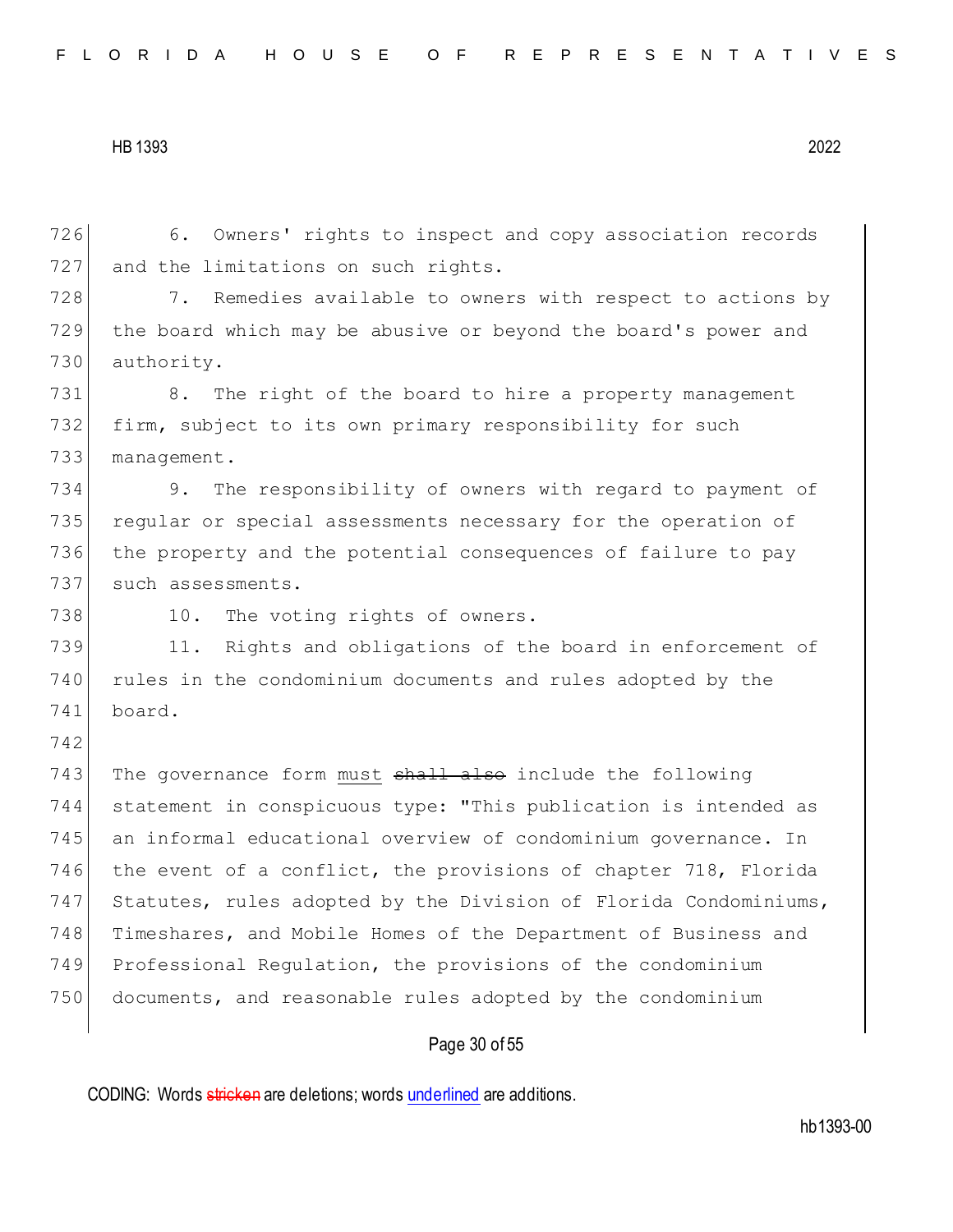Page 30 of 55 726 6. Owners' rights to inspect and copy association records 727 and the limitations on such rights. 728 7. Remedies available to owners with respect to actions by 729 the board which may be abusive or beyond the board's power and 730 authority. 731 8. The right of the board to hire a property management 732 firm, subject to its own primary responsibility for such 733 management. 734 9. The responsibility of owners with regard to payment of 735 regular or special assessments necessary for the operation of 736 the property and the potential consequences of failure to pay 737 such assessments. 738 10. The voting rights of owners. 739 11. Rights and obligations of the board in enforcement of 740 rules in the condominium documents and rules adopted by the 741 board. 742 743 The governance form must shall also include the following 744 statement in conspicuous type: "This publication is intended as 745 an informal educational overview of condominium governance. In 746 the event of a conflict, the provisions of chapter 718, Florida 747 Statutes, rules adopted by the Division of Florida Condominiums, 748 Timeshares, and Mobile Homes of the Department of Business and 749 Professional Regulation, the provisions of the condominium 750 documents, and reasonable rules adopted by the condominium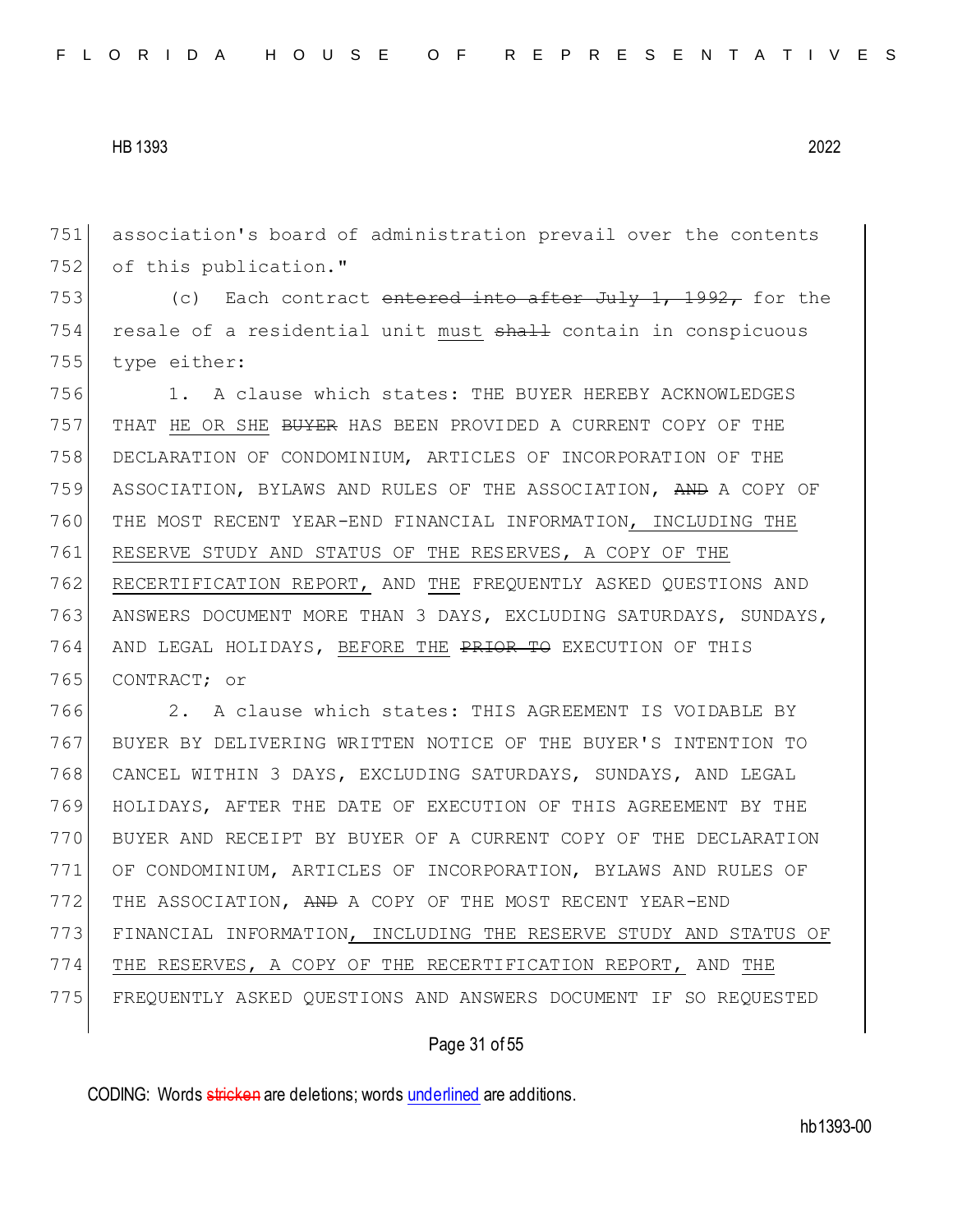association's board of administration prevail over the contents 752 of this publication."

753 (c) Each contract entered into after July 1, 1992, for the 754 resale of a residential unit must shall contain in conspicuous type either:

 1. A clause which states: THE BUYER HEREBY ACKNOWLEDGES 757 THAT HE OR SHE <del>BUYER</del> HAS BEEN PROVIDED A CURRENT COPY OF THE DECLARATION OF CONDOMINIUM, ARTICLES OF INCORPORATION OF THE ASSOCIATION, BYLAWS AND RULES OF THE ASSOCIATION, AND A COPY OF THE MOST RECENT YEAR-END FINANCIAL INFORMATION, INCLUDING THE RESERVE STUDY AND STATUS OF THE RESERVES, A COPY OF THE RECERTIFICATION REPORT, AND THE FREQUENTLY ASKED QUESTIONS AND ANSWERS DOCUMENT MORE THAN 3 DAYS, EXCLUDING SATURDAYS, SUNDAYS, 764 AND LEGAL HOLIDAYS, BEFORE THE PRIOR TO EXECUTION OF THIS CONTRACT; or

 2. A clause which states: THIS AGREEMENT IS VOIDABLE BY BUYER BY DELIVERING WRITTEN NOTICE OF THE BUYER'S INTENTION TO CANCEL WITHIN 3 DAYS, EXCLUDING SATURDAYS, SUNDAYS, AND LEGAL HOLIDAYS, AFTER THE DATE OF EXECUTION OF THIS AGREEMENT BY THE BUYER AND RECEIPT BY BUYER OF A CURRENT COPY OF THE DECLARATION OF CONDOMINIUM, ARTICLES OF INCORPORATION, BYLAWS AND RULES OF THE ASSOCIATION, AND A COPY OF THE MOST RECENT YEAR-END FINANCIAL INFORMATION, INCLUDING THE RESERVE STUDY AND STATUS OF THE RESERVES, A COPY OF THE RECERTIFICATION REPORT, AND THE FREQUENTLY ASKED QUESTIONS AND ANSWERS DOCUMENT IF SO REQUESTED

### Page 31 of 55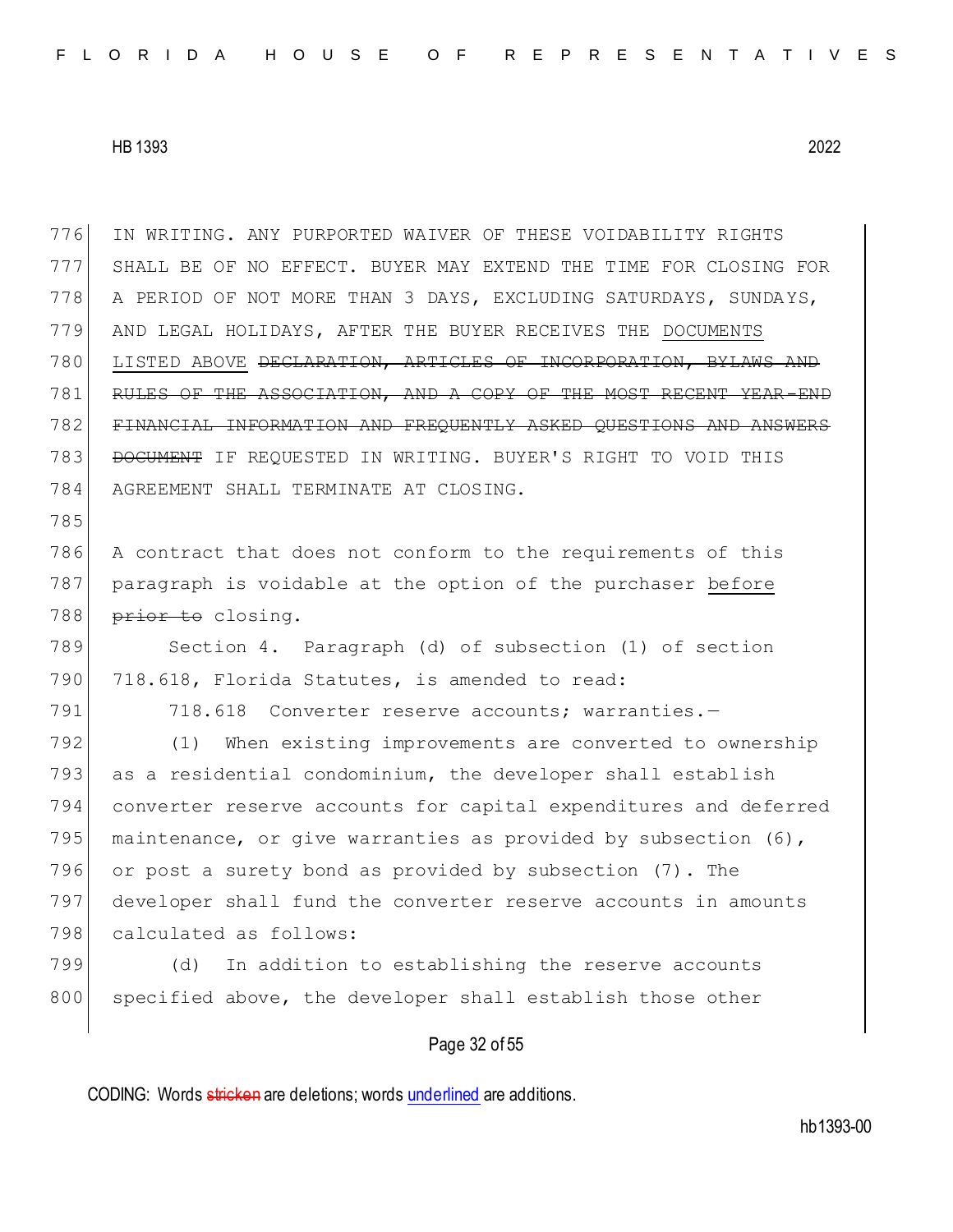IN WRITING. ANY PURPORTED WAIVER OF THESE VOIDABILITY RIGHTS SHALL BE OF NO EFFECT. BUYER MAY EXTEND THE TIME FOR CLOSING FOR A PERIOD OF NOT MORE THAN 3 DAYS, EXCLUDING SATURDAYS, SUNDAYS, AND LEGAL HOLIDAYS, AFTER THE BUYER RECEIVES THE DOCUMENTS LISTED ABOVE DECLARATION, ARTICLES OF INCORPORATION, BYLAWS AND RULES OF THE ASSOCIATION, AND A COPY OF THE MOST RECENT YEAR-END FINANCIAL INFORMATION AND FREQUENTLY ASKED QUESTIONS AND ANSWERS 783 DOCUMENT IF REQUESTED IN WRITING. BUYER'S RIGHT TO VOID THIS AGREEMENT SHALL TERMINATE AT CLOSING. 785 A contract that does not conform to the requirements of this 787 paragraph is voidable at the option of the purchaser before 788 prior to closing. Section 4. Paragraph (d) of subsection (1) of section 790 718.618, Florida Statutes, is amended to read: 791 718.618 Converter reserve accounts; warranties.- (1) When existing improvements are converted to ownership as a residential condominium, the developer shall establish converter reserve accounts for capital expenditures and deferred 795 maintenance, or give warranties as provided by subsection  $(6)$ , or post a surety bond as provided by subsection (7). The developer shall fund the converter reserve accounts in amounts 798 calculated as follows: (d) In addition to establishing the reserve accounts 800 specified above, the developer shall establish those other

## Page 32 of 55

CODING: Words stricken are deletions; words underlined are additions.

hb1393-00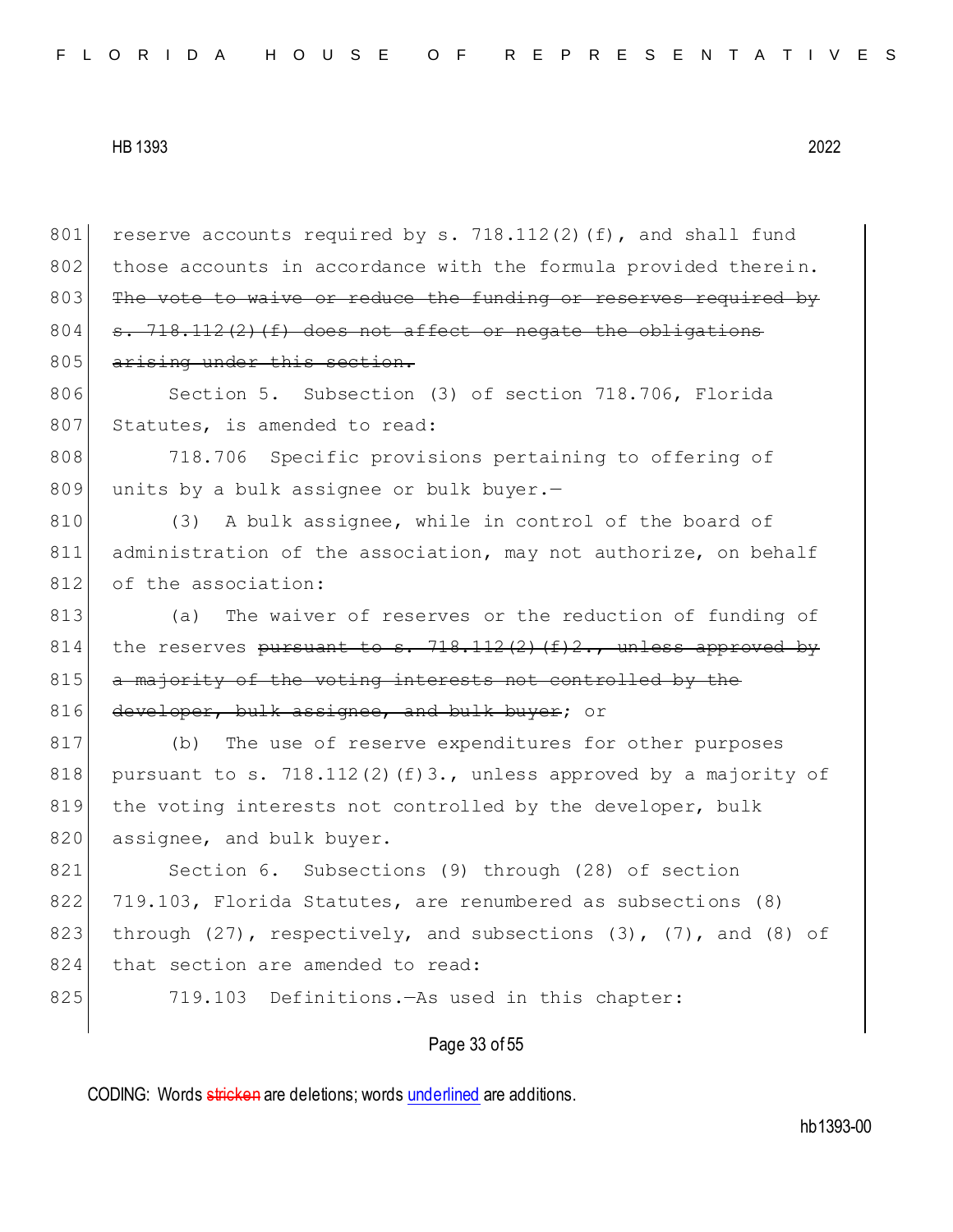801 reserve accounts required by s. 718.112(2)(f), and shall fund 802 those accounts in accordance with the formula provided therein. 803 The vote to waive or reduce the funding or reserves required by 804  $\sigma$ . 718.112(2)(f) does not affect or negate the obligations 805 arising under this section. 806 Section 5. Subsection (3) of section 718.706, Florida 807 Statutes, is amended to read: 808 718.706 Specific provisions pertaining to offering of 809 units by a bulk assignee or bulk buyer. $-$ 810 (3) A bulk assignee, while in control of the board of 811 administration of the association, may not authorize, on behalf 812 of the association: 813 (a) The waiver of reserves or the reduction of funding of 814 the reserves pursuant to s.  $718.112(2)$  (f)2., unless approved by 815 a majority of the voting interests not controlled by the 816 developer, bulk assignee, and bulk buyer; or 817 (b) The use of reserve expenditures for other purposes 818 pursuant to s. 718.112(2)(f)3., unless approved by a majority of 819 the voting interests not controlled by the developer, bulk 820 assignee, and bulk buyer. 821 Section 6. Subsections (9) through (28) of section 822 719.103, Florida Statutes, are renumbered as subsections (8) 823 through (27), respectively, and subsections (3), (7), and (8) of 824 that section are amended to read: 825 719.103 Definitions.—As used in this chapter:

Page 33 of 55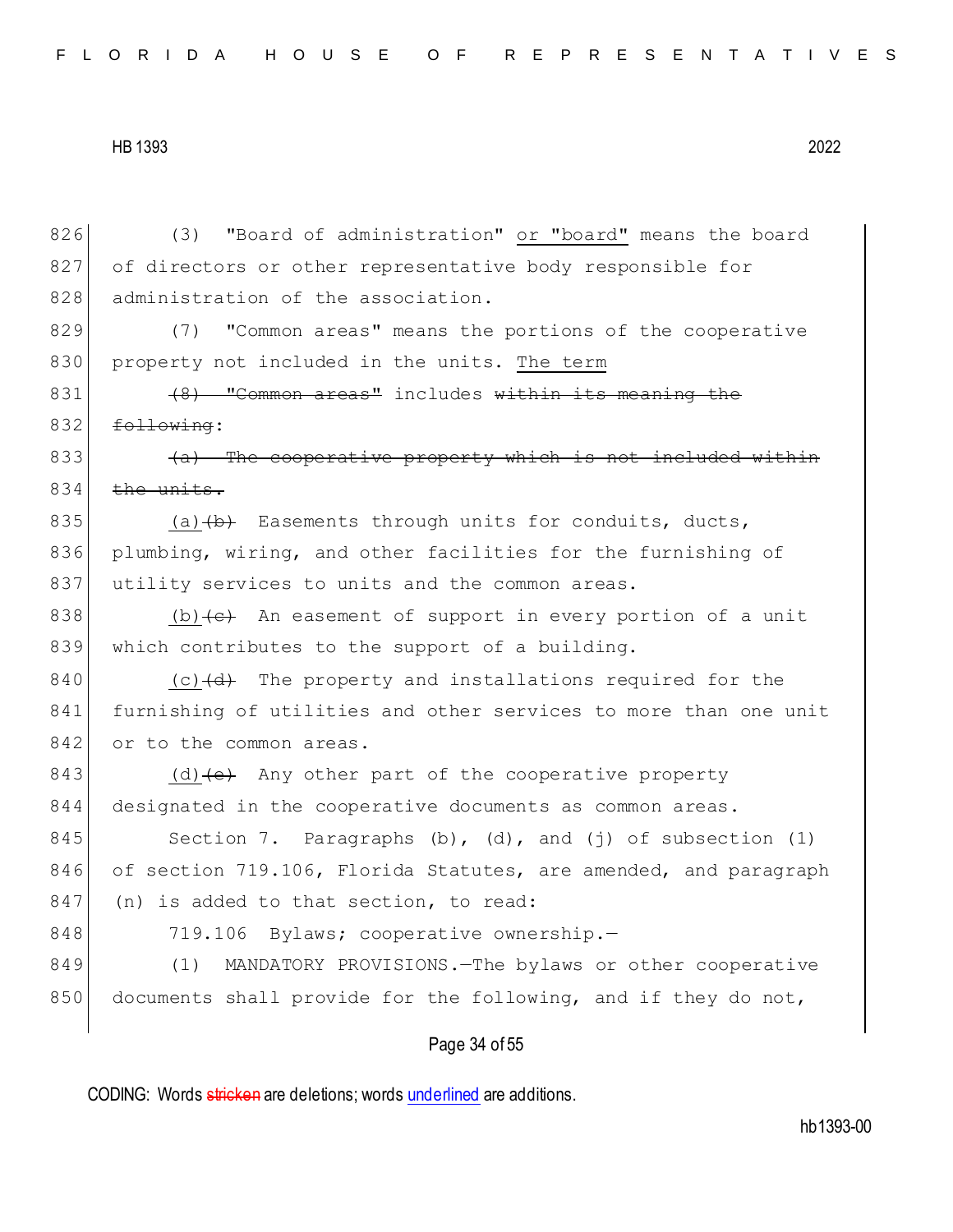826 (3) "Board of administration" or "board" means the board 827 of directors or other representative body responsible for 828 administration of the association. 829 (7) "Common areas" means the portions of the cooperative 830 property not included in the units. The term  $831$  (8) "Common areas" includes within its meaning the  $832$  <del>following</del>:  $833$  (a) The cooperative property which is not included within  $834$  the units. 835 (a) $\left(\frac{b}{b}\right)$  Easements through units for conduits, ducts, 836 plumbing, wiring, and other facilities for the furnishing of 837 utility services to units and the common areas. 838 (b)  $\left\{ \left( e \right)$  An easement of support in every portion of a unit 839 which contributes to the support of a building. 840 (c) $\left(\frac{d}{d}\right)$  The property and installations required for the 841 furnishing of utilities and other services to more than one unit 842 or to the common areas. 843 (d) (e) Any other part of the cooperative property 844 designated in the cooperative documents as common areas. 845 Section 7. Paragraphs (b), (d), and (j) of subsection (1) 846 of section 719.106, Florida Statutes, are amended, and paragraph 847 (n) is added to that section, to read: 848 719.106 Bylaws; cooperative ownership. 849 (1) MANDATORY PROVISIONS. - The bylaws or other cooperative 850 documents shall provide for the following, and if they do not,

# Page 34 of 55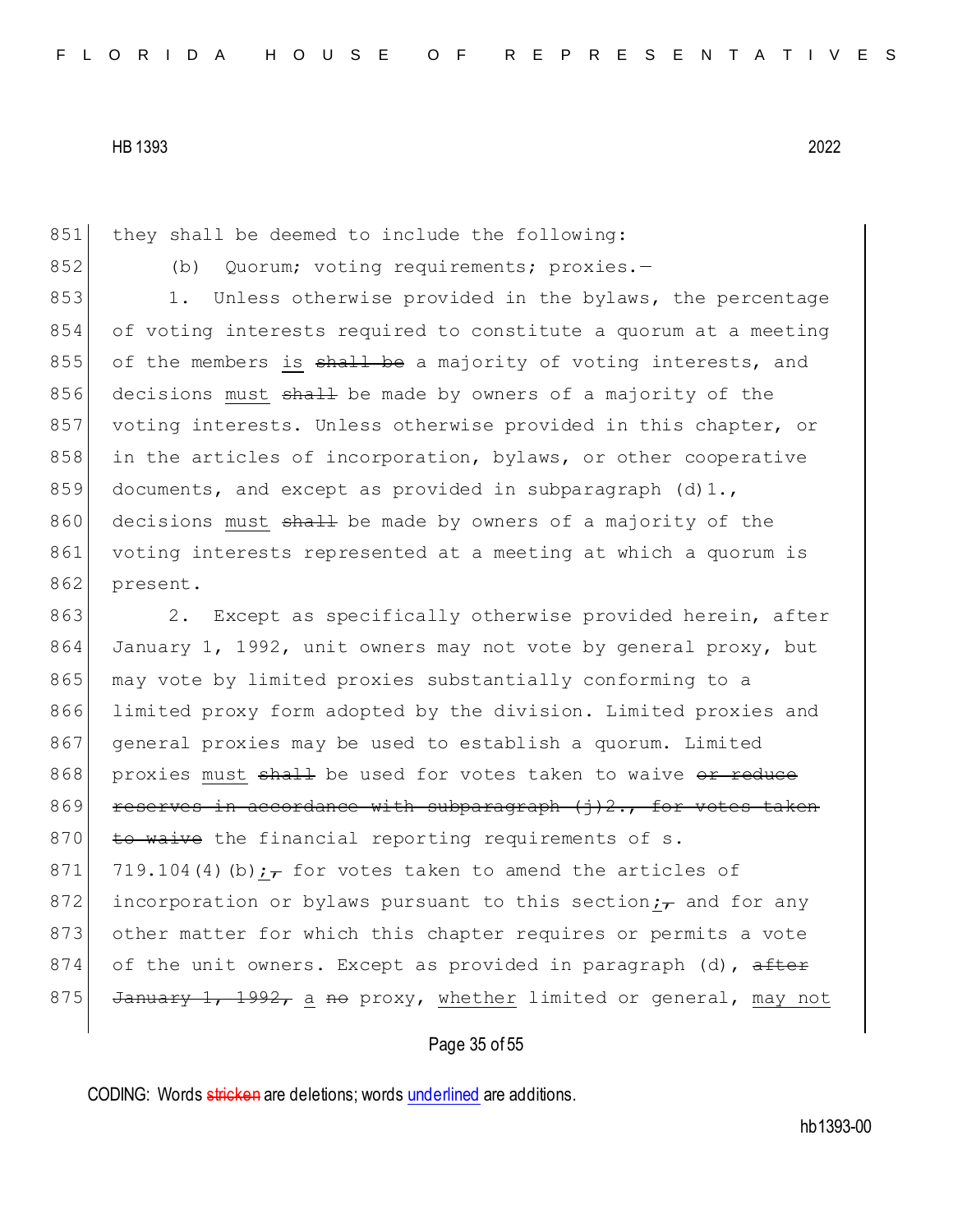851 they shall be deemed to include the following:

852 (b) Quorum; voting requirements; proxies.-

853 1. Unless otherwise provided in the bylaws, the percentage 854 of voting interests required to constitute a quorum at a meeting 855 of the members is  $shall$  be a majority of voting interests, and 856 decisions must shall be made by owners of a majority of the 857 voting interests. Unless otherwise provided in this chapter, or 858 in the articles of incorporation, bylaws, or other cooperative 859 documents, and except as provided in subparagraph (d)1., 860 decisions must shall be made by owners of a majority of the 861 voting interests represented at a meeting at which a quorum is 862 present.

863 2. Except as specifically otherwise provided herein, after 864 January 1, 1992, unit owners may not vote by general proxy, but 865 may vote by limited proxies substantially conforming to a 866 limited proxy form adopted by the division. Limited proxies and 867 general proxies may be used to establish a quorum. Limited 868 proxies must shall be used for votes taken to waive or reduce 869 reserves in accordance with subparagraph  $(j)$ 2., for votes 870  $\pm$ o waive the financial reporting requirements of s. 871 719.104(4)(b);  $\tau$  for votes taken to amend the articles of 872 incorporation or bylaws pursuant to this section; and for any 873 other matter for which this chapter requires or permits a vote 874 of the unit owners. Except as provided in paragraph (d), after 875 January 1, 1992, a no proxy, whether limited or general, may not

### Page 35 of 55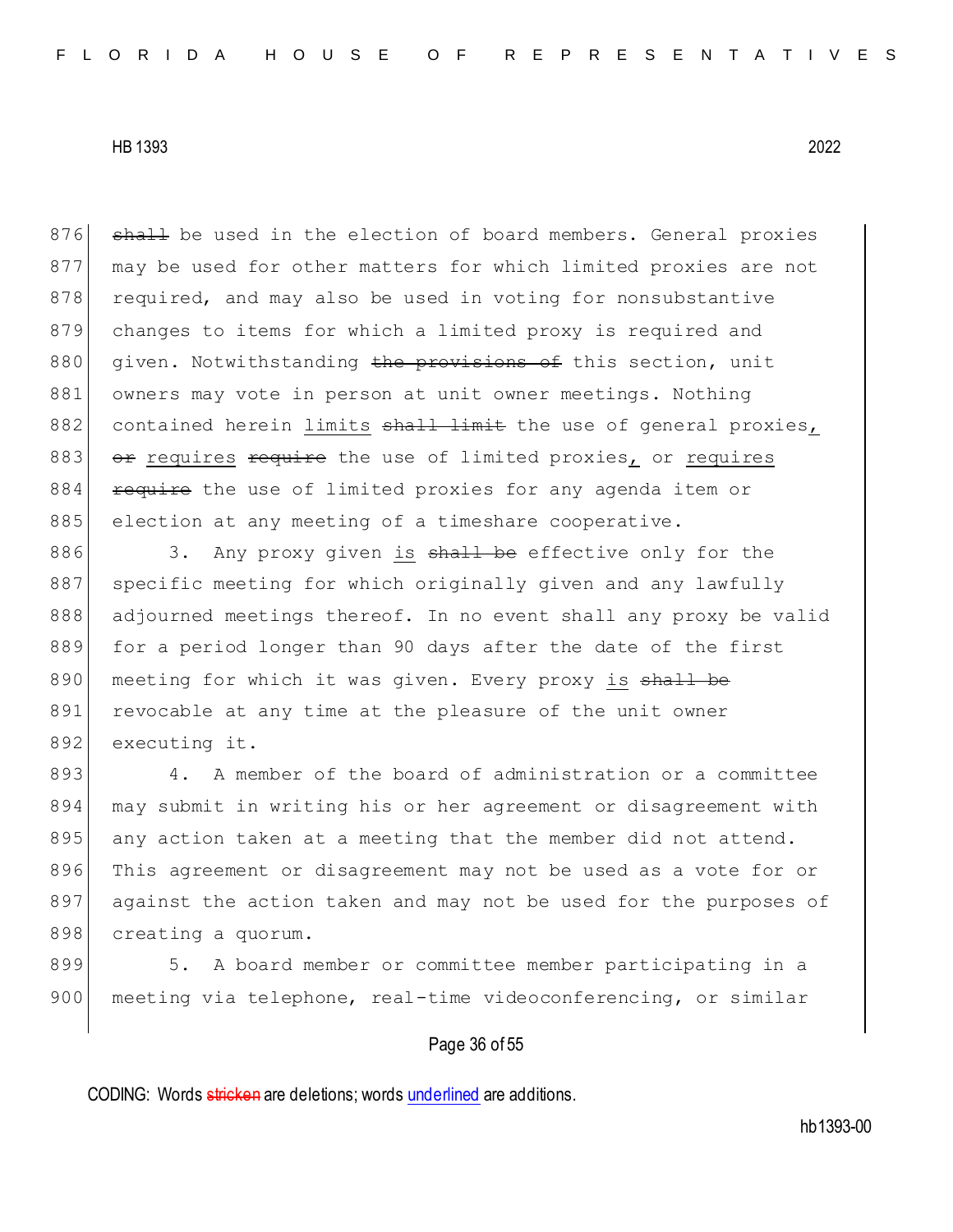876 shall be used in the election of board members. General proxies 877 may be used for other matters for which limited proxies are not 878 required, and may also be used in voting for nonsubstantive 879 changes to items for which a limited proxy is required and 880 given. Notwithstanding the provisions of this section, unit 881 owners may vote in person at unit owner meetings. Nothing 882 contained herein limits shall limit the use of general proxies, 883 or requires require the use of limited proxies, or requires 884 require the use of limited proxies for any agenda item or 885 election at any meeting of a timeshare cooperative.

886 3. Any proxy given is shall be effective only for the 887 specific meeting for which originally given and any lawfully 888 adjourned meetings thereof. In no event shall any proxy be valid 889 for a period longer than 90 days after the date of the first 890 meeting for which it was given. Every proxy is shall be 891 revocable at any time at the pleasure of the unit owner 892 executing it.

893 4. A member of the board of administration or a committee 894 may submit in writing his or her agreement or disagreement with 895 any action taken at a meeting that the member did not attend. 896 This agreement or disagreement may not be used as a vote for or 897 against the action taken and may not be used for the purposes of 898 creating a quorum.

899 5. A board member or committee member participating in a 900 meeting via telephone, real-time videoconferencing, or similar

## Page 36 of 55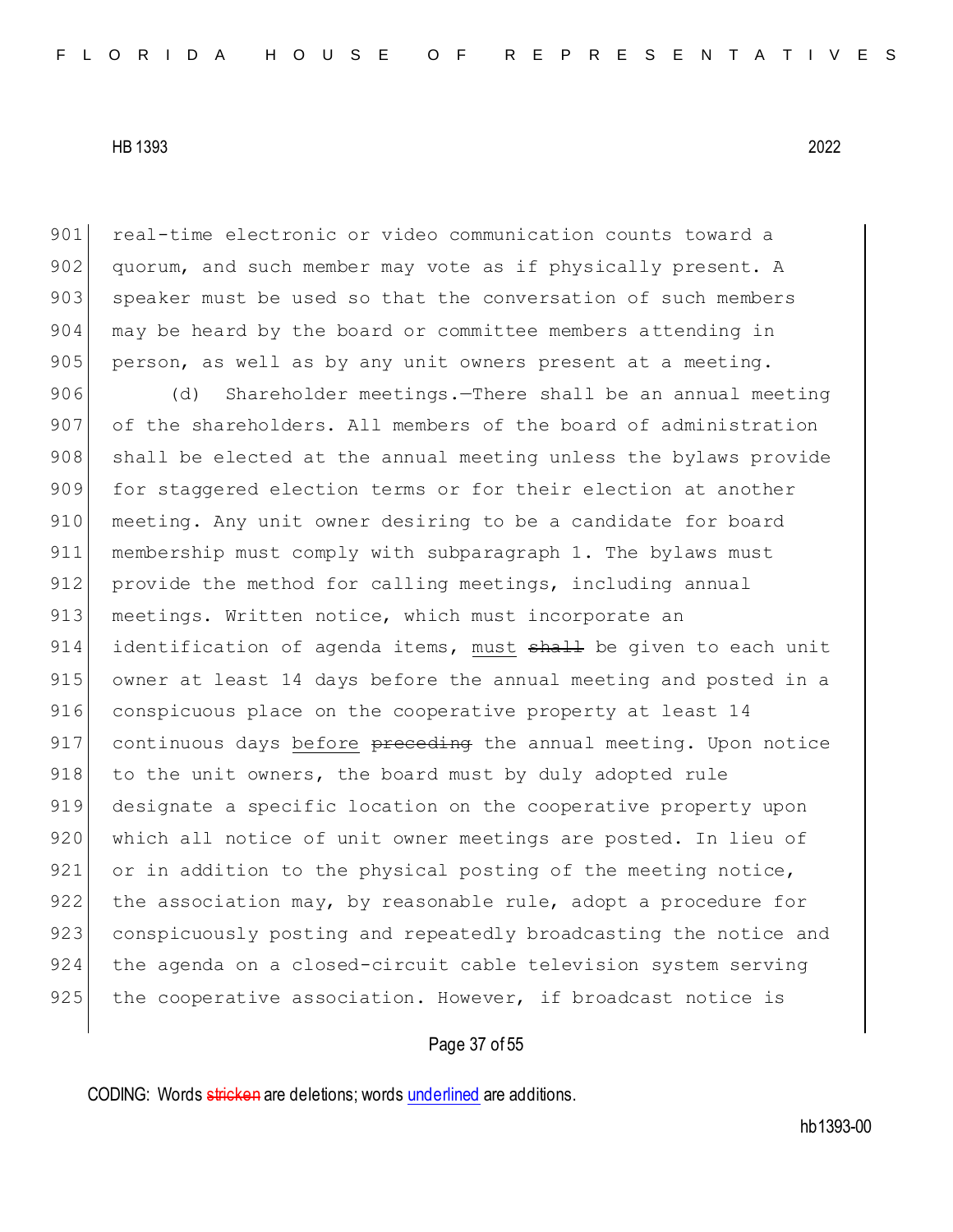901 real-time electronic or video communication counts toward a 902 | quorum, and such member may vote as if physically present. A 903 speaker must be used so that the conversation of such members 904 may be heard by the board or committee members attending in  $905$  person, as well as by any unit owners present at a meeting.

906 (d) Shareholder meetings.—There shall be an annual meeting 907 of the shareholders. All members of the board of administration 908 shall be elected at the annual meeting unless the bylaws provide 909 for staggered election terms or for their election at another 910 meeting. Any unit owner desiring to be a candidate for board 911 membership must comply with subparagraph 1. The bylaws must 912 provide the method for calling meetings, including annual 913 meetings. Written notice, which must incorporate an 914 identification of agenda items, must shall be given to each unit 915 owner at least 14 days before the annual meeting and posted in a 916 conspicuous place on the cooperative property at least 14 917 continuous days before preceding the annual meeting. Upon notice 918 to the unit owners, the board must by duly adopted rule 919 designate a specific location on the cooperative property upon 920 which all notice of unit owner meetings are posted. In lieu of 921 or in addition to the physical posting of the meeting notice, 922 the association may, by reasonable rule, adopt a procedure for 923 conspicuously posting and repeatedly broadcasting the notice and 924 the agenda on a closed-circuit cable television system serving  $925$  the cooperative association. However, if broadcast notice is

# Page 37 of 55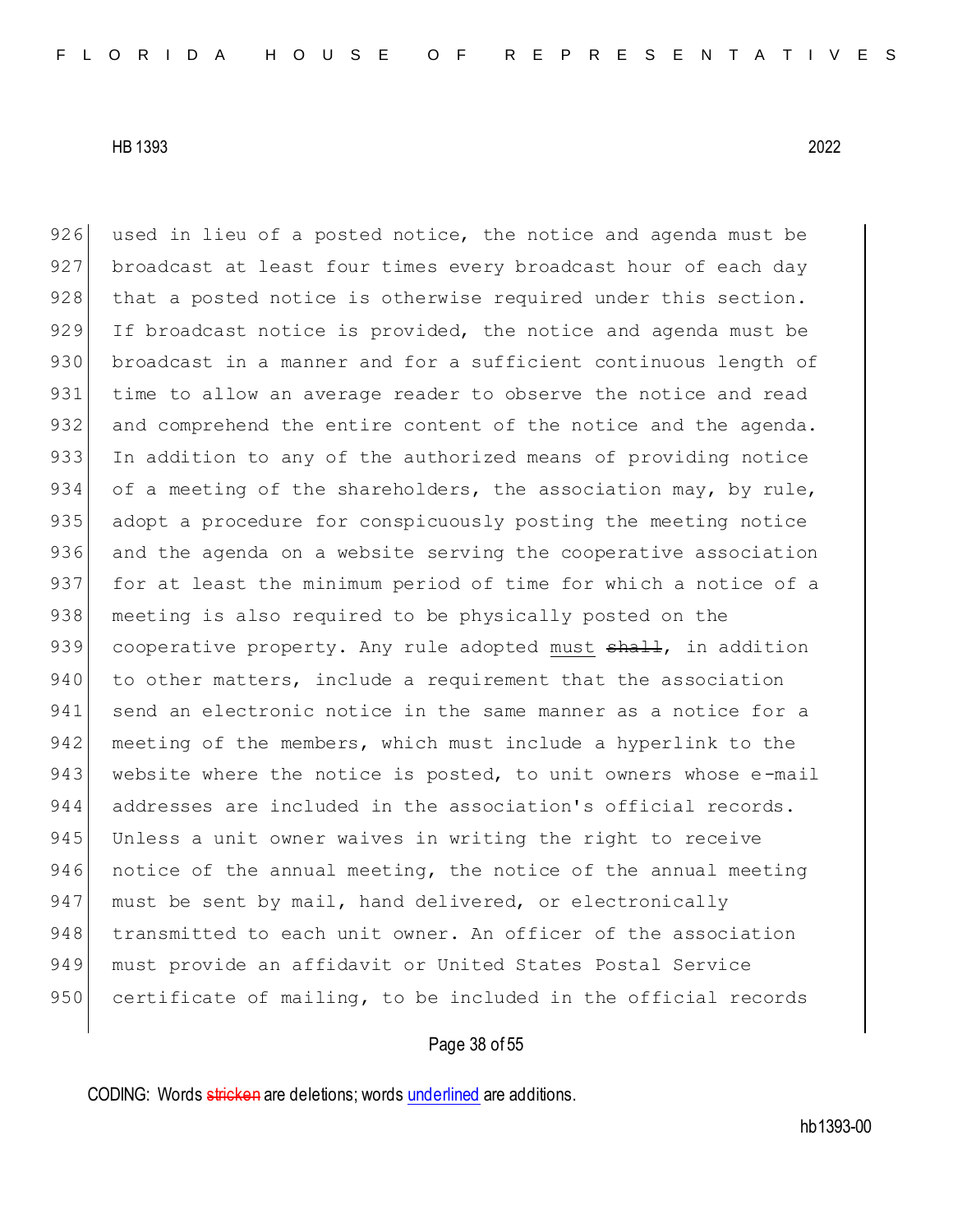$926$  used in lieu of a posted notice, the notice and agenda must be 927 broadcast at least four times every broadcast hour of each day 928 | that a posted notice is otherwise required under this section. 929 If broadcast notice is provided, the notice and agenda must be 930 broadcast in a manner and for a sufficient continuous length of 931 time to allow an average reader to observe the notice and read 932 and comprehend the entire content of the notice and the agenda. 933 In addition to any of the authorized means of providing notice 934 of a meeting of the shareholders, the association may, by rule, 935 adopt a procedure for conspicuously posting the meeting notice 936 and the agenda on a website serving the cooperative association 937 for at least the minimum period of time for which a notice of a 938 | meeting is also required to be physically posted on the 939 cooperative property. Any rule adopted must <del>shall</del>, in addition 940 to other matters, include a requirement that the association 941 send an electronic notice in the same manner as a notice for a 942 meeting of the members, which must include a hyperlink to the 943 website where the notice is posted, to unit owners whose e-mail 944 addresses are included in the association's official records. 945 Unless a unit owner waives in writing the right to receive 946 notice of the annual meeting, the notice of the annual meeting 947 must be sent by mail, hand delivered, or electronically 948 transmitted to each unit owner. An officer of the association 949 must provide an affidavit or United States Postal Service 950 certificate of mailing, to be included in the official records

## Page 38 of 55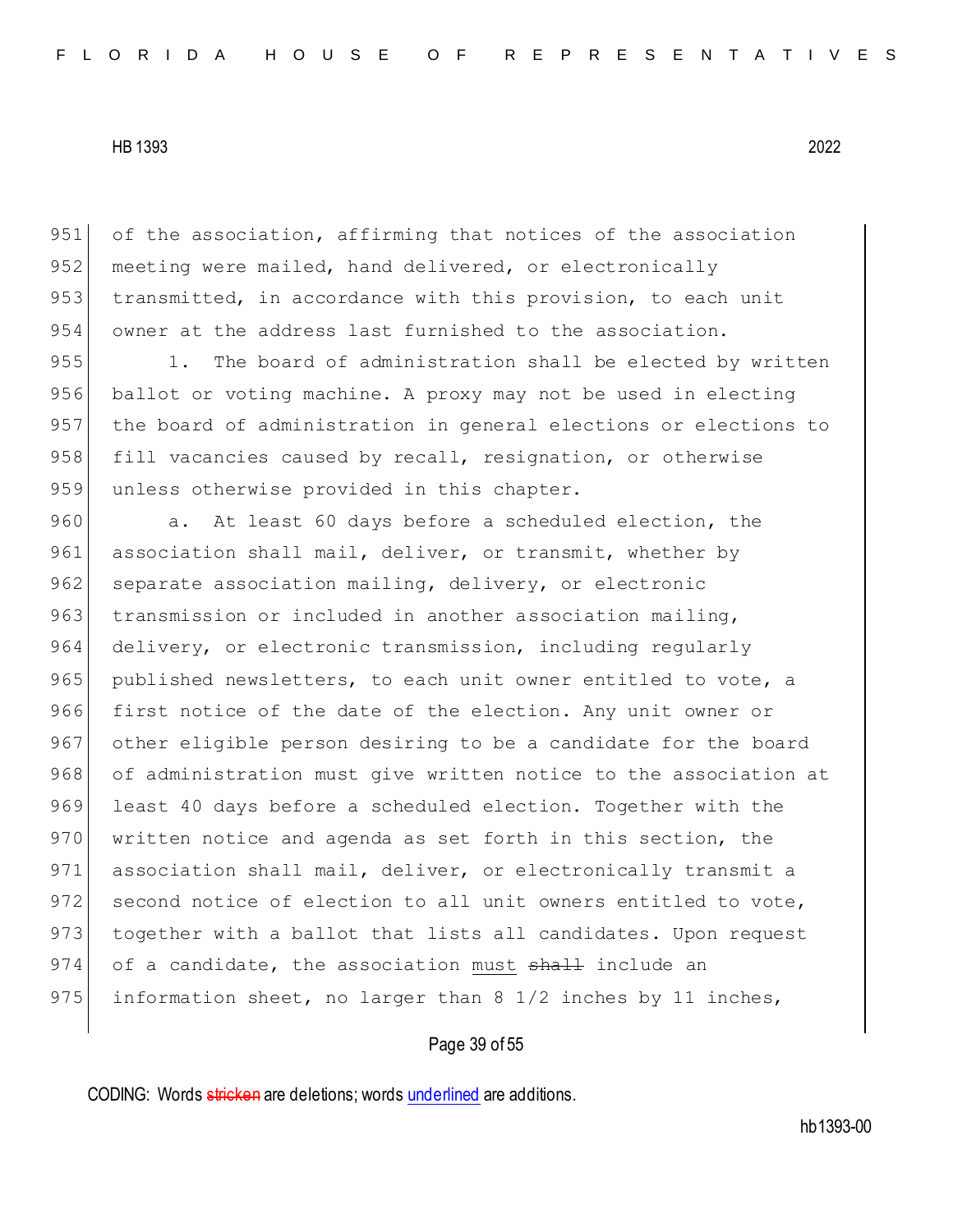951 of the association, affirming that notices of the association 952 meeting were mailed, hand delivered, or electronically 953 transmitted, in accordance with this provision, to each unit 954 owner at the address last furnished to the association.

955 1. The board of administration shall be elected by written 956 ballot or voting machine. A proxy may not be used in electing 957 the board of administration in general elections or elections to 958 fill vacancies caused by recall, resignation, or otherwise 959 unless otherwise provided in this chapter.

960 a. At least 60 days before a scheduled election, the 961 association shall mail, deliver, or transmit, whether by 962 separate association mailing, delivery, or electronic 963 transmission or included in another association mailing, 964 delivery, or electronic transmission, including regularly 965 published newsletters, to each unit owner entitled to vote, a 966 first notice of the date of the election. Any unit owner or 967 other eligible person desiring to be a candidate for the board 968 of administration must give written notice to the association at 969 least 40 days before a scheduled election. Together with the 970 written notice and agenda as set forth in this section, the 971 association shall mail, deliver, or electronically transmit a 972 second notice of election to all unit owners entitled to vote, 973 together with a ballot that lists all candidates. Upon request 974 of a candidate, the association must shall include an 975 information sheet, no larger than 8 1/2 inches by 11 inches,

# Page 39 of 55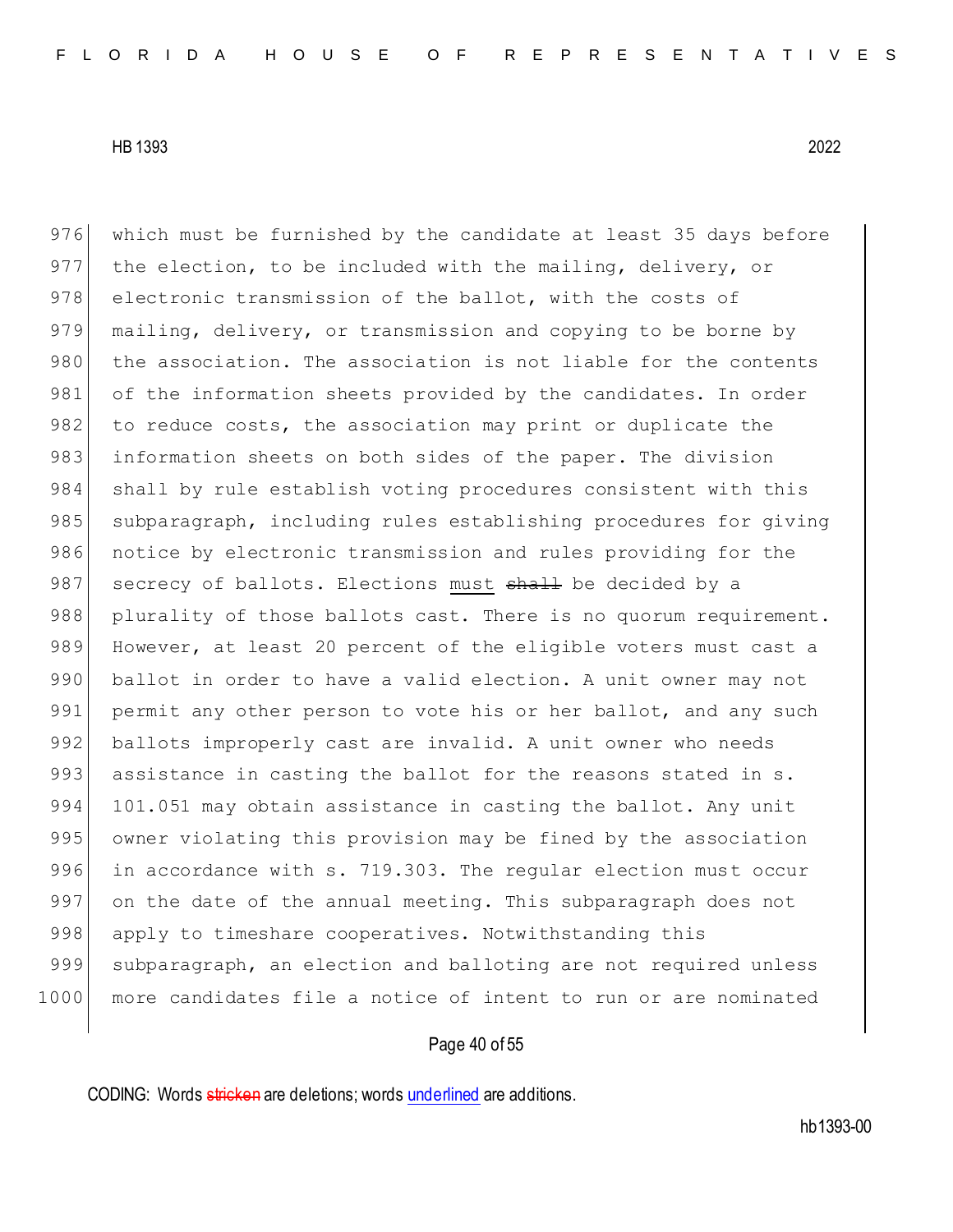976 which must be furnished by the candidate at least 35 days before 977 the election, to be included with the mailing, delivery, or 978 electronic transmission of the ballot, with the costs of 979 mailing, delivery, or transmission and copying to be borne by 980 the association. The association is not liable for the contents 981 of the information sheets provided by the candidates. In order 982 to reduce costs, the association may print or duplicate the 983 information sheets on both sides of the paper. The division 984 shall by rule establish voting procedures consistent with this 985 subparagraph, including rules establishing procedures for giving 986 notice by electronic transmission and rules providing for the 987 secrecy of ballots. Elections must shall be decided by a 988 plurality of those ballots cast. There is no quorum requirement. 989 However, at least 20 percent of the eligible voters must cast a 990 ballot in order to have a valid election. A unit owner may not 991 permit any other person to vote his or her ballot, and any such 992 ballots improperly cast are invalid. A unit owner who needs 993 assistance in casting the ballot for the reasons stated in s. 994 101.051 may obtain assistance in casting the ballot. Any unit 995 owner violating this provision may be fined by the association 996 in accordance with s. 719.303. The regular election must occur 997 on the date of the annual meeting. This subparagraph does not 998 apply to timeshare cooperatives. Notwithstanding this 999 subparagraph, an election and balloting are not required unless 1000 more candidates file a notice of intent to run or are nominated

## Page 40 of 55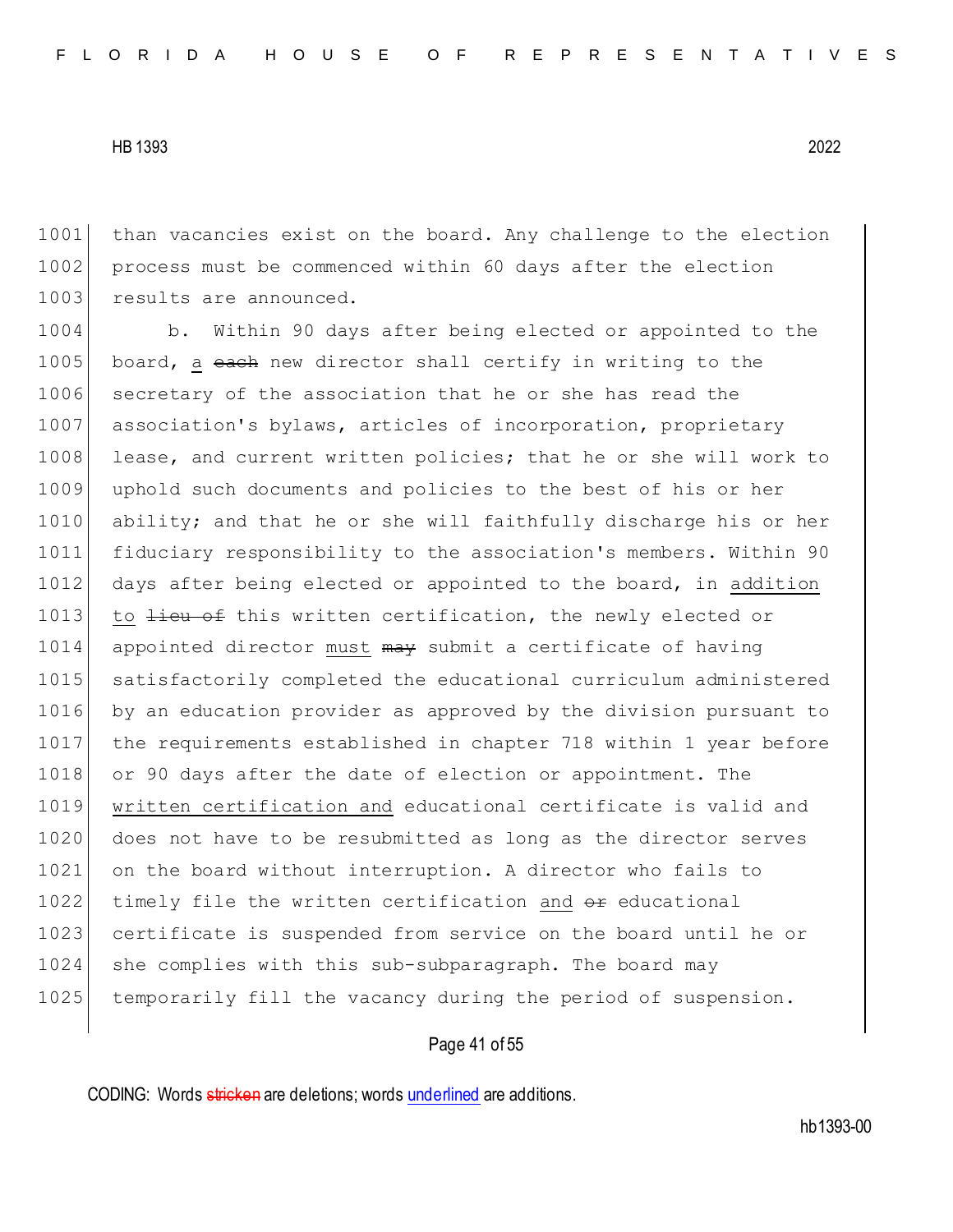1001 than vacancies exist on the board. Any challenge to the election 1002 process must be commenced within 60 days after the election 1003 results are announced.

1004 b. Within 90 days after being elected or appointed to the 1005 board, a each new director shall certify in writing to the 1006 secretary of the association that he or she has read the 1007 association's bylaws, articles of incorporation, proprietary 1008 lease, and current written policies; that he or she will work to 1009 uphold such documents and policies to the best of his or her 1010 ability; and that he or she will faithfully discharge his or her 1011 fiduciary responsibility to the association's members. Within 90 1012 days after being elected or appointed to the board, in addition 1013 to <del>lieu of</del> this written certification, the newly elected or 1014 appointed director must may submit a certificate of having 1015 satisfactorily completed the educational curriculum administered 1016 by an education provider as approved by the division pursuant to 1017 the requirements established in chapter 718 within 1 year before 1018 or 90 days after the date of election or appointment. The 1019 written certification and educational certificate is valid and 1020 does not have to be resubmitted as long as the director serves 1021 on the board without interruption. A director who fails to 1022 timely file the written certification and  $\Theta$ r educational 1023 certificate is suspended from service on the board until he or 1024 she complies with this sub-subparagraph. The board may 1025 temporarily fill the vacancy during the period of suspension.

# Page 41 of 55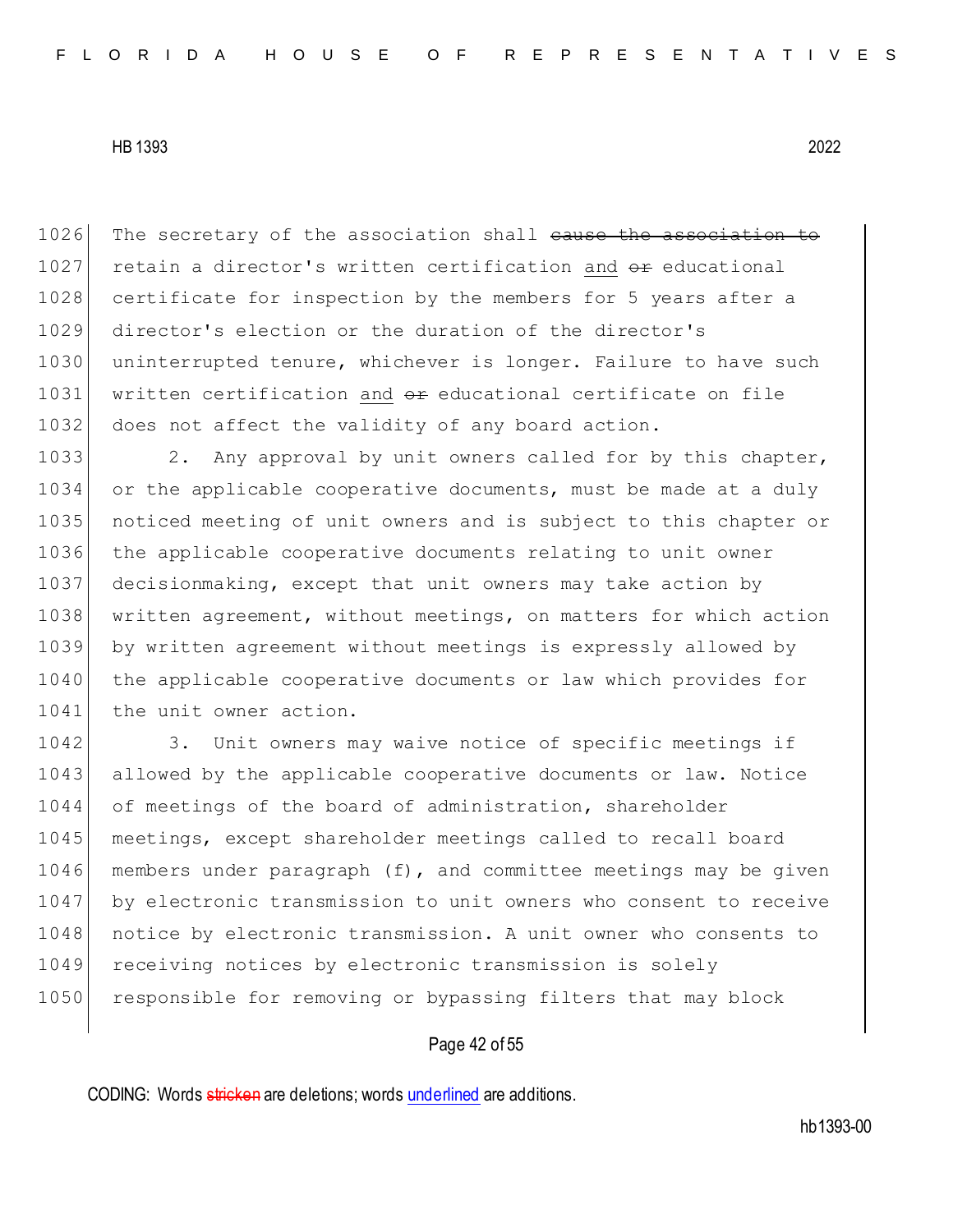1026 The secretary of the association shall cause the association to 1027 retain a director's written certification and  $\theta$  reducational 1028 certificate for inspection by the members for 5 years after a 1029 director's election or the duration of the director's 1030 uninterrupted tenure, whichever is longer. Failure to have such 1031 written certification and  $\theta$ reducational certificate on file 1032 does not affect the validity of any board action.

1033 2. Any approval by unit owners called for by this chapter, 1034 or the applicable cooperative documents, must be made at a duly 1035 noticed meeting of unit owners and is subject to this chapter or 1036 the applicable cooperative documents relating to unit owner 1037 decisionmaking, except that unit owners may take action by 1038 written agreement, without meetings, on matters for which action 1039 by written agreement without meetings is expressly allowed by 1040 the applicable cooperative documents or law which provides for 1041 the unit owner action.

1042 3. Unit owners may waive notice of specific meetings if 1043 allowed by the applicable cooperative documents or law. Notice 1044 of meetings of the board of administration, shareholder 1045 meetings, except shareholder meetings called to recall board 1046 members under paragraph (f), and committee meetings may be given 1047 by electronic transmission to unit owners who consent to receive 1048 notice by electronic transmission. A unit owner who consents to 1049 receiving notices by electronic transmission is solely 1050 responsible for removing or bypassing filters that may block

## Page 42 of 55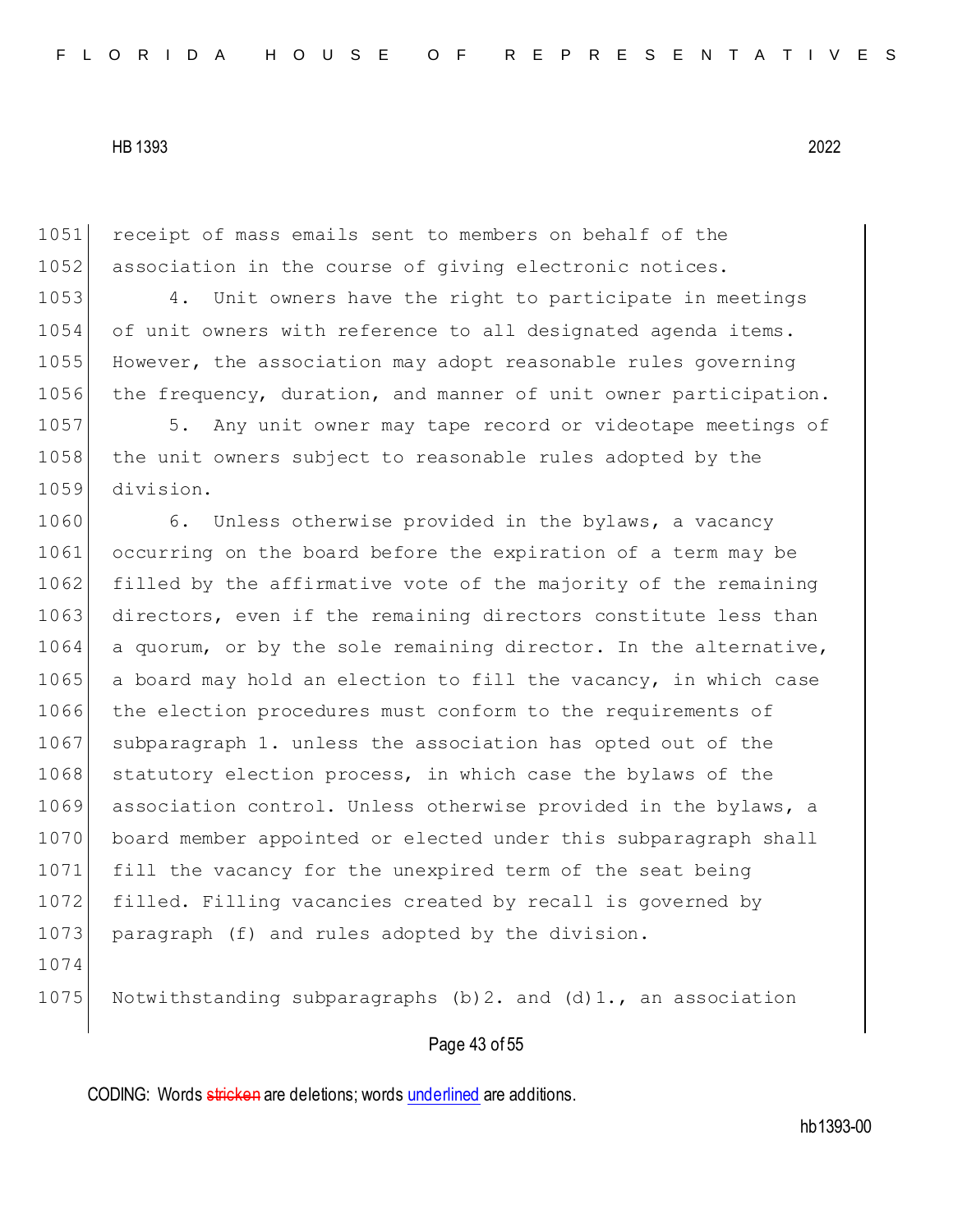1051 receipt of mass emails sent to members on behalf of the 1052 association in the course of giving electronic notices. 1053 4. Unit owners have the right to participate in meetings 1054 of unit owners with reference to all designated agenda items. 1055 However, the association may adopt reasonable rules governing 1056 the frequency, duration, and manner of unit owner participation. 1057 5. Any unit owner may tape record or videotape meetings of 1058 the unit owners subject to reasonable rules adopted by the 1059 division. 1060 6. Unless otherwise provided in the bylaws, a vacancy 1061 occurring on the board before the expiration of a term may be 1062 filled by the affirmative vote of the majority of the remaining 1063 directors, even if the remaining directors constitute less than 1064 a quorum, or by the sole remaining director. In the alternative, 1065 a board may hold an election to fill the vacancy, in which case 1066 the election procedures must conform to the requirements of 1067 subparagraph 1. unless the association has opted out of the 1068 statutory election process, in which case the bylaws of the 1069 association control. Unless otherwise provided in the bylaws, a 1070 board member appointed or elected under this subparagraph shall 1071 fill the vacancy for the unexpired term of the seat being 1072 filled. Filling vacancies created by recall is governed by 1073 paragraph (f) and rules adopted by the division. 1074 1075 Notwithstanding subparagraphs (b) 2. and (d)  $1.7$ , an association

# Page 43 of 55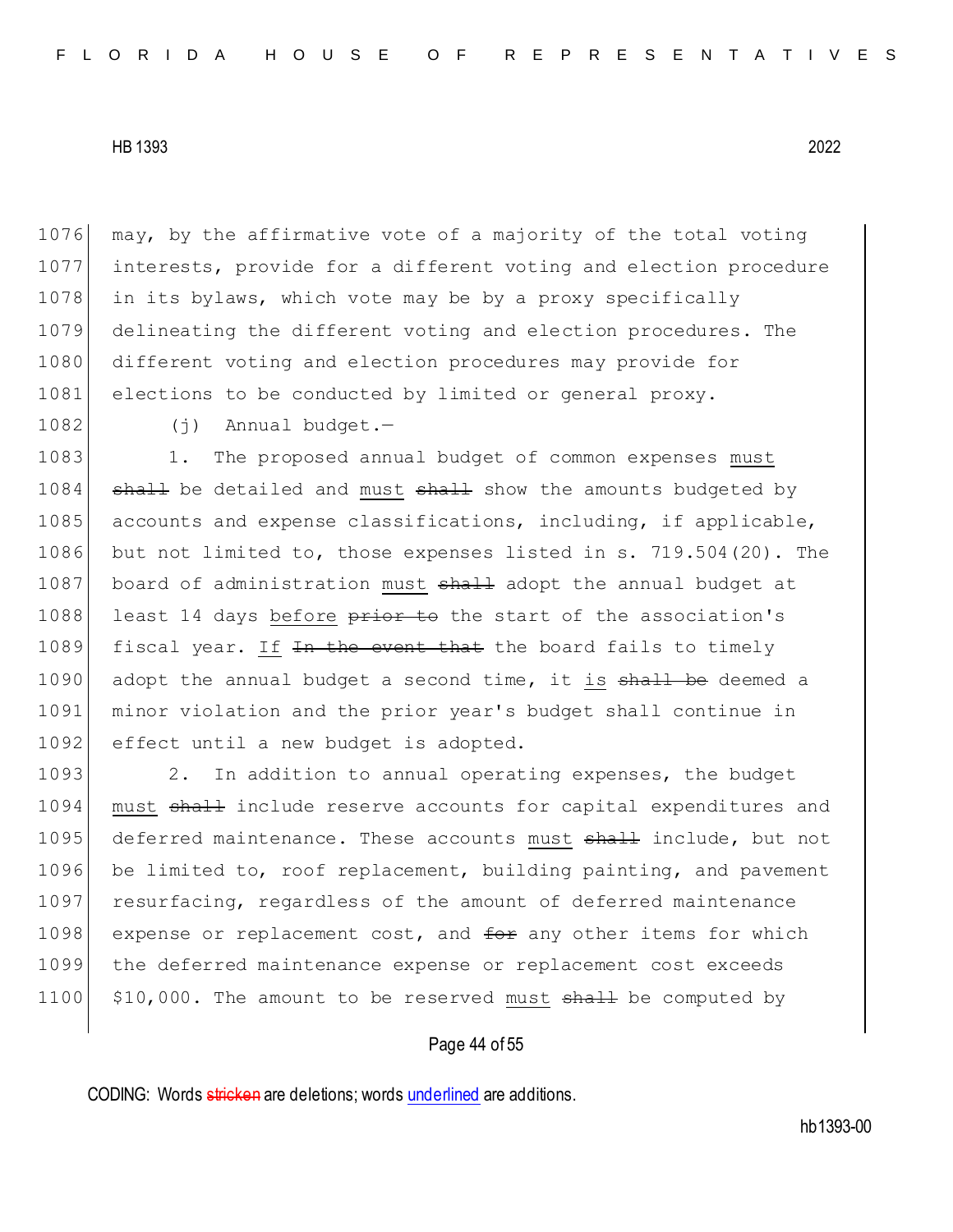1076 may, by the affirmative vote of a majority of the total voting 1077 interests, provide for a different voting and election procedure 1078 in its bylaws, which vote may be by a proxy specifically 1079 delineating the different voting and election procedures. The 1080 different voting and election procedures may provide for 1081 elections to be conducted by limited or general proxy.

1082 (j) Annual budget.-

1083 1. The proposed annual budget of common expenses must  $1084$  shall be detailed and must shall show the amounts budgeted by 1085 accounts and expense classifications, including, if applicable, 1086 but not limited to, those expenses listed in s. 719.504(20). The 1087 board of administration must shall adopt the annual budget at 1088 least 14 days before prior to the start of the association's 1089 fiscal year. If In the event that the board fails to timely 1090 adopt the annual budget a second time, it is shall be deemed a 1091 minor violation and the prior year's budget shall continue in 1092 effect until a new budget is adopted.

1093 2. In addition to annual operating expenses, the budget 1094 must shall include reserve accounts for capital expenditures and 1095 deferred maintenance. These accounts must shall include, but not 1096 be limited to, roof replacement, building painting, and pavement 1097 resurfacing, regardless of the amount of deferred maintenance 1098 expense or replacement cost, and  $f^{\text{def}}$  any other items for which 1099 the deferred maintenance expense or replacement cost exceeds 1100  $\mid$  \$10,000. The amount to be reserved must  $shall$  be computed by

### Page 44 of 55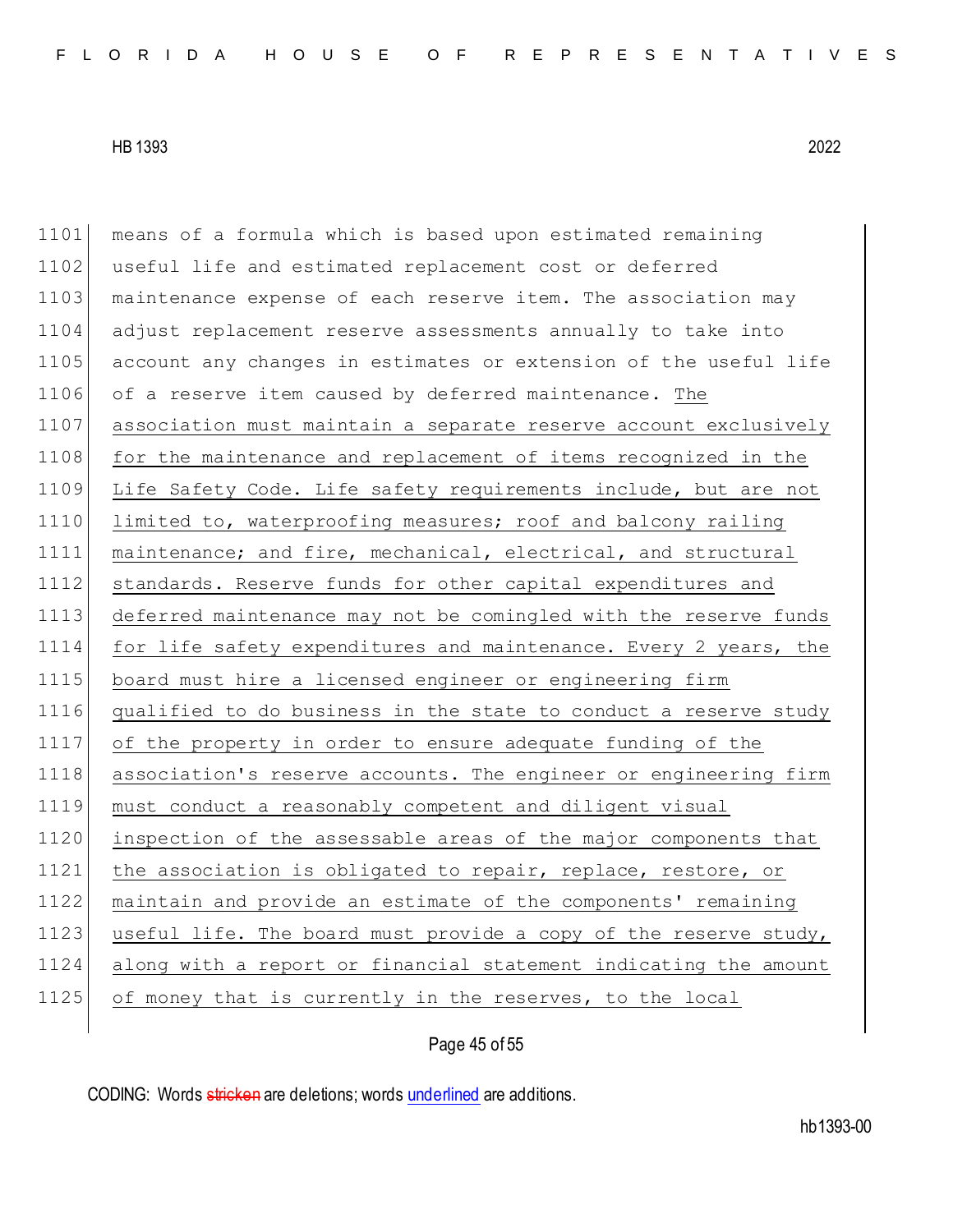1101 means of a formula which is based upon estimated remaining 1102 useful life and estimated replacement cost or deferred 1103 maintenance expense of each reserve item. The association may 1104 adjust replacement reserve assessments annually to take into 1105 account any changes in estimates or extension of the useful life 1106 of a reserve item caused by deferred maintenance. The 1107 association must maintain a separate reserve account exclusively 1108 for the maintenance and replacement of items recognized in the 1109 Life Safety Code. Life safety requirements include, but are not 1110 limited to, waterproofing measures; roof and balcony railing 1111 maintenance; and fire, mechanical, electrical, and structural 1112 standards. Reserve funds for other capital expenditures and 1113 deferred maintenance may not be comingled with the reserve funds 1114 for life safety expenditures and maintenance. Every 2 years, the 1115 board must hire a licensed engineer or engineering firm 1116 qualified to do business in the state to conduct a reserve study 1117 of the property in order to ensure adequate funding of the 1118 association's reserve accounts. The engineer or engineering firm 1119 must conduct a reasonably competent and diligent visual 1120 inspection of the assessable areas of the major components that 1121 the association is obligated to repair, replace, restore, or 1122 maintain and provide an estimate of the components' remaining 1123 useful life. The board must provide a copy of the reserve study, 1124 along with a report or financial statement indicating the amount 1125 of money that is currently in the reserves, to the local

Page 45 of 55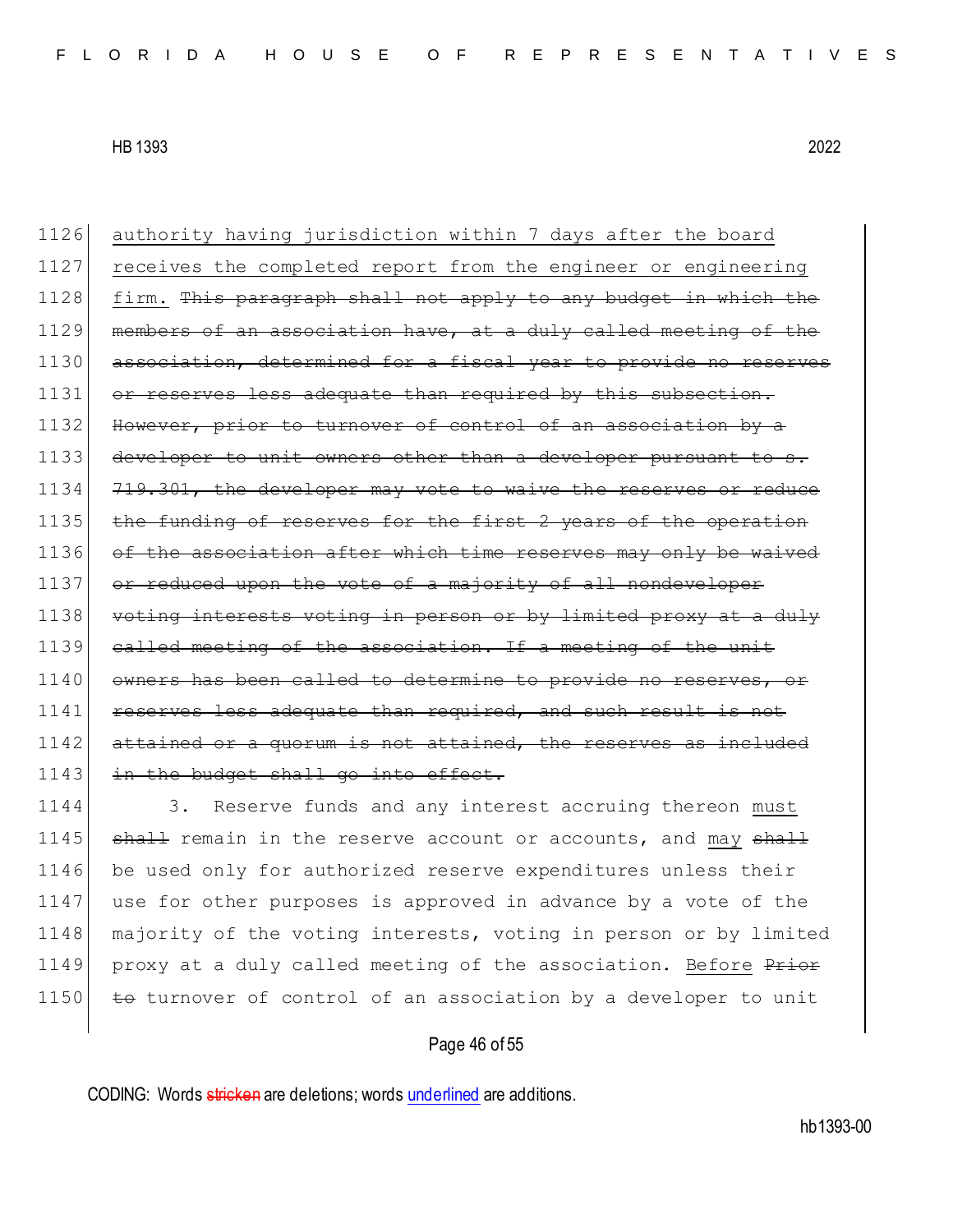1126 authority having jurisdiction within 7 days after the board 1127 receives the completed report from the engineer or engineering 1128 firm. This paragraph shall not apply to any budget in which the 1129 members of an association have, at a duly called meeting of the 1130 association, determined for a fiscal year to provide no reserves 1131 or reserves less adequate than required by this subsection. 1132 However, prior to turnover of control of an association by a 1133 developer to unit owners other than a developer pursuant to s. 1134 719.301, the developer may vote to waive the reserves or reduce 1135 the funding of reserves for the first 2 years of the operation 1136 of the association after which time reserves may only be waived 1137 or reduced upon the vote of a majority of all nondeveloper 1138 voting interests voting in person or by limited proxy at a duly 1139 called meeting of the association. If a meeting of the unit 1140 owners has been called to determine to provide no reserves, or 1141 reserves less adequate than required, and such result 1142 attained or a quorum is not attained, the reserves as included 1143 in the budget shall go into effect.

1144 3. Reserve funds and any interest accruing thereon must 1145 shall remain in the reserve account or accounts, and may shall 1146 be used only for authorized reserve expenditures unless their 1147 use for other purposes is approved in advance by a vote of the 1148 | majority of the voting interests, voting in person or by limited 1149 proxy at a duly called meeting of the association. Before Prior 1150  $\overline{t}$  to turnover of control of an association by a developer to unit

# Page 46 of 55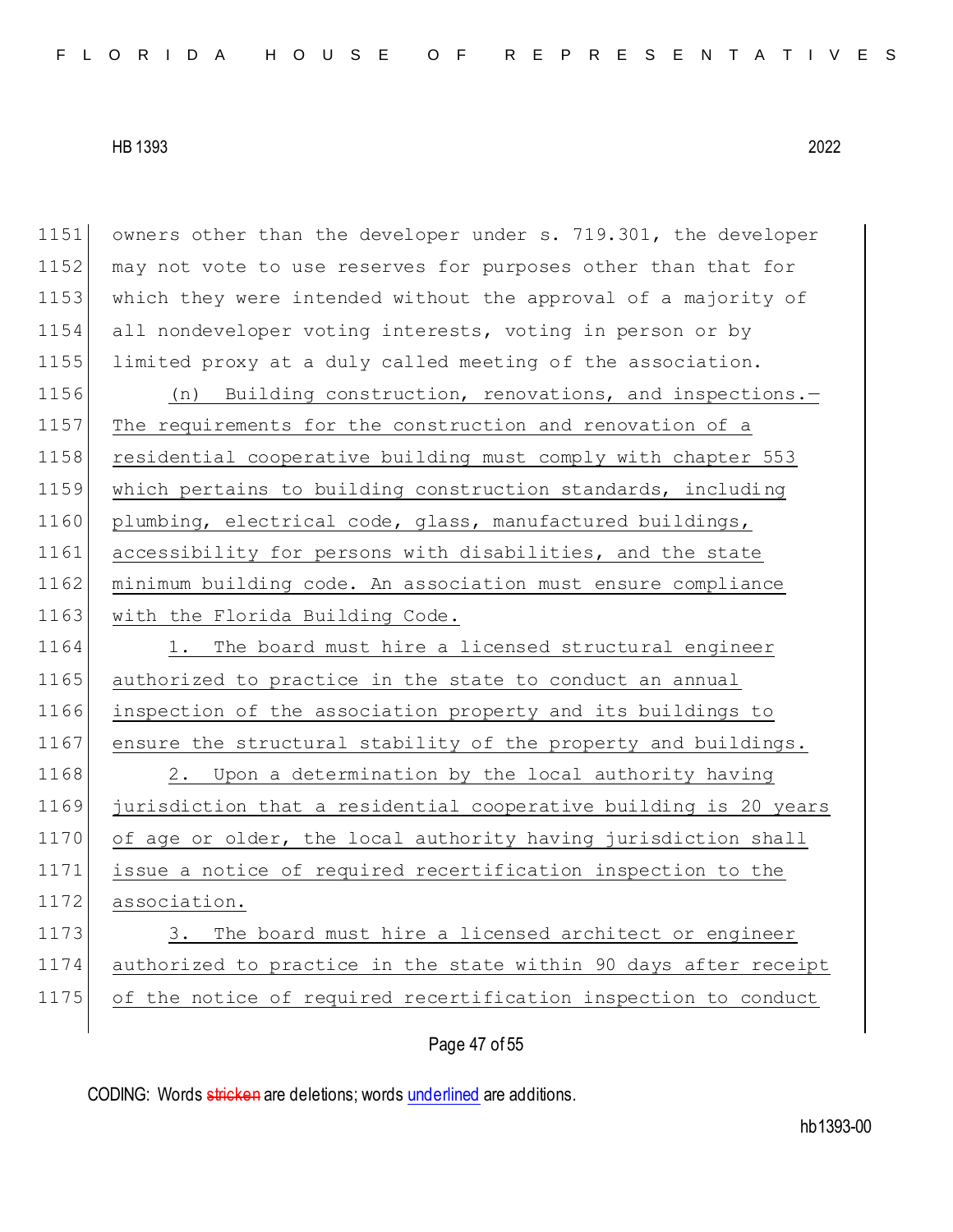1151 owners other than the developer under s. 719.301, the developer 1152 may not vote to use reserves for purposes other than that for 1153 which they were intended without the approval of a majority of 1154 all nondeveloper voting interests, voting in person or by 1155 limited proxy at a duly called meeting of the association. 1156 (n) Building construction, renovations, and inspections.-1157 The requirements for the construction and renovation of a 1158 residential cooperative building must comply with chapter 553 1159 which pertains to building construction standards, including 1160 plumbing, electrical code, glass, manufactured buildings, 1161 accessibility for persons with disabilities, and the state 1162 minimum building code. An association must ensure compliance 1163 with the Florida Building Code. 1164 1. The board must hire a licensed structural engineer 1165 authorized to practice in the state to conduct an annual 1166 inspection of the association property and its buildings to 1167 ensure the structural stability of the property and buildings. 1168 2. Upon a determination by the local authority having 1169 jurisdiction that a residential cooperative building is 20 years 1170 of age or older, the local authority having jurisdiction shall 1171 issue a notice of required recertification inspection to the 1172 association. 1173 3. The board must hire a licensed architect or engineer 1174 authorized to practice in the state within 90 days after receipt 1175 of the notice of required recertification inspection to conduct

Page 47 of 55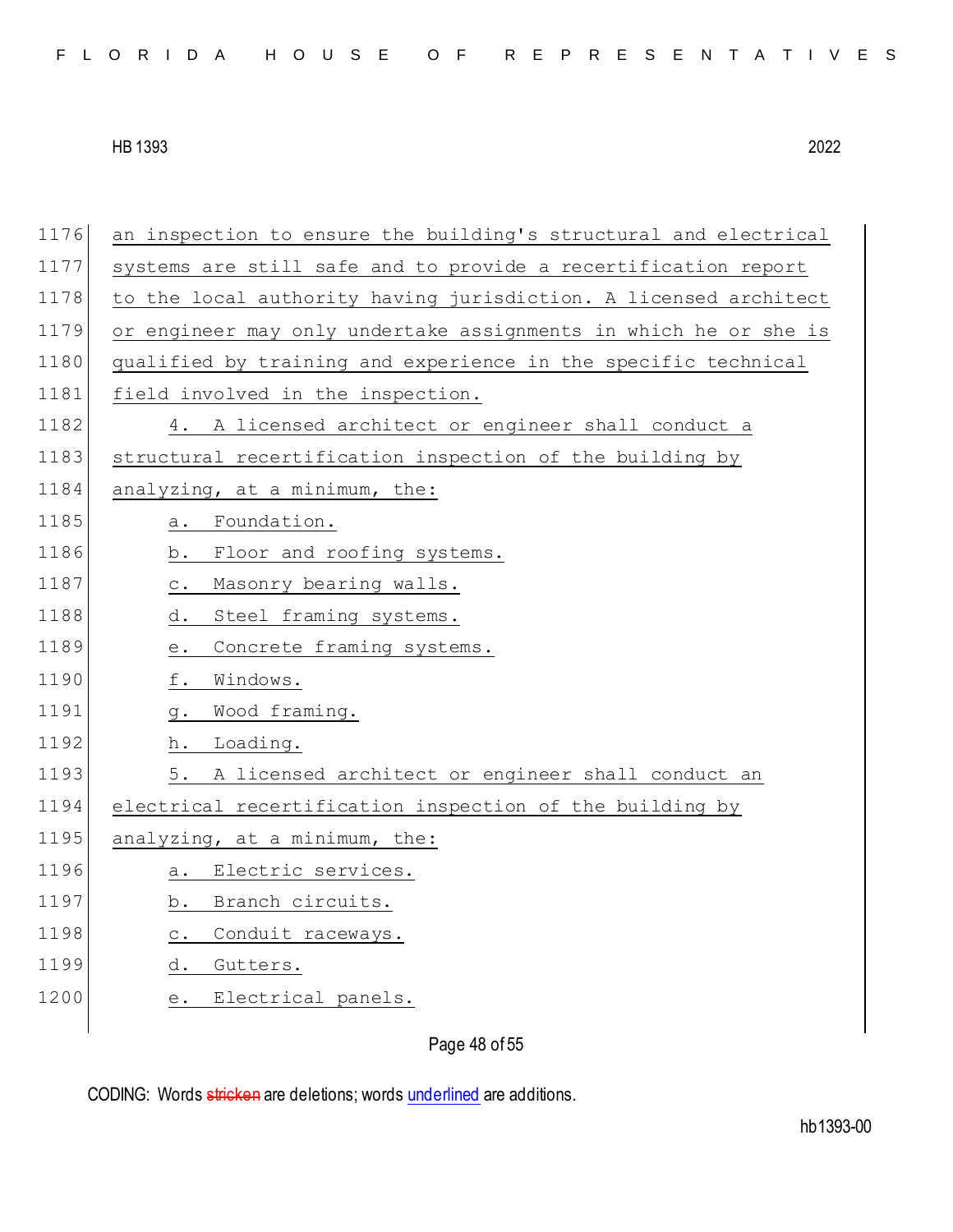| FLORIDA HOUSE OF REPRESENTATIVES |  |  |  |  |  |  |  |  |  |  |
|----------------------------------|--|--|--|--|--|--|--|--|--|--|
|----------------------------------|--|--|--|--|--|--|--|--|--|--|

1176 an inspection to ensure the building's structural and electrical 1177 systems are still safe and to provide a recertification report 1178 to the local authority having jurisdiction. A licensed architect 1179 or engineer may only undertake assignments in which he or she is 1180 qualified by training and experience in the specific technical 1181 field involved in the inspection. 1182 4. A licensed architect or engineer shall conduct a 1183 structural recertification inspection of the building by  $1184$  analyzing, at a minimum, the: 1185 a. Foundation. 1186 b. Floor and roofing systems. 1187 c. Masonry bearing walls. 1188 d. Steel framing systems. 1189 e. Concrete framing systems. 1190 f. Windows. 1191 g. Wood framing. 1192 h. Loading. 1193 5. A licensed architect or engineer shall conduct an 1194 electrical recertification inspection of the building by 1195 analyzing, at a minimum, the: 1196 a. Electric services. 1197 b. Branch circuits. 1198 c. Conduit raceways. 1199 d. Gutters. 1200 e. Electrical panels.

Page 48 of 55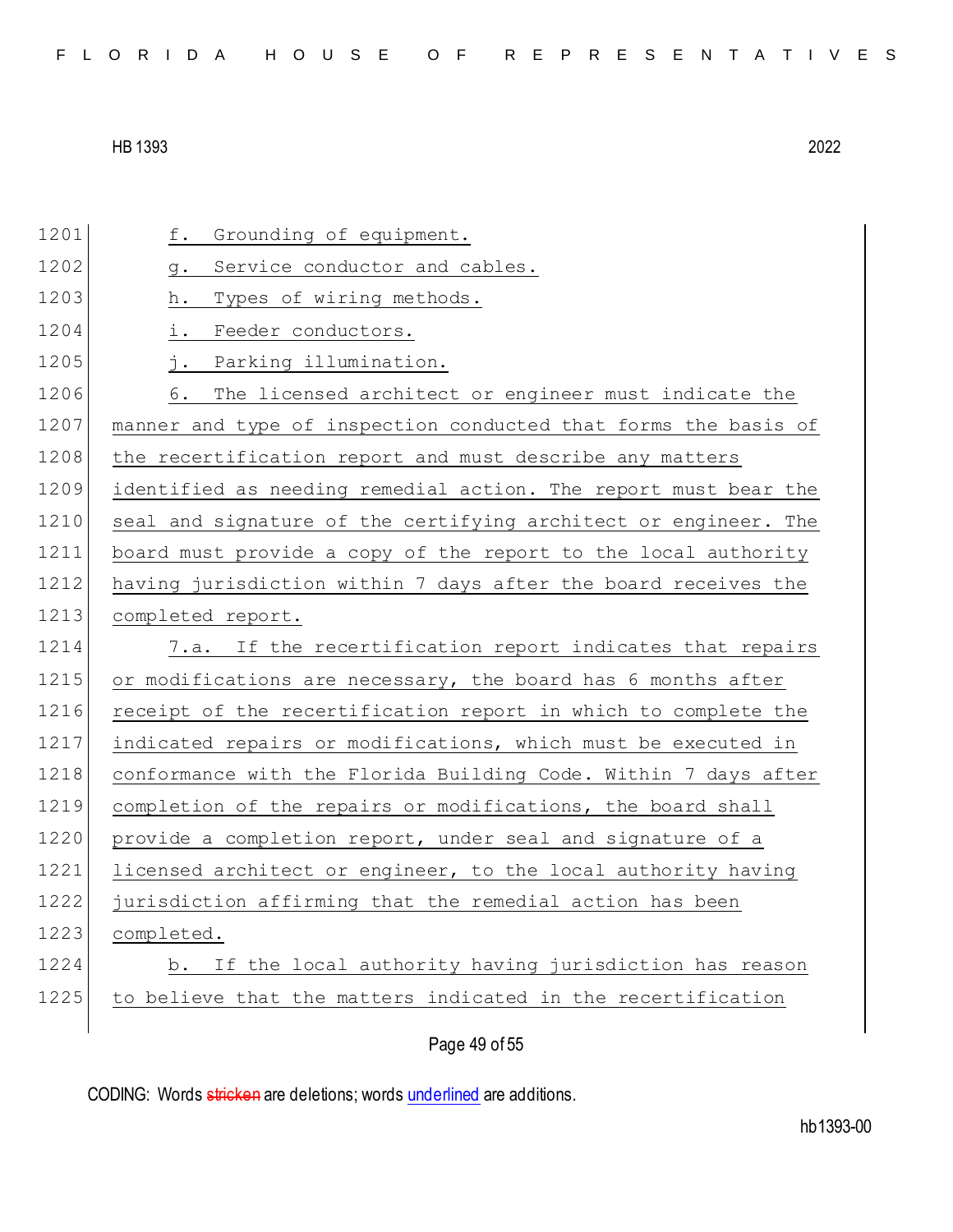| 1201 | Grounding of equipment.<br>f.                                   |
|------|-----------------------------------------------------------------|
| 1202 | Service conductor and cables.<br>g.                             |
| 1203 | Types of wiring methods.<br>h.                                  |
| 1204 | Feeder conductors.<br>i.                                        |
| 1205 | Parking illumination.<br>$\overline{\phantom{a}}$ .             |
| 1206 | The licensed architect or engineer must indicate the<br>6.      |
| 1207 | manner and type of inspection conducted that forms the basis of |
| 1208 | the recertification report and must describe any matters        |
| 1209 | identified as needing remedial action. The report must bear the |
| 1210 | seal and signature of the certifying architect or engineer. The |
| 1211 | board must provide a copy of the report to the local authority  |
| 1212 | having jurisdiction within 7 days after the board receives the  |
| 1213 | completed report.                                               |
|      |                                                                 |
| 1214 | If the recertification report indicates that repairs<br>7.a.    |
| 1215 | or modifications are necessary, the board has 6 months after    |
| 1216 | receipt of the recertification report in which to complete the  |
| 1217 | indicated repairs or modifications, which must be executed in   |
| 1218 | conformance with the Florida Building Code. Within 7 days after |
| 1219 | completion of the repairs or modifications, the board shall     |
| 1220 | provide a completion report, under seal and signature of a      |
| 1221 | licensed architect or engineer, to the local authority having   |
| 1222 | jurisdiction affirming that the remedial action has been        |
| 1223 | completed.                                                      |
| 1224 | b. If the local authority having jurisdiction has reason        |
| 1225 | to believe that the matters indicated in the recertification    |

Page 49 of 55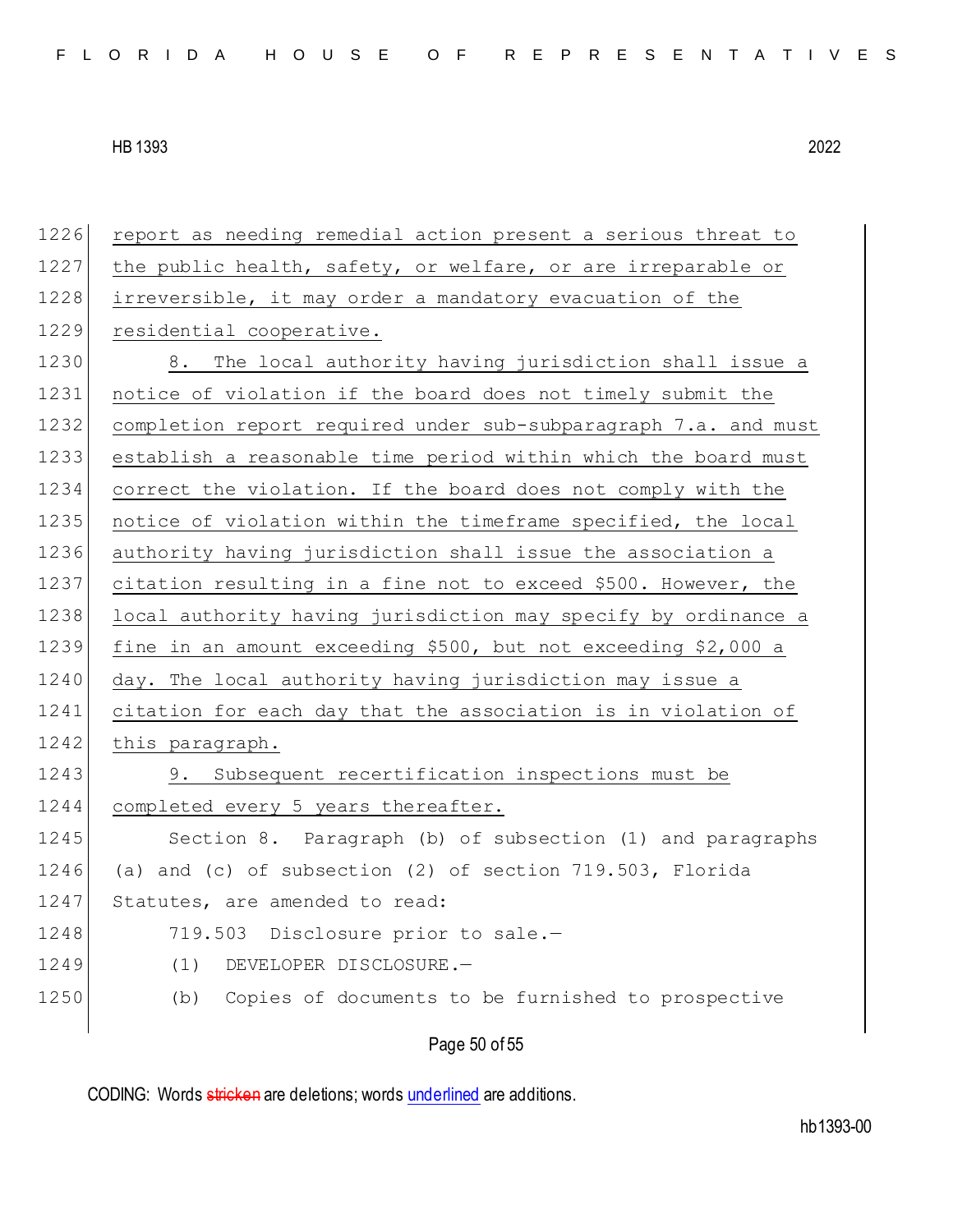Page 50 of 55 1226 report as needing remedial action present a serious threat to 1227 the public health, safety, or welfare, or are irreparable or 1228 irreversible, it may order a mandatory evacuation of the 1229 residential cooperative. 1230 8. The local authority having jurisdiction shall issue a 1231 notice of violation if the board does not timely submit the 1232 completion report required under sub-subparagraph 7.a. and must 1233 establish a reasonable time period within which the board must 1234 correct the violation. If the board does not comply with the 1235 notice of violation within the timeframe specified, the local 1236 authority having jurisdiction shall issue the association a 1237 citation resulting in a fine not to exceed \$500. However, the 1238 local authority having jurisdiction may specify by ordinance a 1239 fine in an amount exceeding \$500, but not exceeding \$2,000 a 1240 day. The local authority having jurisdiction may issue a 1241 citation for each day that the association is in violation of 1242 this paragraph. 1243 9. Subsequent recertification inspections must be 1244 completed every 5 years thereafter. 1245 Section 8. Paragraph (b) of subsection (1) and paragraphs 1246 (a) and (c) of subsection (2) of section 719.503, Florida 1247 Statutes, are amended to read: 1248 719.503 Disclosure prior to sale.-1249 (1) DEVELOPER DISCLOSURE.-1250 (b) Copies of documents to be furnished to prospective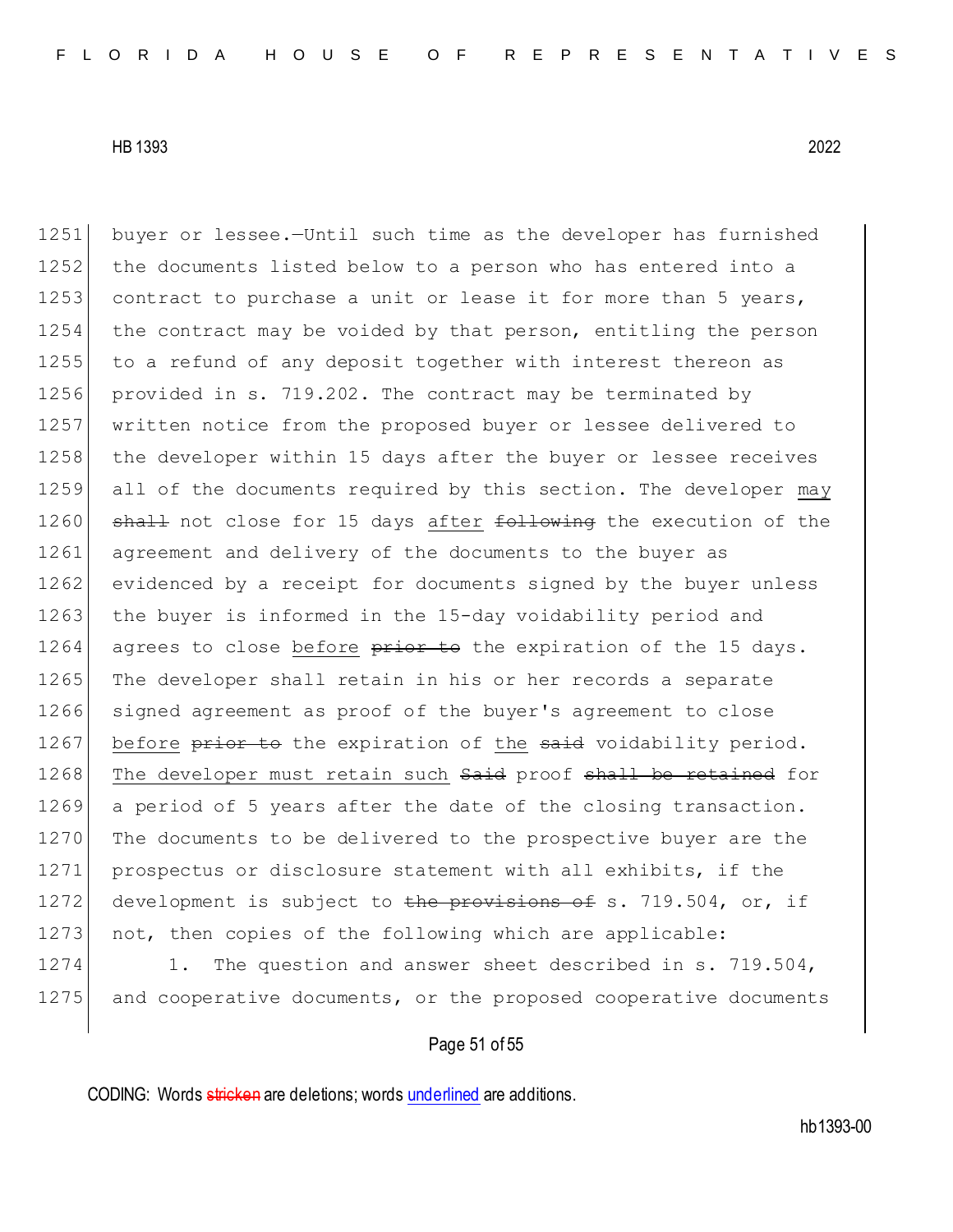1251 buyer or lessee.—Until such time as the developer has furnished 1252 the documents listed below to a person who has entered into a 1253 contract to purchase a unit or lease it for more than 5 years, 1254 the contract may be voided by that person, entitling the person 1255 to a refund of any deposit together with interest thereon as 1256 provided in s. 719.202. The contract may be terminated by 1257 written notice from the proposed buyer or lessee delivered to 1258 the developer within 15 days after the buyer or lessee receives 1259 all of the documents required by this section. The developer may 1260 shall not close for 15 days after following the execution of the 1261 agreement and delivery of the documents to the buyer as 1262 evidenced by a receipt for documents signed by the buyer unless 1263 the buyer is informed in the 15-day voidability period and 1264 agrees to close before  $\frac{1}{26}$  be the expiration of the 15 days. 1265 The developer shall retain in his or her records a separate 1266 signed agreement as proof of the buyer's agreement to close 1267 before prior to the expiration of the said voidability period. 1268 The developer must retain such Said proof shall be retained for 1269 a period of 5 years after the date of the closing transaction. 1270 The documents to be delivered to the prospective buyer are the 1271 prospectus or disclosure statement with all exhibits, if the 1272 development is subject to the provisions of s. 719.504, or, if 1273 not, then copies of the following which are applicable: 1274 1. The question and answer sheet described in s. 719.504,

1275 and cooperative documents, or the proposed cooperative documents

# Page 51 of 55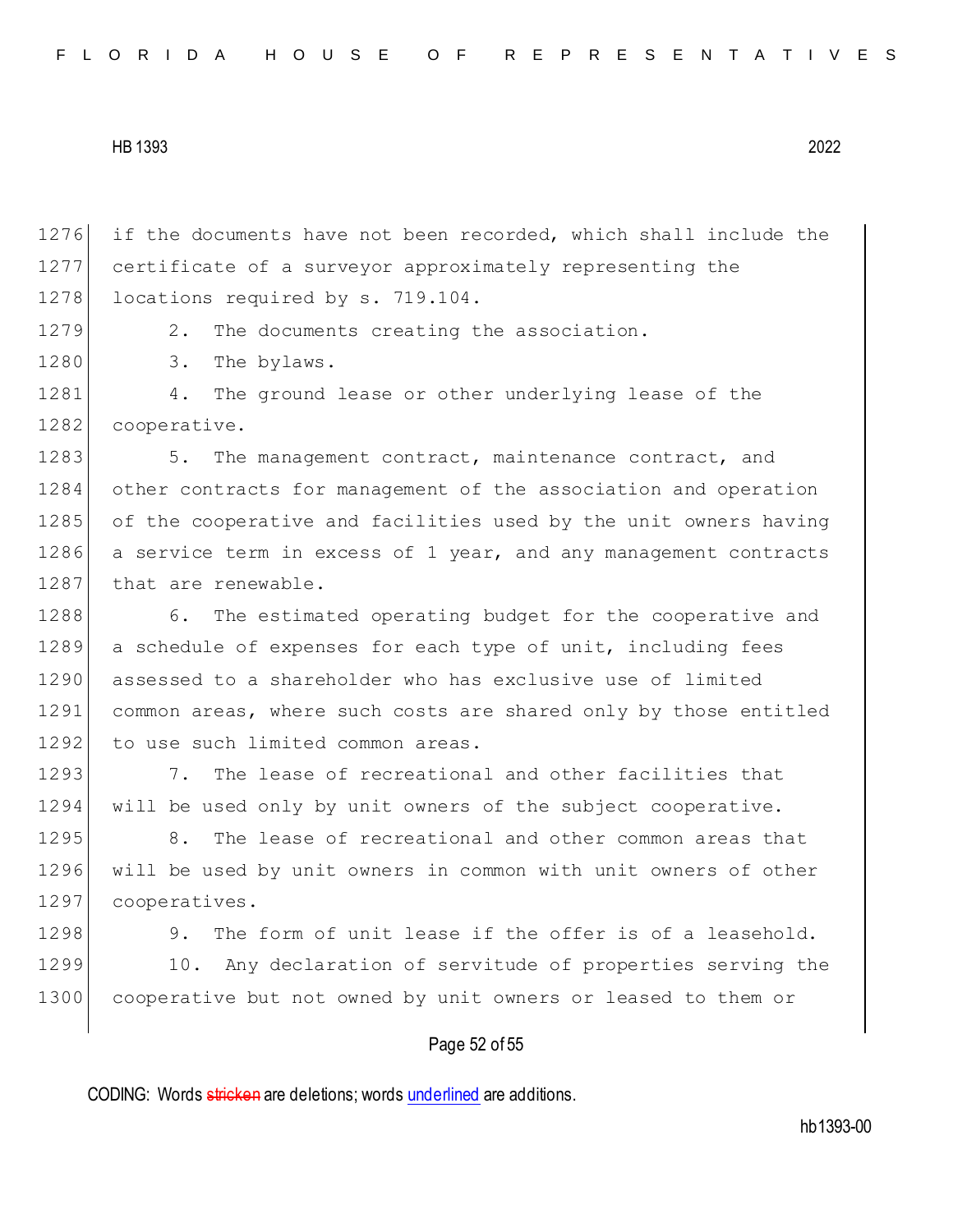| FLORIDA HOUSE OF REPRESENTATIVES |  |  |  |  |  |  |  |  |  |  |  |  |  |  |  |  |  |  |  |  |  |  |  |  |  |  |  |  |  |  |
|----------------------------------|--|--|--|--|--|--|--|--|--|--|--|--|--|--|--|--|--|--|--|--|--|--|--|--|--|--|--|--|--|--|
|----------------------------------|--|--|--|--|--|--|--|--|--|--|--|--|--|--|--|--|--|--|--|--|--|--|--|--|--|--|--|--|--|--|

1276 if the documents have not been recorded, which shall include the 1277 certificate of a surveyor approximately representing the 1278 locations required by s. 719.104. 1279 2. The documents creating the association. 1280 3. The bylaws. 1281 4. The ground lease or other underlying lease of the 1282 cooperative. 1283 5. The management contract, maintenance contract, and 1284 other contracts for management of the association and operation 1285 of the cooperative and facilities used by the unit owners having 1286 a service term in excess of 1 year, and any management contracts 1287 that are renewable. 1288 6. The estimated operating budget for the cooperative and 1289 a schedule of expenses for each type of unit, including fees 1290 assessed to a shareholder who has exclusive use of limited 1291 common areas, where such costs are shared only by those entitled 1292 to use such limited common areas. 1293 1293 7. The lease of recreational and other facilities that 1294 will be used only by unit owners of the subject cooperative. 1295 8. The lease of recreational and other common areas that 1296 will be used by unit owners in common with unit owners of other 1297 cooperatives. 1298 9. The form of unit lease if the offer is of a leasehold. 1299 10. Any declaration of servitude of properties serving the 1300 cooperative but not owned by unit owners or leased to them or

Page 52 of 55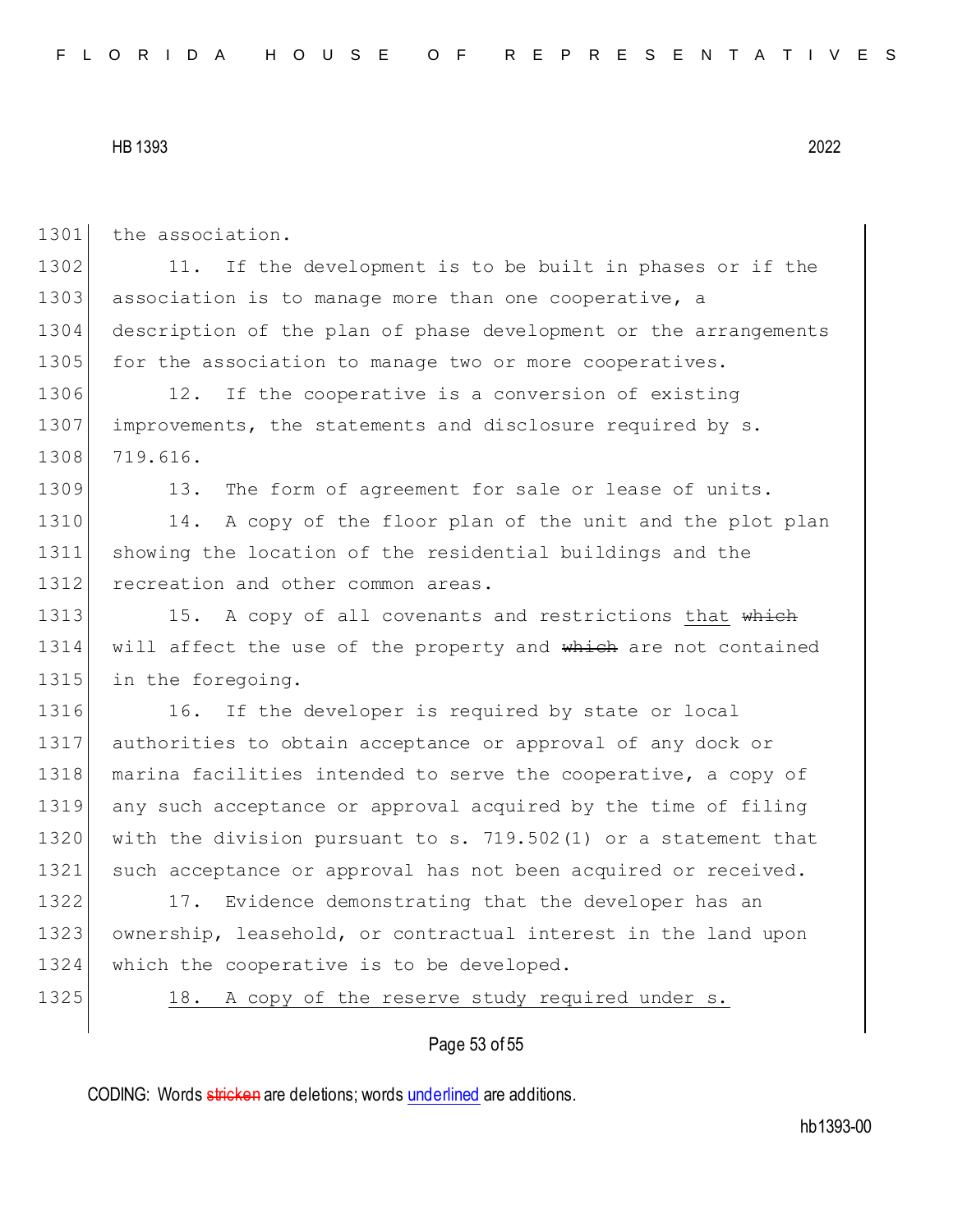1301 the association. 1302 11. If the development is to be built in phases or if the 1303 association is to manage more than one cooperative, a 1304 description of the plan of phase development or the arrangements 1305 for the association to manage two or more cooperatives. 1306 12. If the cooperative is a conversion of existing 1307 improvements, the statements and disclosure required by s. 1308 719.616. 1309 13. The form of agreement for sale or lease of units. 1310 14. A copy of the floor plan of the unit and the plot plan 1311 showing the location of the residential buildings and the 1312 recreation and other common areas. 1313 15. A copy of all covenants and restrictions that which 1314 will affect the use of the property and which are not contained 1315 in the foregoing. 1316 16. If the developer is required by state or local 1317 authorities to obtain acceptance or approval of any dock or 1318 | marina facilities intended to serve the cooperative, a copy of 1319 any such acceptance or approval acquired by the time of filing 1320 with the division pursuant to s. 719.502(1) or a statement that 1321 such acceptance or approval has not been acquired or received.

1322 17. Evidence demonstrating that the developer has an 1323 ownership, leasehold, or contractual interest in the land upon 1324 which the cooperative is to be developed.

1325 18. A copy of the reserve study required under s.

## Page 53 of 55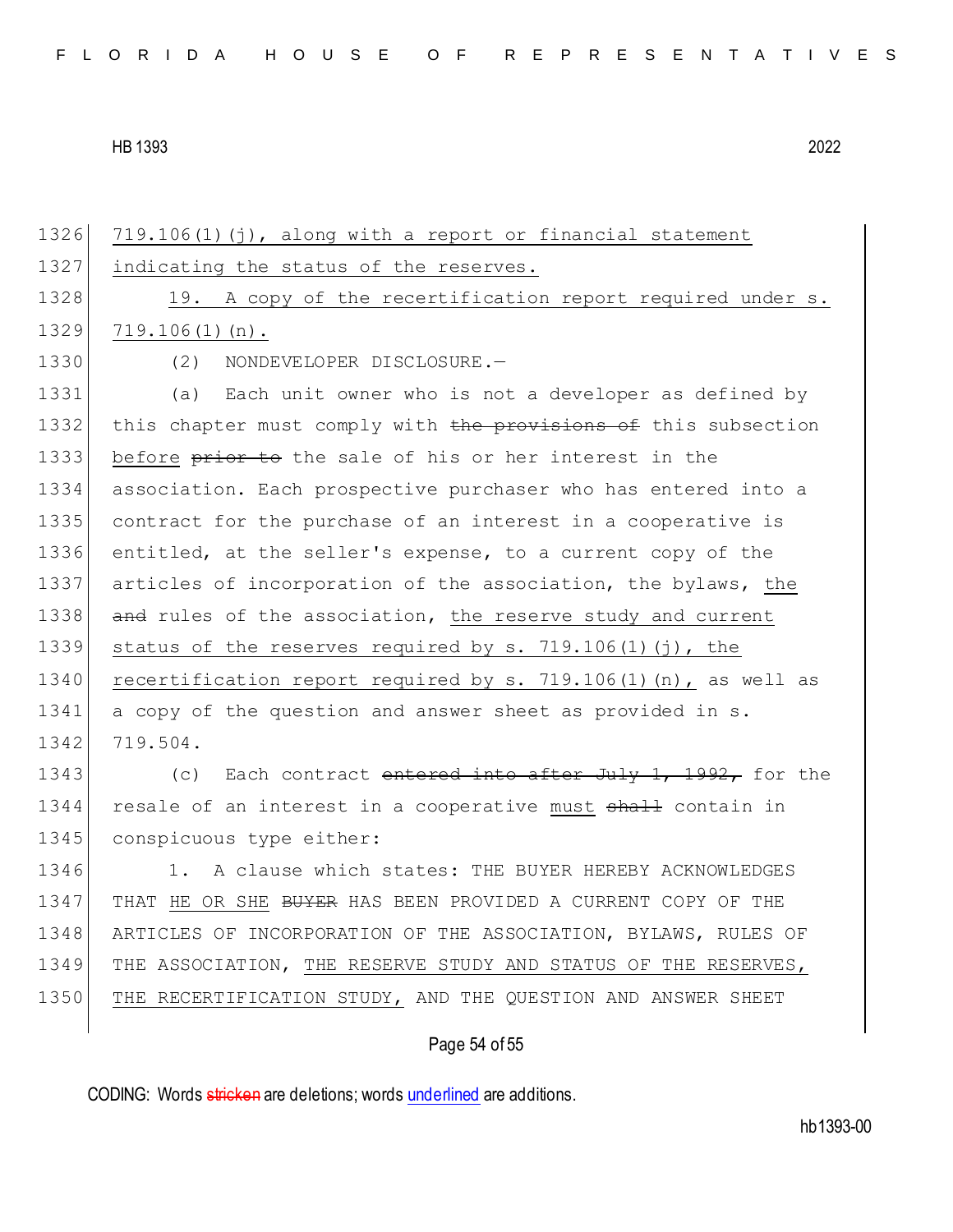1326 719.106(1)(j), along with a report or financial statement 1327 indicating the status of the reserves. 1328 19. A copy of the recertification report required under s.  $1329$  719.106(1)(n). 1330 (2) NONDEVELOPER DISCLOSURE.— 1331 (a) Each unit owner who is not a developer as defined by 1332 this chapter must comply with the provisions of this subsection 1333 before prior to the sale of his or her interest in the 1334 association. Each prospective purchaser who has entered into a 1335 contract for the purchase of an interest in a cooperative is 1336 entitled, at the seller's expense, to a current copy of the 1337 articles of incorporation of the association, the bylaws, the 1338 and rules of the association, the reserve study and current 1339 status of the reserves required by s. 719.106(1)(j), the 1340 recertification report required by s. 719.106(1)(n), as well as 1341 a copy of the question and answer sheet as provided in s. 1342 719.504. 1343 (c) Each contract entered into after July 1, 1992, for the 1344 resale of an interest in a cooperative must shall contain in 1345 conspicuous type either: 1346 1. A clause which states: THE BUYER HEREBY ACKNOWLEDGES 1347 THAT HE OR SHE <del>BUYER</del> HAS BEEN PROVIDED A CURRENT COPY OF THE 1348 ARTICLES OF INCORPORATION OF THE ASSOCIATION, BYLAWS, RULES OF 1349 THE ASSOCIATION, THE RESERVE STUDY AND STATUS OF THE RESERVES, 1350 THE RECERTIFICATION STUDY, AND THE QUESTION AND ANSWER SHEET

Page 54 of 55